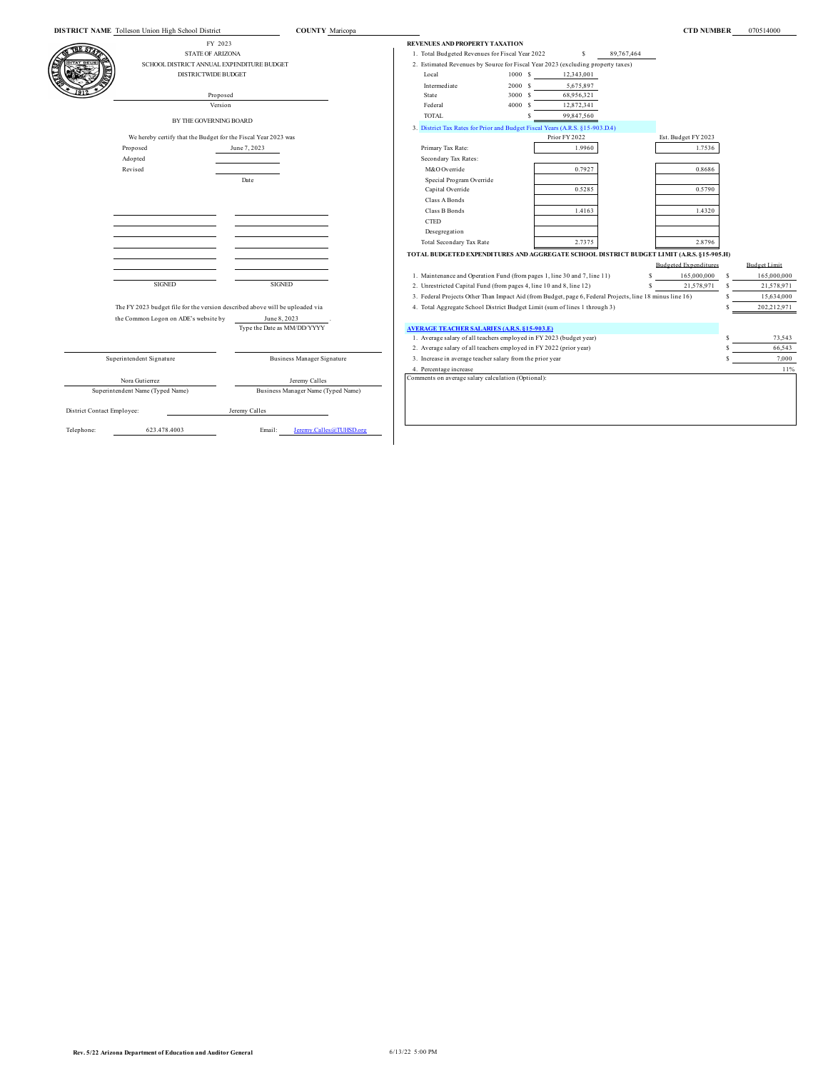|                            | DISTRICT NAME Tolleson Union High School District                            | <b>COUNTY</b> Maricopa             |                                                                                                          |         |               |            | <b>CTD NUMBER</b>            |   | 070514000           |
|----------------------------|------------------------------------------------------------------------------|------------------------------------|----------------------------------------------------------------------------------------------------------|---------|---------------|------------|------------------------------|---|---------------------|
|                            | FY 2023                                                                      |                                    | REVENUES AND PROPERTY TAXATION                                                                           |         |               |            |                              |   |                     |
|                            | <b>STATE OF ARIZONA</b>                                                      |                                    | 1. Total Budgeted Revenues for Fiscal Year 2022                                                          |         | S             | 89,767,464 |                              |   |                     |
|                            | SCHOOL DISTRICT ANNUAL EXPENDITURE BUDGET                                    |                                    | 2. Estimated Revenues by Source for Fiscal Year 2023 (excluding property taxes)                          |         |               |            |                              |   |                     |
|                            | <b>DISTRICTWIDE BUDGET</b>                                                   |                                    | Local                                                                                                    | 1000S   | 12,343,001    |            |                              |   |                     |
|                            |                                                                              |                                    | Intermediate                                                                                             | 2000 \$ | 5,675,897     |            |                              |   |                     |
|                            | Proposed                                                                     |                                    | State                                                                                                    | 3000 \$ | 68,956,321    |            |                              |   |                     |
|                            | Version                                                                      |                                    | Federal                                                                                                  | 4000 \$ | 12,872,341    |            |                              |   |                     |
|                            |                                                                              |                                    | <b>TOTAL</b>                                                                                             |         | 99,847,560    |            |                              |   |                     |
|                            | BY THE GOVERNING BOARD                                                       |                                    | 3. District Tax Rates for Prior and Budget Fiscal Years (A.R.S. §15-903.D.4)                             |         |               |            |                              |   |                     |
|                            | We hereby certify that the Budget for the Fiscal Year 2023 was               |                                    |                                                                                                          |         | Prior FY 2022 |            | Est. Budget FY 2023          |   |                     |
|                            | Proposed                                                                     | June 7, 2023                       | Primary Tax Rate:                                                                                        |         | 1.9960        |            | 1.7536                       |   |                     |
|                            | Adopted                                                                      |                                    | Secondary Tax Rates:                                                                                     |         |               |            |                              |   |                     |
|                            | Revised                                                                      |                                    | M&O Override                                                                                             |         | 0.7927        |            | 0.8686                       |   |                     |
|                            |                                                                              | Date                               | Special Program Override                                                                                 |         |               |            |                              |   |                     |
|                            |                                                                              |                                    | Capital Override                                                                                         |         | 0.5285        |            | 0.5790                       |   |                     |
|                            |                                                                              |                                    | Class A Bonds                                                                                            |         |               |            |                              |   |                     |
|                            |                                                                              |                                    | Class B Bonds                                                                                            |         | 1.4163        |            | 1.4320                       |   |                     |
|                            |                                                                              |                                    | $\ensuremath{\mathsf{CTED}}$                                                                             |         |               |            |                              |   |                     |
|                            |                                                                              |                                    | Desegregation                                                                                            |         |               |            |                              |   |                     |
|                            |                                                                              |                                    | Total Secondary Tax Rate                                                                                 |         | 2.7375        |            | 2.8796                       |   |                     |
|                            |                                                                              |                                    | TOTAL BUDGETED EXPENDITURES AND AGGREGATE SCHOOL DISTRICT BUDGET LIMIT (A.R.S. §15-905.H)                |         |               |            |                              |   |                     |
|                            |                                                                              |                                    |                                                                                                          |         |               |            | <b>Budgeted Expenditures</b> |   | <b>Budget Limit</b> |
|                            |                                                                              |                                    | 1. Maintenance and Operation Fund (from pages 1, line 30 and 7, line 11)                                 |         |               | s          | 165,000,000                  | s | 165,000,000         |
|                            | <b>SIGNED</b>                                                                | <b>SIGNED</b>                      | 2. Unrestricted Capital Fund (from pages 4, line 10 and 8, line 12)                                      |         |               | s          | 21,578,971                   | S | 21,578,971          |
|                            |                                                                              |                                    | 3. Federal Projects Other Than Impact Aid (from Budget, page 6, Federal Projects, line 18 minus line 16) |         |               |            |                              |   | 15,634,000          |
|                            | The FY 2023 budget file for the version described above will be uploaded via |                                    | 4. Total Aggregate School District Budget Limit (sum of lines 1 through 3)                               |         |               |            |                              |   | 202,212,971         |
|                            | the Common Logon on ADE's website by                                         | June 8, 2023                       |                                                                                                          |         |               |            |                              |   |                     |
|                            |                                                                              | Type the Date as MM/DD/YYYY        | <b>AVERAGE TEACHER SALARIES (A.R.S. 815-903.E)</b>                                                       |         |               |            |                              |   |                     |
|                            |                                                                              |                                    | 1. Average salary of all teachers employed in FY 2023 (budget year)                                      |         |               |            |                              |   | 73,543              |
|                            |                                                                              |                                    | 2. Average salary of all teachers employed in FY 2022 (prior year)                                       |         |               |            |                              |   | 66,543              |
|                            | Superintendent Signature                                                     | <b>Business Manager Signature</b>  | 3. Increase in average teacher salary from the prior year                                                |         |               |            |                              |   | 7,000               |
|                            |                                                                              |                                    | 4. Percentage increase                                                                                   |         |               |            |                              |   | 11%                 |
|                            | Nora Gutierrez                                                               | Jeremy Calles                      | Comments on average salary calculation (Optional):                                                       |         |               |            |                              |   |                     |
|                            | Superintendent Name (Typed Name)                                             | Business Manager Name (Typed Name) |                                                                                                          |         |               |            |                              |   |                     |
|                            |                                                                              |                                    |                                                                                                          |         |               |            |                              |   |                     |
| District Contact Employee: |                                                                              | Jeremy Calles                      |                                                                                                          |         |               |            |                              |   |                     |
|                            | 623.478.4003                                                                 | eremy Calles@TUHSD.org<br>Email:   |                                                                                                          |         |               |            |                              |   |                     |
| Telephone:                 |                                                                              |                                    |                                                                                                          |         |               |            |                              |   |                     |
|                            |                                                                              |                                    |                                                                                                          |         |               |            |                              |   |                     |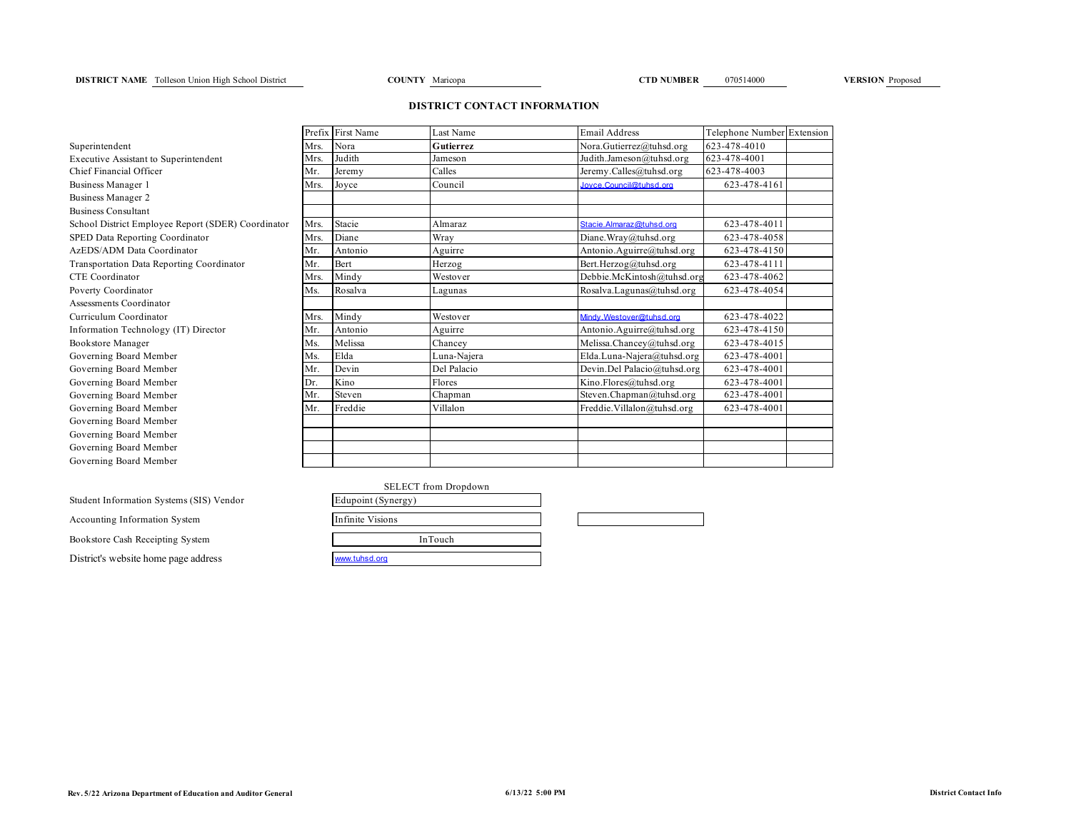### **DISTRICT NAME** Tolleson Union High School District **COUNTY** Maricopa **CTD NUMBER** 070514000 **VERSION** Proposed

### **DISTRICT CONTACT INFORMATION**

| Superintendent                                   |
|--------------------------------------------------|
| Executive Assistant to Superintendent            |
| Chief Financial Officer                          |
| Business Manager 1                               |
| Business Manager 2                               |
| <b>Business Consultant</b>                       |
| School District Employee Report (SDER) Coordina  |
| SPED Data Reporting Coordinator                  |
| AzEDS/ADM Data Coordinator                       |
| <b>Transportation Data Reporting Coordinator</b> |
| <b>CTE</b> Coordinator                           |
| Poverty Coordinator                              |
| Assessments Coordinator                          |
| Curriculum Coordinator                           |
| Information Technology (IT) Director             |
| Bookstore Manager                                |
| Governing Board Member                           |
| Governing Board Member                           |
| Governing Board Member                           |
| Governing Board Member                           |
| Governing Board Member                           |
| Governing Board Member                           |
| Governing Board Member                           |
| Governing Board Member                           |
| Governing Board Member                           |

Student Information Systems (SIS) Vendor

Accounting Information System Bookstore Cash Receipting System District's website home page address

|                                                    |      | Prefix First Name | Last Name   | <b>Email Address</b>        | Telephone Number Extension |  |
|----------------------------------------------------|------|-------------------|-------------|-----------------------------|----------------------------|--|
| Superintendent                                     | Mrs. | Nora              | Gutierrez   | Nora.Gutierrez@tuhsd.org    | 623-478-4010               |  |
| <b>Executive Assistant to Superintendent</b>       | Mrs. | Judith            | Jameson     | Judith.Jameson@tuhsd.org    | 623-478-4001               |  |
| Chief Financial Officer                            | Mr.  | Jeremy            | Calles      | Jeremy.Calles@tuhsd.org     | 623-478-4003               |  |
| Business Manager 1                                 | Mrs. | Joyce             | Council     | Jovce.Council@tuhsd.org     | 623-478-4161               |  |
| <b>Business Manager 2</b>                          |      |                   |             |                             |                            |  |
| <b>Business Consultant</b>                         |      |                   |             |                             |                            |  |
| School District Employee Report (SDER) Coordinator | Mrs. | Stacie            | Almaraz     | Stacie.Almaraz@tuhsd.org    | 623-478-4011               |  |
| SPED Data Reporting Coordinator                    | Mrs. | Diane             | Wray        | Diane.Wray@tuhsd.org        | 623-478-4058               |  |
| AzEDS/ADM Data Coordinator                         | Mr.  | Antonio           | Aguirre     | Antonio.Aguirre@tuhsd.org   | 623-478-4150               |  |
| Transportation Data Reporting Coordinator          | Mr.  | Bert              | Herzog      | Bert.Herzog@tuhsd.org       | 623-478-4111               |  |
| <b>CTE</b> Coordinator                             | Mrs. | Mindy             | Westover    | Debbie.McKintosh@tuhsd.org  | 623-478-4062               |  |
| Poverty Coordinator                                | Ms.  | Rosalva           | Lagunas     | Rosalva.Lagunas@tuhsd.org   | 623-478-4054               |  |
| Assessments Coordinator                            |      |                   |             |                             |                            |  |
| Curriculum Coordinator                             | Mrs. | Mindy             | Westover    | Mindy. Westover@tuhsd.org   | 623-478-4022               |  |
| Information Technology (IT) Director               | Mr.  | Antonio           | Aguirre     | Antonio.Aguirre@tuhsd.org   | 623-478-4150               |  |
| Bookstore Manager                                  | Ms.  | Melissa           | Chancey     | Melissa.Chancey@tuhsd.org   | 623-478-4015               |  |
| Governing Board Member                             | Ms.  | Elda              | Luna-Najera | Elda.Luna-Najera@tuhsd.org  | 623-478-4001               |  |
| Governing Board Member                             | Mr.  | Devin             | Del Palacio | Devin.Del Palacio@tuhsd.org | 623-478-4001               |  |
| Governing Board Member                             | Dr.  | Kino              | Flores      | Kino.Flores@tuhsd.org       | 623-478-4001               |  |
| Governing Board Member                             | Mr.  | Steven            | Chapman     | Steven.Chapman@tuhsd.org    | 623-478-4001               |  |
| Governing Board Member                             | Mr.  | Freddie           | Villalon    | Freddie.Villalon@tuhsd.org  | 623-478-4001               |  |
| Governing Board Member                             |      |                   |             |                             |                            |  |
| Governing Board Member                             |      |                   |             |                             |                            |  |
| Governing Board Member                             |      |                   |             |                             |                            |  |
| Governing Board Member                             |      |                   |             |                             |                            |  |

| <b>SELECT</b> from Dropdown<br>Edupoint (Synergy) |  |
|---------------------------------------------------|--|
|                                                   |  |
| Infinite Visions                                  |  |
| InTouch                                           |  |
| www.tuhsd.org                                     |  |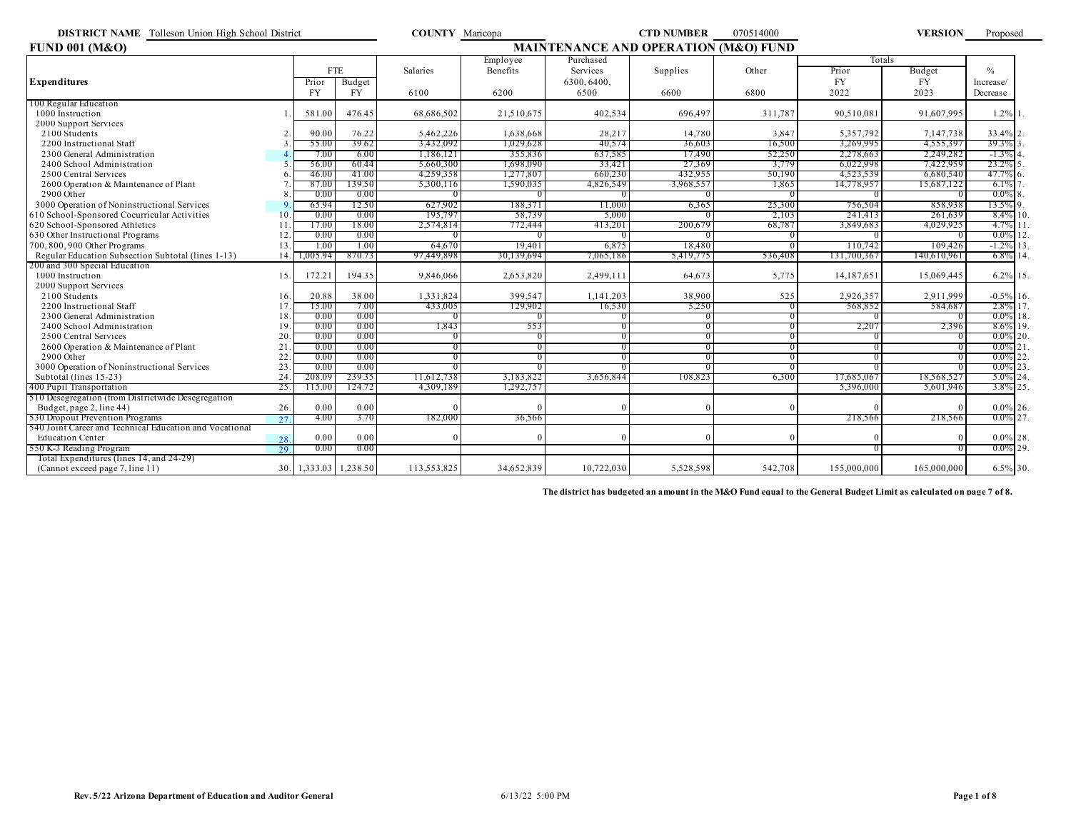| <b>DISTRICT NAME</b> Tolleson Union High School District |     |                   |            | <b>COUNTY</b> Maricopa                          |            |            | <b>CTD NUMBER</b> | 070514000      |             | <b>VERSION</b> | Proposed     |
|----------------------------------------------------------|-----|-------------------|------------|-------------------------------------------------|------------|------------|-------------------|----------------|-------------|----------------|--------------|
| <b>FUND 001 (M&amp;O)</b>                                |     |                   |            | <b>MAINTENANCE AND OPERATION (M&amp;O) FUND</b> |            |            |                   |                |             |                |              |
|                                                          |     |                   |            |                                                 | Employee   | Purchased  |                   |                | Totals      |                |              |
|                                                          |     |                   | <b>FTE</b> | Salaries                                        | Benefits   | Services   | Supplies          | Other          | Prior       | Budget         | $\%$         |
| <b>Expenditures</b>                                      |     | Prior             | Budget     |                                                 |            | 6300.6400. |                   |                | <b>FY</b>   | <b>FY</b>      | Increase/    |
|                                                          |     | <b>FY</b>         | <b>FY</b>  | 6100                                            | 6200       | 6500       | 6600              | 6800           | 2022        | 2023           | Decrease     |
| 100 Regular Education                                    |     |                   |            |                                                 |            |            |                   |                |             |                |              |
| 1000 Instruction                                         |     | 581.00            | 476.45     | 68,686,502                                      | 21.510.675 | 402.534    | 696.497           | 311.787        | 90.510.081  | 91.607.995     | 1.2% 1       |
| 2000 Support Services                                    |     |                   |            |                                                 |            |            |                   |                |             |                |              |
| 2100 Students                                            |     | 90.00             | 76.22      | 5,462,226                                       | 1,638,668  | 28,217     | 14,780            | 3,847          | 5,357,792   | 7,147,738      | 33.4% 2      |
| 2200 Instructional Staff                                 |     | 55.00             | 39.62      | 3,432,092                                       | 1,029,628  | 40,574     | 36,603            | 16,500         | 3,269,995   | 4,555,397      | 39.3% 3      |
| 2300 General Administration                              |     | 7.00              | 6.00       | 1.186.12                                        | 355,836    | 637,585    | 17.490            | 52,250         | 2,278,663   | 2,249,282      | $-1.3\%$ 4   |
| 2400 School Administration                               |     | 56.00             | 60.44      | 5,660,300                                       | 1,698,090  | 33.421     | 27,369            | 3,779          | 6,022,998   | 7,422,959      | 23.2% 5      |
| 2500 Central Services                                    |     | 46.00             | 41.00      | 4,259,358                                       | 1,277,807  | 660,230    | 432,955           | 50,190         | 4,523,539   | 6,680,540      | $47.7\%$ 6.  |
| 2600 Operation & Maintenance of Plant                    |     | 87.00             | 139.50     | 5,300,116                                       | 1,590,035  | 4,826,549  | 3,968,557         | 1,865          | 14,778,957  | 15.687.122     | $6.1\%$      |
| 2900 Other                                               |     | 0.00              | 0.00       |                                                 |            |            |                   | $^{\circ}$     | $\Omega$    |                | $0.0\%$ 8    |
| 3000 Operation of Noninstructional Services              |     | 65.94             | 12.50      | 627,902                                         | 188,371    | 11,000     | 6,365             | 25,300         | 756,504     | 858,938        | 13.5% 9.     |
| 610 School-Sponsored Cocurricular Activities             | 10  | 0.00              | 0.00       | 195,797                                         | 58,739     | 5,000      |                   | 2,103          | 241.413     | 261.639        | $8.4\%$ 10   |
| 620 School-Sponsored Athletics                           | 11  | 17.00             | 18.00      | 2,574,814                                       | 772,444    | 413,201    | 200,679           | 68,787         | 3.849.683   | 4.029.925      | $4.7\%$ 11   |
| 630 Other Instructional Programs                         | 12  | 0.00              | 0.00       |                                                 |            |            |                   | $^{\circ}$     | 0           |                | $0.0\%$ 12   |
| 700, 800, 900 Other Programs                             | 13  | 1.00              | 1.00       | 64,670                                          | 19.401     | 6,875      | 18,480            | $\Omega$       | 110.742     | 109,426        | $-1.2\%$ 13  |
| Regular Education Subsection Subtotal (lines 1-13)       | 14. | .005.94           | 870.73     | 97,449,898                                      | 30,139,694 | 7,065,186  | 5,419,775         | 536,408        | 131,700,367 | !40,610,961    | $6.8\%$ 14   |
| 200 and 300 Special Education                            |     |                   |            |                                                 |            |            |                   |                |             |                |              |
| 1000 Instruction                                         | 15. | 172.21            | 194.35     | 9.846.066                                       | 2,653,820  | 2,499,111  | 64.673            | 5,775          | 14,187,651  | 15.069.445     | 6.2% 15.     |
| 2000 Support Services                                    |     |                   |            |                                                 |            |            |                   |                |             |                |              |
| 2100 Students                                            | 16. | 20.88             | 38.00      | 1,331,824                                       | 399,547    | 1,141,203  | 38,900            | 525            | 2,926,357   | 2,911,999      | $-0.5\%$ 16. |
| 2200 Instructional Staff                                 | 17  | 15.00             | 7.00       | 433,005                                         | 129,902    | 16,530     | 5,250             | $\Omega$       | 568.852     | 584.687        | 2.8% 17      |
| 2300 General Administration                              | 18  | 0.00              | 0.00       |                                                 |            |            |                   | $^{\circ}$     | $^{\circ}$  |                | $0.0\%$ 18   |
| 2400 School Administration                               | 19  | 0.00              | 0.00       | 1,843                                           | 553        | $\Omega$   |                   | $\overline{0}$ | 2,207       | 2,396          | 8.6% 19      |
| 2500 Central Services                                    | 20  | 0.00              | 0.00       |                                                 | $^{\circ}$ | $\theta$   |                   | -0             | 0           |                | $0.0\%$ 20.  |
| 2600 Operation & Maintenance of Plant                    | 21  | 0.00              | 0.00       |                                                 | $^{\circ}$ | $\Omega$   |                   | $\Omega$       | $\Omega$    |                | $0.0\%$ 21   |
| 2900 Other                                               | 22  | 0.00              | 0.00       | $\theta$                                        | $\Omega$   | $\Omega$   |                   | $\overline{0}$ | $\Omega$    |                | $0.0\%$ 22   |
| 3000 Operation of Noninstructional Services              | 23  | 0.00              | 0.00       |                                                 |            |            |                   | $\Omega$       |             |                | $0.0\%$ 23   |
| Subtotal (lines 15-23)                                   | 24  | 208.09            | 239.35     | 11,612,738                                      | 3,183,822  | 3,656,844  | 108,823           | 6,300          | 17,685,067  | 18,568,527     | $5.0\%$ 24   |
| 400 Pupil Transportation                                 | 25. | 115.00            | 124.72     | 4,309,189                                       | 1,292,757  |            |                   |                | 5,396,000   | 5,601,946      | 3.8% 25      |
| 510 Desegregation (from Districtwide Desegregation       |     |                   |            |                                                 |            |            |                   |                |             |                |              |
| Budget, page 2, line 44)                                 | 26. | 0.00              | 0.00       |                                                 |            |            |                   |                |             |                | $0.0\%$ 26.  |
| 530 Dropout Prevention Programs                          | 27  | 4.00              | 3.70       | 182,000                                         | 36,566     |            |                   |                | 218,566     | 218,566        | $0.0\%$ 27   |
| 540 Joint Career and Technical Education and Vocational  |     |                   |            |                                                 |            |            |                   |                |             |                |              |
| <b>Education Center</b>                                  | 28. | 0.00              | 0.00       |                                                 |            |            |                   |                |             |                | $0.0\%$ 28.  |
| 550 K-3 Reading Program                                  | 29  | 0.00              | 0.00       |                                                 |            |            |                   |                |             |                | $0.0\%$ 29.  |
| Total Expenditures (lines 14, and 24-29)                 |     |                   |            |                                                 |            |            |                   |                |             |                |              |
| (Cannot exceed page 7, line 11)                          | 30. | 1,333.03 1,238.50 |            | 113,553,825                                     | 34,652,839 | 10,722,030 | 5,528,598         | 542,708        | 155,000,000 | 165,000,000    | 6.5% 30.     |

**The district has budgeted an amount in the M&O Fund equal to the General Budget Limit as calculated on page 7 of 8.**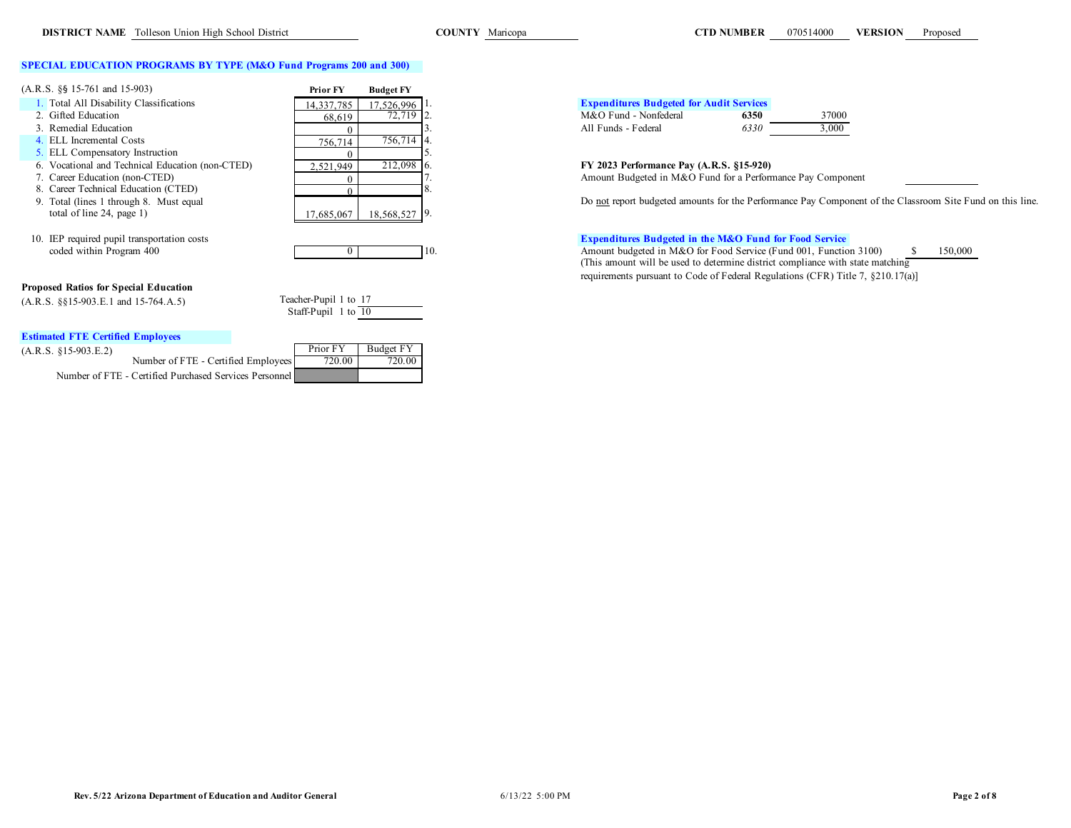### **SPECIAL EDUCATION PROGRAMS BY TYPE (M&O Fund Programs 200 and 300)**

| $(A.R.S. \S\$ 15-761 and 15-903)$                | <b>Prior FY</b> | <b>Budget FY</b> |                                                                   |
|--------------------------------------------------|-----------------|------------------|-------------------------------------------------------------------|
| 1. Total All Disability Classifications          | 14,337,785      | 17.526.996 1.    | <b>Expenditures Budgeted for Audit Services</b>                   |
| 2. Gifted Education                              | 68.619          | $72,719$ 2.      | M&O Fund - Nonfederal<br>37000<br>6350                            |
| 3. Remedial Education                            |                 |                  | 3,000<br>All Funds - Federal<br>6330                              |
| 4. ELL Incremental Costs                         | 756,714         | 756,714 4.       |                                                                   |
| 5. ELL Compensatory Instruction                  |                 |                  |                                                                   |
| 6. Vocational and Technical Education (non-CTED) | 2.521.949       | 212,098 6.       | FY 2023 Performance Pay (A.R.S. §15-920)                          |
| 7. Career Education (non-CTED)                   |                 |                  | Amount Budgeted in M&O Fund for a Performance Pay Compor          |
| 8. Career Technical Education (CTED)             |                 |                  |                                                                   |
| 9. Total (lines 1 through 8. Must equal          |                 |                  | Do not report budgeted amounts for the Performance Pay Compo      |
| total of line 24, page $1$ )                     | 17,685,067      | 18,568,527 9.    |                                                                   |
| 10. IEP required pupil transportation costs      |                 |                  | <b>Expenditures Budgeted in the M&amp;O Fund for Food Service</b> |
| coded within Program 400                         |                 | H0.              | Amount budgeted in M&O for Food Service (Fund 001, Function       |

### **Proposed Ratios for Special Education**

 $(A.R.S. \S\S15-903.E.1 \text{ and } 15-764.A.5)$  To

| eacher-Pupil 1 to 17 |  |  |
|----------------------|--|--|
| Staff-Pupil 1 to 10  |  |  |

### **Estimated FTE Certified Employees**

|  |  | $(A.R.S. 815-903.E.2)$ |  |  |
|--|--|------------------------|--|--|

| емпинати в сеницей епиромеем                           |            |           |
|--------------------------------------------------------|------------|-----------|
| (A.R.S. 815-903.E.2)                                   | Prior FY   | Budget FY |
| Number of FTE - Certified Employees                    | $720.00$ 1 | 720.00    |
| Number of FTE - Certified Purchased Services Personnel |            |           |

# **1. Expenditures Budgeted for Audit Services**<br>14,350 1. M&O Fund - Nonfederal

| M&O Fund - Nonfederal | 6350 |
|-----------------------|------|
| All Funds - Federal   | 6330 |

| 6350 | 37000 |
|------|-------|
| 6330 | 3.000 |
|      |       |

# 6. Vocational and Technical Education (non-CTED) 2,521,949 212,098 6. **FY 2023 Performance Pay (A.R.S. §15-920)**

Amount Budgeted in M&O Fund for a Performance Pay Component

Do not report budgeted amounts for the Performance Pay Component of the Classroom Site Fund on this line.

coded within Program 400 0 10. 10. Amount budgeted in M&O for Food Service (Fund 001, Function 3100) \$ 150,000 (This amount will be used to determine district compliance with state matching requirements pursuant to Code of Federal Regulations (CFR) Title 7, §210.17(a)]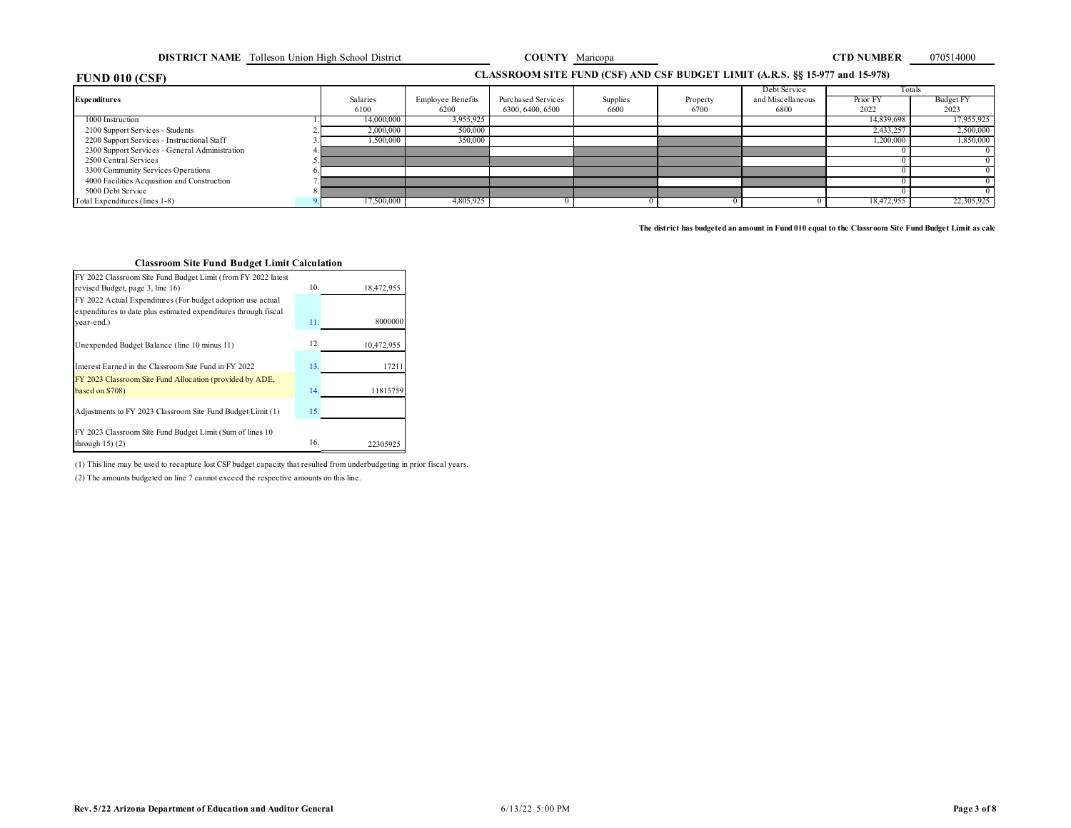**DISTRICT NAME** Tolleson Union High School District **COUNTY Maricopa COUNTY Maricopa CTD NUMBER** 070514000

# **FUND 010 (CSF)**

### **CLASSROOM SITE FUND (CSF) AND CSF BUDGET LIMIT (A.R.S. §§ 15-977 and 15-978)**

|                                                |            |                          |                    |          |          | Debt Service      |            | Totals     |
|------------------------------------------------|------------|--------------------------|--------------------|----------|----------|-------------------|------------|------------|
| Expenditures                                   | Salaries   | <b>Employee Benefits</b> | Purchased Services | Supplies | Property | and Miscellaneous | Prior FY   | Budget FY  |
|                                                | 6100       | 6200                     | 6300, 6400, 6500   | 6600     | 6700     | 6800              | 2022       | 2023       |
| 1000 Instruction                               | 14,000,000 | 3,955,925                |                    |          |          |                   | 14,839,698 | 17,955,925 |
| 2100 Support Services - Students               | 2,000,000  | 500,000                  |                    |          |          |                   | 2,433,257  | 2,500,000  |
| 2200 Support Services - Instructional Staff    | 1.500.000  | 350,000                  |                    |          |          |                   | 1,200,000  | 1,850,000  |
| 2300 Support Services - General Administration |            |                          |                    |          |          |                   |            |            |
| 2500 Central Services                          |            |                          |                    |          |          |                   |            |            |
| 3300 Community Services Operations             |            |                          |                    |          |          |                   |            |            |
| 4000 Facilities Acquisition and Construction   |            |                          |                    |          |          |                   |            |            |
| 5000 Debt Service                              |            |                          |                    |          |          |                   |            |            |
| Total Expenditures (lines 1-8)                 | 17,500,000 | 4,805,925                |                    |          |          |                   | 18,472,955 | 22,305,925 |

The district has budgeted an amount in Fund 010 equal to the Classroom Site Fund Budget Limit as calc

# **Classroom Site Fund Budget Limit Calculation**

| FY 2022 Classroom Site Fund Budget Limit (from FY 2022 latest                 |     |            |
|-------------------------------------------------------------------------------|-----|------------|
| revised Budget, page 3, line 16)                                              | 10. | 18,472,955 |
| FY 2022 Actual Expenditures (For budget adoption use actual                   |     |            |
| expenditures to date plus estimated expenditures through fiscal               |     |            |
| year-end.)                                                                    | 11. | 8000000    |
| Unexpended Budget Balance (line 10 minus 11)                                  | 12. | 10,472,955 |
| Interest Earned in the Classroom Site Fund in FY 2022                         | 13. | 17211      |
| FY 2023 Classroom Site Fund Allocation (provided by ADE,                      |     |            |
| based on \$708)                                                               | 14. | 11815759   |
| Adjustments to FY 2023 Classroom Site Fund Budget Limit (1)                   | 15. |            |
| FY 2023 Classroom Site Fund Budget Limit (Sum of lines 10)<br>through $15(2)$ | 16. | 22305925   |

(1) This line may be used to recapture lost CSF budget capacity that resulted from underbudgeting in prior fiscal years.

(2) The amounts budgeted on line 7 cannot exceed the respective amounts on this line.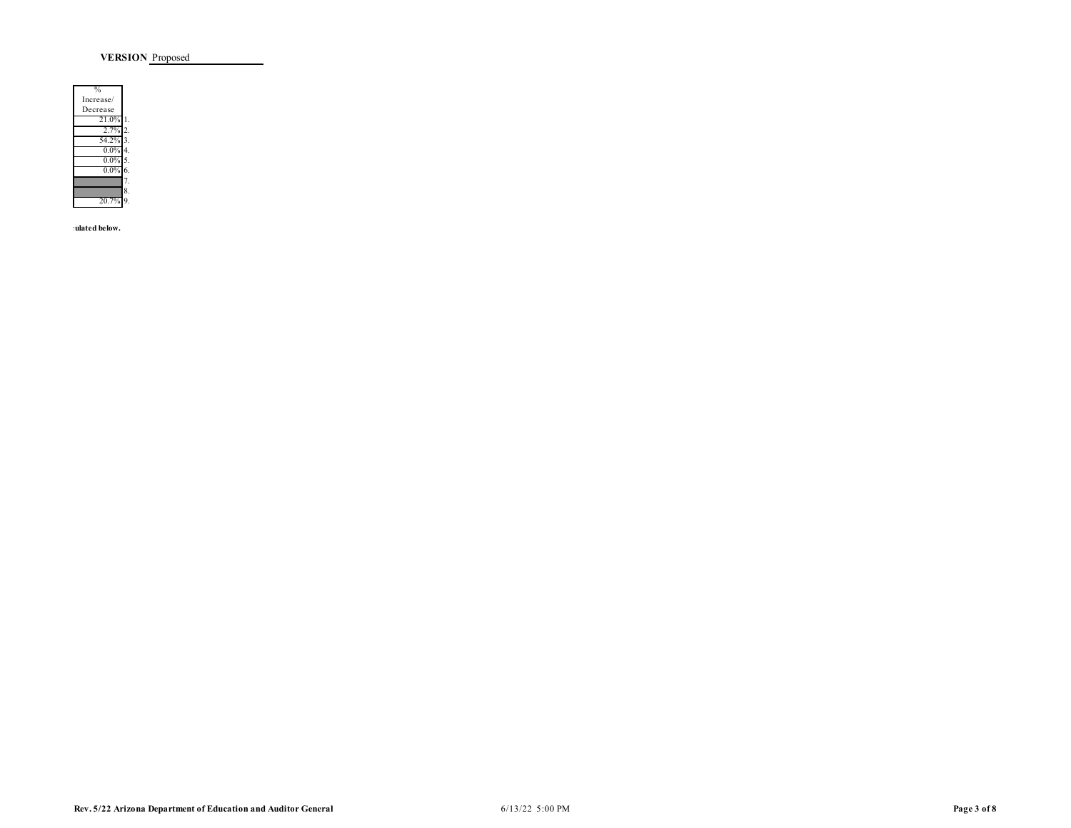**VERSION** Proposed

| 0,        |    |
|-----------|----|
| Increase/ |    |
| Decrease  |    |
| 21.0%     |    |
| 2.7%      | 2  |
| 54.2%     | ٩  |
| $0.0\%$   | 4  |
| $0.0\%$   | 5. |
| $0.0\%$   | 6. |
|           |    |
|           | 8. |
| 20.7%     |    |

**The district has below.**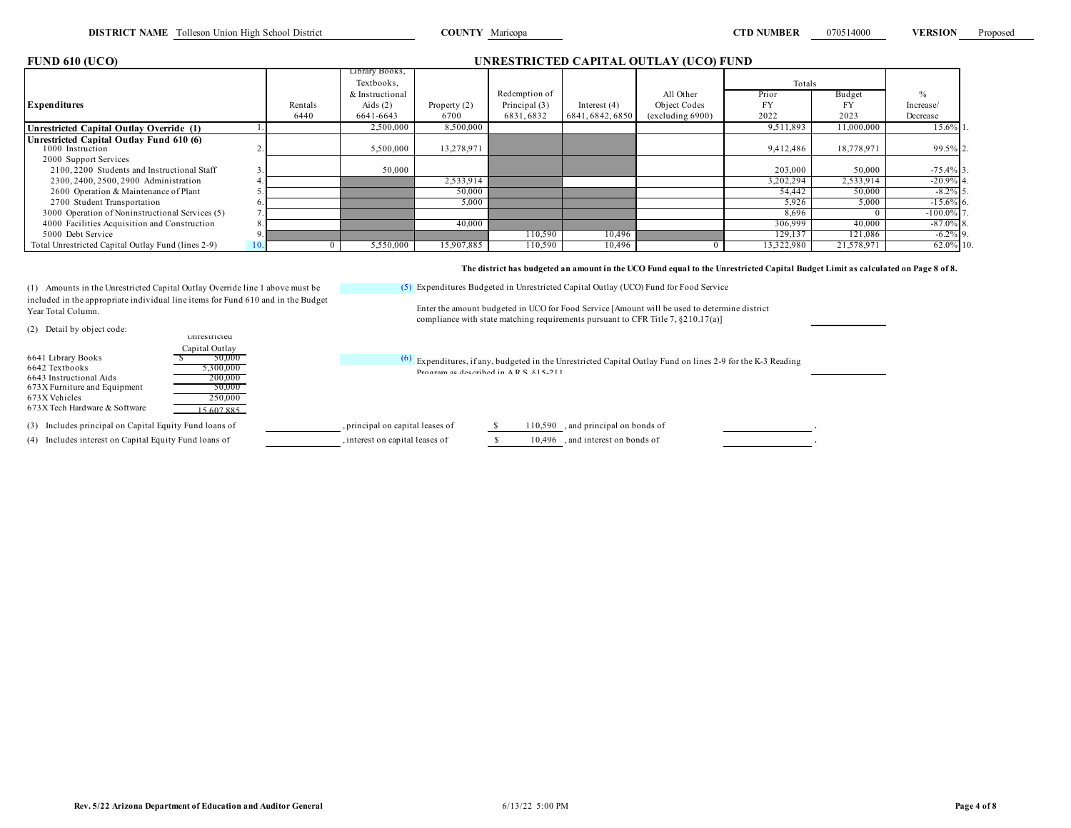| <b>FUND 610 (UCO)</b>                                                                                                                                                                                                |    |                |                                                 |                      |                                     |                  | UNRESTRICTED CAPITAL OUTLAY (UCO) FUND                                                                                                                                                                                                                                                                                                                                                                            |                    |                     |              |
|----------------------------------------------------------------------------------------------------------------------------------------------------------------------------------------------------------------------|----|----------------|-------------------------------------------------|----------------------|-------------------------------------|------------------|-------------------------------------------------------------------------------------------------------------------------------------------------------------------------------------------------------------------------------------------------------------------------------------------------------------------------------------------------------------------------------------------------------------------|--------------------|---------------------|--------------|
|                                                                                                                                                                                                                      |    |                | Library Books,<br>Textbooks,<br>& Instructional |                      | Redemption of                       |                  | All Other                                                                                                                                                                                                                                                                                                                                                                                                         | Totals             |                     |              |
| <b>Expenditures</b>                                                                                                                                                                                                  |    | Rentals        | Aids $(2)$                                      |                      | Principal (3)                       | Interest $(4)$   | Object Codes                                                                                                                                                                                                                                                                                                                                                                                                      | Prior<br><b>FY</b> | Budget<br><b>FY</b> | Increase/    |
|                                                                                                                                                                                                                      |    | 6440           | 6641-6643                                       | Property (2)<br>6700 | 6831,6832                           | 6841, 6842, 6850 | (excluding 6900)                                                                                                                                                                                                                                                                                                                                                                                                  | 2022               | 2023                | Decrease     |
| Unrestricted Capital Outlay Override (1)                                                                                                                                                                             |    |                | 2,500,000                                       | 8.500.000            |                                     |                  |                                                                                                                                                                                                                                                                                                                                                                                                                   | 9.511.893          | 11,000,000          | 15.6% 1      |
| Unrestricted Capital Outlay Fund 610 (6)<br>1000 Instruction                                                                                                                                                         |    |                | 5,500,000                                       | 13,278,971           |                                     |                  |                                                                                                                                                                                                                                                                                                                                                                                                                   | 9,412,486          | 18,778,971          | 99.5% 2.     |
| 2000 Support Services<br>2100, 2200 Students and Instructional Staff                                                                                                                                                 |    |                | 50,000                                          |                      |                                     |                  |                                                                                                                                                                                                                                                                                                                                                                                                                   | 203,000            | 50,000              | $-75.4\%$ 3. |
| 2300, 2400, 2500, 2900 Administration                                                                                                                                                                                |    |                |                                                 | 2,533,914            |                                     |                  |                                                                                                                                                                                                                                                                                                                                                                                                                   | 3,202,294          | 2,533,914           | $-20.9%$     |
| 2600 Operation & Maintenance of Plant                                                                                                                                                                                |    |                |                                                 | 50,000               |                                     |                  |                                                                                                                                                                                                                                                                                                                                                                                                                   | 54,442             | 50,000              | $-8.2\%$ 5   |
| 2700 Student Transportation                                                                                                                                                                                          |    |                |                                                 | 5,000                |                                     |                  |                                                                                                                                                                                                                                                                                                                                                                                                                   | 5.926              | 5,000               | $-15.6\%$ 6. |
| 3000 Operation of Noninstructional Services (5)                                                                                                                                                                      |    |                |                                                 |                      |                                     |                  |                                                                                                                                                                                                                                                                                                                                                                                                                   | 8.696              |                     | $-100.0\%$   |
| 4000 Facilities Acquisition and Construction                                                                                                                                                                         |    |                |                                                 | 40,000               |                                     |                  |                                                                                                                                                                                                                                                                                                                                                                                                                   | 306.999            | 40,000              | $-87.0\%$ 8. |
| 5000 Debt Service                                                                                                                                                                                                    |    |                |                                                 |                      | 110.590                             | 10.496           |                                                                                                                                                                                                                                                                                                                                                                                                                   | 129.137            | 121.086             | $-6.2\%$ 9.  |
| Total Unrestricted Capital Outlay Fund (lines 2-9)                                                                                                                                                                   | 10 | $\overline{0}$ | 5,550,000                                       | 15.907.885           | 110.590                             | 10,496           |                                                                                                                                                                                                                                                                                                                                                                                                                   | 13,322,980         | 21,578,971          | 62.0% 10     |
| (1) Amounts in the Unrestricted Capital Outlay Override line 1 above must be<br>included in the appropriate individual line items for Fund 610 and in the Budget<br>Year Total Column.<br>(2) Detail by object code: |    |                |                                                 |                      |                                     |                  | The district has budgeted an amount in the UCO Fund equal to the Unrestricted Capital Budget Limit as calculated on Page 8 of 8.<br>(5) Expenditures Budgeted in Unrestricted Capital Outlay (UCO) Fund for Food Service<br>Enter the amount budgeted in UCO for Food Service [Amount will be used to determine district<br>compliance with state matching requirements pursuant to CFR Title 7, $\S 210.17(a)$ ] |                    |                     |              |
| Unrestricted<br>Capital Outlay<br>6641 Library Books<br>50,000<br>6642 Textbooks<br>5,300,000<br>6643 Instructional Aids<br>200,000<br>673X Furniture and Equipment<br>50,000                                        |    |                |                                                 |                      | Program as described in ARS 815-211 |                  | $(6)$ Expenditures, if any, budgeted in the Unrestricted Capital Outlay Fund on lines 2-9 for the K-3 Reading                                                                                                                                                                                                                                                                                                     |                    |                     |              |

(3) Includes principal on Capital Equity Fund loans of , principal on capital leases of \$ 110,590 , and principal on bonds of . (4) Includes interest on Capital Equity Fund loans of , interest on capital leases of  $$ 10,496$ , and interest on bonds of

673X Furniture and Equipment<br>673X Vehicles 250,000

 $673X$  Tech Hardware & Software  $\overline{15,607,885}$ 

 $673\,$  Vehicles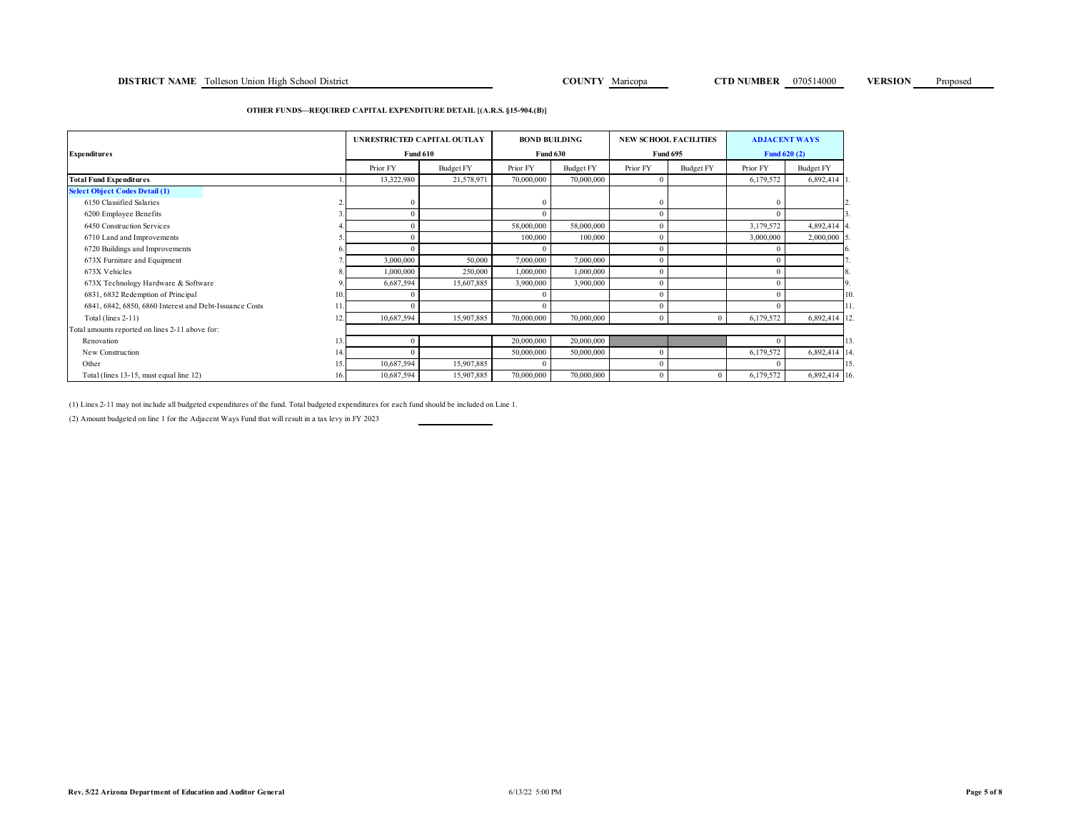### **DISTRICT NAME** Tolleson Union High School District **COUNTY COUNTY Maricopa CTD NUMBER 070514000 VERSION** Proposed

### **OTHER FUNDS—REQUIRED CAPITAL EXPENDITURE DETAIL [(A.R.S. §15-904.(B)]**

|                                                         |     | UNRESTRICTED CAPITAL OUTLAY |                  | <b>BOND BUILDING</b> |                  |              | <b>NEW SCHOOL FACILITIES</b> |           | <b>ADJACENT WAYS</b> |
|---------------------------------------------------------|-----|-----------------------------|------------------|----------------------|------------------|--------------|------------------------------|-----------|----------------------|
| <b>Expenditures</b>                                     |     | <b>Fund 610</b>             |                  |                      | <b>Fund 630</b>  |              | <b>Fund 695</b>              |           | <b>Fund 620 (2)</b>  |
|                                                         |     | Prior FY                    | <b>Budget FY</b> | Prior FY             | <b>Budget FY</b> | Prior FY     | Budget FY                    | Prior FY  | Budget FY            |
| <b>Total Fund Expenditures</b>                          |     | 13,322,980                  | 21,578,971       | 70,000,000           | 70,000,000       | $\Omega$     |                              | 6,179,572 | 6,892,414 1          |
| <b>Select Object Codes Detail (1)</b>                   |     |                             |                  |                      |                  |              |                              |           |                      |
| 6150 Classified Salaries                                |     |                             |                  |                      |                  | $\theta$     |                              |           |                      |
| 6200 Employee Benefits                                  |     |                             |                  | $\Omega$             |                  | $\theta$     |                              |           |                      |
| 6450 Construction Services                              |     |                             |                  | 58,000,000           | 58,000,000       | $\theta$     |                              | 3,179,572 | 4,892,414 4.         |
| 6710 Land and Improvements                              |     |                             |                  | 100,000              | 100,000          | $\theta$     |                              | 3,000,000 | $2,000,000$ 5.       |
| 6720 Buildings and Improvements                         |     |                             |                  |                      |                  | $\theta$     |                              |           |                      |
| 673X Furniture and Equipment                            |     | 3,000,000                   | 50,000           | 7,000,000            | 7,000,000        | $\theta$     |                              |           |                      |
| 673X Vehicles                                           |     | 1,000,000                   | 250,000          | 1,000,000            | 1,000,000        | $\Omega$     |                              |           |                      |
| 673X Technology Hardware & Software                     | 9   | 6,687,594                   | 15,607,885       | 3,900,000            | 3,900,000        | $\theta$     |                              |           | 9.                   |
| 6831, 6832 Redemption of Principal                      | 10. |                             |                  |                      |                  | $\theta$     |                              |           | 10.                  |
| 6841, 6842, 6850, 6860 Interest and Debt-Issuance Costs |     |                             |                  | $\Omega$             |                  | $\theta$     |                              |           | 11                   |
| Total (lines 2-11)                                      | 12. | 10,687,594                  | 15,907,885       | 70,000,000           | 70,000,000       | $\mathbf{0}$ | $\mathbf{0}$                 | 6,179,572 | 6,892,414 12.        |
| Total amounts reported on lines 2-11 above for:         |     |                             |                  |                      |                  |              |                              |           |                      |
| Renovation                                              | 13. |                             |                  | 20,000,000           | 20,000,000       |              |                              |           | 13.                  |
| New Construction                                        | 14. |                             |                  | 50,000,000           | 50,000,000       | $\mathbf{0}$ |                              | 6,179,572 | 6,892,414 14.        |
| Other                                                   | 15. | 10,687,594                  | 15,907,885       | $\Omega$             |                  | $\theta$     |                              |           | 15.                  |
| Total (lines 13-15, must equal line 12)                 | 16. | 10,687,594                  | 15,907,885       | 70,000,000           | 70,000,000       | $\mathbf{0}$ | $\mathbf{0}$                 | 6,179,572 | 6,892,414 16.        |

(1) Lines 2-11 may not include all budgeted expenditures of the fund. Total budgeted expenditures for each fund should be included on Line 1.

(2) Amount budgeted on line 1 for the Adjacent Ways Fund that will result in a tax levy in FY 2023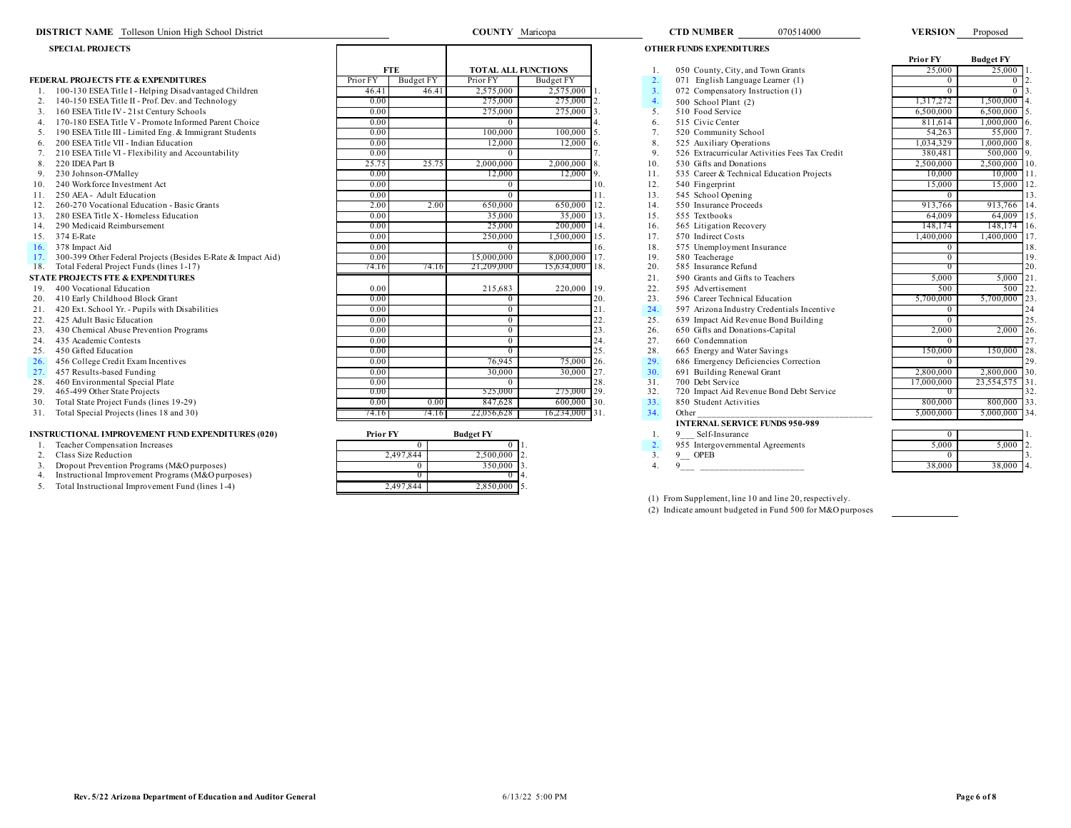| <b>DISTRICT NAME</b> Tolleson Union High School District     |                 |            | <b>COUNTY</b> Maricopa     |                  |     |                  | <b>CTD NUMBER</b>                          | 070514000                                      | <b>VERSION</b>  | Proposed          |
|--------------------------------------------------------------|-----------------|------------|----------------------------|------------------|-----|------------------|--------------------------------------------|------------------------------------------------|-----------------|-------------------|
| <b>SPECIAL PROJECTS</b>                                      |                 |            |                            |                  |     |                  | <b>OTHER FUNDS EXPENDITURES</b>            |                                                |                 |                   |
|                                                              |                 |            |                            |                  |     |                  |                                            |                                                | <b>Prior FY</b> | <b>Budget FY</b>  |
|                                                              |                 | <b>FTE</b> | <b>TOTAL ALL FUNCTIONS</b> |                  |     |                  | 050 County, City, and Town Grants          |                                                | 25,000          | 25,000            |
| <b>FEDERAL PROJECTS FTE &amp; EXPENDITURES</b>               | Prior FY        | Budget FY  | Prior FY                   | Budget FY        |     | 2.               | 071 English Language Learner (1)           |                                                | $\Omega$        | $\Omega$          |
| 100-130 ESEA Title I - Helping Disadvantaged Children        | 46.41           | 46.41      | 2,575,000                  | $2,575,000$ 1.   |     | 3.               | 072 Compensatory Instruction (1)           |                                                | $\overline{0}$  | $\overline{0}$    |
| 140-150 ESEA Title II - Prof. Dev. and Technology<br>2.      | 0.00            |            | 275,000                    | 275,000 2.       |     | $\overline{4}$ . | 500 School Plant (2)                       |                                                | 1.317.272       | 1,500,000         |
| 160 ESEA Title IV - 21st Century Schools<br>3.               | 0.00            |            | 275,000                    | 275,000          |     | 5                | 510 Food Service                           |                                                | 6,500,000       | 6,500,000         |
| 170-180 ESEA Title V - Promote Informed Parent Choice        | 0.00            |            |                            |                  |     | 6.               | 515 Civic Center                           |                                                | 811.614         | 1,000,000         |
| 190 ESEA Title III - Limited Eng. & Immigrant Students       | 0.00            |            | 100,000                    | $100,000$ 5.     |     | 7 <sub>1</sub>   | 520 Community School                       |                                                | 54,263          | 55,000            |
| 200 ESEA Title VII - Indian Education                        | 0.00            |            | 12,000                     | 12,000           |     | 8.               | 525 Auxiliary Operations                   |                                                | 1,034,329       | 1,000,000         |
| 210 ESEA Title VI - Flexibility and Accountability           | 0.00            |            |                            |                  |     | 9.               |                                            | 526 Extracurricular Activities Fees Tax Credit | 380,481         | $500,000$ 9       |
| 220 IDEA Part B<br>8.                                        | 25.75           | 25.75      | 2,000,000                  | $2,000,000$ 8.   |     | 10.              | 530 Gifts and Donations                    |                                                | 2,500,000       | 2,500,000<br>10.  |
| 230 Johnson-O'Malley                                         | 0.00            |            | 12,000                     | $12,000$ 9.      |     | 11.              | 535 Career & Technical Education Projects  |                                                | 10.000          | 10,000            |
| 240 Workforce Investment Act                                 | 0.00            |            |                            |                  | 10. | 12.              | 540 Fingerprint                            |                                                | 15,000          | 15,000<br>12      |
| 250 AEA - Adult Education                                    | 0.00            |            |                            |                  | 11. | 13.              | 545 School Opening                         |                                                | $\overline{0}$  | 13                |
| 260-270 Vocational Education - Basic Grants                  | 2.00            | 2.00       | 650,000                    | 650,000 12.      |     | 14.              | 550 Insurance Proceeds                     |                                                | 913,766         | 913,766<br>14     |
| 280 ESEA Title X - Homeless Education                        | 0.00            |            | 35,000                     | $35,000$ 13.     |     | 15.              | 555 Textbooks                              |                                                | 64,009          | 64,009<br>115.    |
| 290 Medicaid Reimbursement<br>14.                            | 0.00            |            | 25,000                     | 200,000 14.      |     | 16.              | 565 Litigation Recovery                    |                                                | 148,174         | 148,174 16.       |
| 374 E-Rate<br>15.                                            | 0.00            |            | 250,000                    | 1.500,000 15.    |     | 17.              | 570 Indirect Costs                         |                                                | 1,400,000       | 1,400,000 17.     |
| 378 Impact Aid<br>16.                                        | 0.00            |            |                            |                  | 16. | 18.              | 575 Unemployment Insurance                 |                                                | $\overline{0}$  | 18.               |
| 300-399 Other Federal Projects (Besides E-Rate & Impact Aid) | 0.00            |            | 15,000,000                 | 8,000,000 17.    |     | 19.              | 580 Teacherage                             |                                                | $\overline{0}$  | 19.               |
| Total Federal Project Funds (lines 1-17)<br>18.              | 74.16           | 74.16      | 21,209,000                 | 15,634,000 18.   |     | 20.              | 585 Insurance Refund                       |                                                | $\overline{0}$  | 20.               |
| <b>STATE PROJECTS FTE &amp; EXPENDITURES</b>                 |                 |            |                            |                  |     | 21.              | 590 Grants and Gifts to Teachers           |                                                | 5,000           | 5,000<br>121      |
| 400 Vocational Education                                     | 0.00            |            | 215,683                    | 220,000 19.      |     | 22.              | 595 Advertisement                          |                                                | 500             | 500<br>22         |
| 410 Early Childhood Block Grant<br>20.                       | 0.00            |            | $^{\circ}$                 |                  | 20. | 23.              | 596 Career Technical Education             |                                                | 5,700,000       | 5,700,000 23      |
| 420 Ext. School Yr. - Pupils with Disabilities<br>21.        | 0.00            |            | 0                          |                  | 21. | 24.              | 597 Arizona Industry Credentials Incentive |                                                | $\overline{0}$  | 24                |
| 425 Adult Basic Education<br>22.                             | 0.00            |            | $\overline{0}$             |                  | 22. | 25.              | 639 Impact Aid Revenue Bond Building       |                                                | $\Omega$        | 25                |
| 430 Chemical Abuse Prevention Programs<br>23.                | 0.00            |            | $\Omega$                   |                  | 23. | 26.              | 650 Gifts and Donations-Capital            |                                                | 2,000           | $2,000$ 26.       |
| 435 Academic Contests<br>24.                                 | 0.00            |            | 0                          |                  | 24. | 27.              | 660 Condemnation                           |                                                | $\Omega$        | 27                |
| 450 Gifted Education<br>25.                                  | 0.00            |            |                            |                  | 25. | 28.              | 665 Energy and Water Savings               |                                                | 150,000         | 150,000<br>28.    |
| 26.<br>456 College Credit Exam Incentives                    | 0.00            |            | 76,945                     | 75,000 26.       |     | 29.              | 686 Emergency Deficiencies Correction      |                                                | $\Omega$        | 29.               |
| 27.<br>457 Results-based Funding                             | 0.00            |            | 30,000                     | $30,000$ 27.     |     | 30.              | 691 Building Renewal Grant                 |                                                | 2,800,000       | ٦30.<br>2,800,000 |
| 460 Environmental Special Plate<br>28.                       | 0.00            |            |                            |                  | 28. | 31.              | 700 Debt Service                           |                                                | 17,000,000      | 23,554,575<br>31  |
| 465-499 Other State Projects<br>29.                          | 0.00            |            | 525,000                    | 275,000 29.      |     | 32.              | 720 Impact Aid Revenue Bond Debt Service   |                                                | $\overline{0}$  | 32                |
| Total State Project Funds (lines 19-29)<br>30.               | 0.00            | 0.00       | 847,628                    | $600,000$ 30.    |     | 33.              | 850 Student Activities                     |                                                | 800,000         | $800,000$ 33.     |
| Total Special Projects (lines 18 and 30)<br>31.              | 74.16           | 74.16      | 22,056,628                 | $16,234,000$ 31. |     | 34.              | Other                                      |                                                | 5.000.000       | 5,000,000 34      |
|                                                              |                 |            |                            |                  |     |                  | <b>INTERNAL SERVICE FUNDS 950-989</b>      |                                                |                 |                   |
| <b>INSTRUCTIONAL IMPROVEMENT FUND EXPENDITURES (020)</b>     | <b>Prior FY</b> |            | <b>Budget FY</b>           |                  |     |                  | Self-Insurance                             |                                                | $\overline{0}$  |                   |
| Teacher Compensation Increases                               |                 | $\Omega$   | $\overline{0}$ 1           |                  |     | 2.               | 955 Intergovernmental Agreements           |                                                | 5.000           | $5,000$ 2.        |

- 
- 
- 
- 
- 5. Total Instructional Improvement Fund (lines 1-4)

| <b>STRUCTIONAL IMPROVEMENT FUND EXPENDITURES (020)</b> | Prior FY  | <b>Budget FY</b> | Self-Insurance                   |        |                |  |
|--------------------------------------------------------|-----------|------------------|----------------------------------|--------|----------------|--|
| Teacher Compensation Increases                         |           |                  | 955 Intergovernmental Agreements | 5,000  | 5.000 12.      |  |
| Class Size Reduction                                   | 2.497.844 | 2.500.000 12.    | <b>OPEB</b>                      |        |                |  |
| Dropout Prevention Programs (M&O purposes)             |           | 350.000 13       |                                  | 38,000 | $-38,000 - 4.$ |  |
| Instructional Improvement Programs (M&O purposes)      |           |                  |                                  |        |                |  |
| Total Instructional Improvement Fund (lines 1-4)       | 2,497,844 | $2,850,000$ 5.   |                                  |        |                |  |

(1) From Supplement, line 10 and line 20, respectively. (2) Indicate amount budgeted in Fund 500 for M&O purposes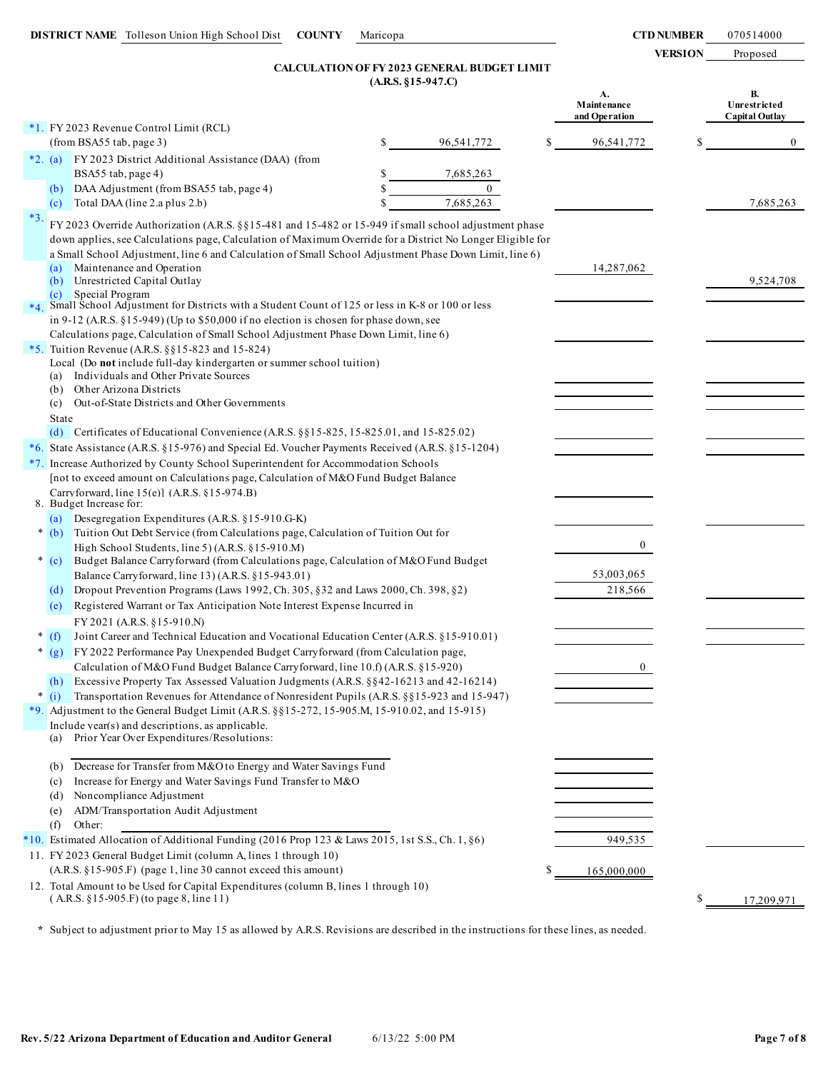# **(A.R.S. §15-947.C) CALCULATION OF FY 2023 GENERAL BUDGET LIMIT**

|        |                                                                                                                                                                                                                                                                                                                                                                       |    |              |   | A.<br>Maintenance<br>and Operation | <b>B.</b><br>Unrestricted<br><b>Capital Outlay</b> |
|--------|-----------------------------------------------------------------------------------------------------------------------------------------------------------------------------------------------------------------------------------------------------------------------------------------------------------------------------------------------------------------------|----|--------------|---|------------------------------------|----------------------------------------------------|
|        | *1. FY 2023 Revenue Control Limit (RCL)                                                                                                                                                                                                                                                                                                                               |    |              |   |                                    |                                                    |
|        | (from BSA55 tab, page 3)                                                                                                                                                                                                                                                                                                                                              | \$ | 96,541,772   |   | 96,541,772                         | $\overline{0}$                                     |
|        | FY 2023 District Additional Assistance (DAA) (from<br>$*2. (a)$                                                                                                                                                                                                                                                                                                       |    |              |   |                                    |                                                    |
|        | BSA55 tab, page 4)                                                                                                                                                                                                                                                                                                                                                    | S  | 7,685,263    |   |                                    |                                                    |
|        | DAA Adjustment (from BSA55 tab, page 4)<br>(b)                                                                                                                                                                                                                                                                                                                        |    | $\mathbf{0}$ |   |                                    |                                                    |
|        | Total DAA (line 2.a plus 2.b)<br>(c)                                                                                                                                                                                                                                                                                                                                  |    | 7,685,263    |   |                                    | 7,685,263                                          |
| $*3.$  | FY 2023 Override Authorization (A.R.S. $\S$ §15-481 and 15-482 or 15-949 if small school adjustment phase<br>down applies, see Calculations page, Calculation of Maximum Override for a District No Longer Eligible for<br>a Small School Adjustment, line 6 and Calculation of Small School Adjustment Phase Down Limit, line 6)<br>Maintenance and Operation<br>(a) |    |              |   | 14,287,062                         |                                                    |
|        | Unrestricted Capital Outlay<br>(b)                                                                                                                                                                                                                                                                                                                                    |    |              |   |                                    | 9,524,708                                          |
|        | Special Program<br>(c)                                                                                                                                                                                                                                                                                                                                                |    |              |   |                                    |                                                    |
| $*4.$  | Small School Adjustment for Districts with a Student Count of 125 or less in K-8 or 100 or less                                                                                                                                                                                                                                                                       |    |              |   |                                    |                                                    |
|        | in 9-12 (A.R.S. $\S 15-949$ ) (Up to $\S 50,000$ if no election is chosen for phase down, see                                                                                                                                                                                                                                                                         |    |              |   |                                    |                                                    |
|        | Calculations page, Calculation of Small School Adjustment Phase Down Limit, line 6)                                                                                                                                                                                                                                                                                   |    |              |   |                                    |                                                    |
|        | *5. Tuition Revenue (A.R.S. $\S$ §15-823 and 15-824)<br>Local (Do not include full-day kindergarten or summer school tuition)                                                                                                                                                                                                                                         |    |              |   |                                    |                                                    |
|        | Individuals and Other Private Sources<br>(a)                                                                                                                                                                                                                                                                                                                          |    |              |   |                                    |                                                    |
|        | Other Arizona Districts<br>(b)                                                                                                                                                                                                                                                                                                                                        |    |              |   |                                    |                                                    |
|        | Out-of-State Districts and Other Governments<br>(c)                                                                                                                                                                                                                                                                                                                   |    |              |   |                                    |                                                    |
|        | State                                                                                                                                                                                                                                                                                                                                                                 |    |              |   |                                    |                                                    |
|        | Certificates of Educational Convenience (A.R.S. §§15-825, 15-825.01, and 15-825.02)<br>(d)                                                                                                                                                                                                                                                                            |    |              |   |                                    |                                                    |
|        | *6. State Assistance (A.R.S. §15-976) and Special Ed. Voucher Payments Received (A.R.S. §15-1204)                                                                                                                                                                                                                                                                     |    |              |   |                                    |                                                    |
|        | *7. Increase Authorized by County School Superintendent for Accommodation Schools                                                                                                                                                                                                                                                                                     |    |              |   |                                    |                                                    |
|        | [not to exceed amount on Calculations page, Calculation of M&O Fund Budget Balance                                                                                                                                                                                                                                                                                    |    |              |   |                                    |                                                    |
|        | Carryforward, line $15(e)$ ] (A.R.S. $(15-974.B)$ )                                                                                                                                                                                                                                                                                                                   |    |              |   |                                    |                                                    |
|        | 8. Budget Increase for:                                                                                                                                                                                                                                                                                                                                               |    |              |   |                                    |                                                    |
| $\ast$ | (a) Desegregation Expenditures (A.R.S. §15-910.G-K)                                                                                                                                                                                                                                                                                                                   |    |              |   |                                    |                                                    |
|        | Tuition Out Debt Service (from Calculations page, Calculation of Tuition Out for<br>(b)                                                                                                                                                                                                                                                                               |    |              |   | 0                                  |                                                    |
|        | High School Students, line 5) (A.R.S. §15-910.M)<br>Budget Balance Carryforward (from Calculations page, Calculation of M&O Fund Budget<br>$*(c)$                                                                                                                                                                                                                     |    |              |   |                                    |                                                    |
|        | Balance Carryforward, line 13) (A.R.S. §15-943.01)                                                                                                                                                                                                                                                                                                                    |    |              |   | 53,003,065                         |                                                    |
|        | Dropout Prevention Programs (Laws 1992, Ch. 305, §32 and Laws 2000, Ch. 398, §2)<br>(d)                                                                                                                                                                                                                                                                               |    |              |   | 218,566                            |                                                    |
|        | Registered Warrant or Tax Anticipation Note Interest Expense Incurred in<br>(e)                                                                                                                                                                                                                                                                                       |    |              |   |                                    |                                                    |
|        | FY 2021 (A.R.S. §15-910.N)                                                                                                                                                                                                                                                                                                                                            |    |              |   |                                    |                                                    |
| ∗      | Joint Career and Technical Education and Vocational Education Center (A.R.S. §15-910.01)<br>(f)                                                                                                                                                                                                                                                                       |    |              |   |                                    |                                                    |
|        | FY 2022 Performance Pay Unexpended Budget Carryforward (from Calculation page,<br>$*(g)$                                                                                                                                                                                                                                                                              |    |              |   |                                    |                                                    |
|        | Calculation of M&O Fund Budget Balance Carryforward, line 10.f) (A.R.S. §15-920)                                                                                                                                                                                                                                                                                      |    |              |   | 0                                  |                                                    |
|        | Excessive Property Tax Assessed Valuation Judgments (A.R.S. §§42-16213 and 42-16214)<br>(h)                                                                                                                                                                                                                                                                           |    |              |   |                                    |                                                    |
|        | * (i) Transportation Revenues for Attendance of Nonresident Pupils (A.R.S. §§15-923 and 15-947)                                                                                                                                                                                                                                                                       |    |              |   |                                    |                                                    |
|        | *9. Adjustment to the General Budget Limit (A.R.S. §§15-272, 15-905.M, 15-910.02, and 15-915)                                                                                                                                                                                                                                                                         |    |              |   |                                    |                                                    |
|        | Include vear(s) and descriptions, as applicable.                                                                                                                                                                                                                                                                                                                      |    |              |   |                                    |                                                    |
|        | Prior Year Over Expenditures/Resolutions:<br>(a)                                                                                                                                                                                                                                                                                                                      |    |              |   |                                    |                                                    |
|        |                                                                                                                                                                                                                                                                                                                                                                       |    |              |   |                                    |                                                    |
|        | (b) Decrease for Transfer from M&O to Energy and Water Savings Fund                                                                                                                                                                                                                                                                                                   |    |              |   |                                    |                                                    |
|        | Increase for Energy and Water Savings Fund Transfer to M&O<br>(c)                                                                                                                                                                                                                                                                                                     |    |              |   |                                    |                                                    |
|        | Noncompliance Adjustment<br>(d)                                                                                                                                                                                                                                                                                                                                       |    |              |   |                                    |                                                    |
|        | ADM/Transportation Audit Adjustment<br>(e)                                                                                                                                                                                                                                                                                                                            |    |              |   |                                    |                                                    |
|        | Other:<br>(f)                                                                                                                                                                                                                                                                                                                                                         |    |              |   |                                    |                                                    |
|        | *10. Estimated Allocation of Additional Funding (2016 Prop 123 & Laws 2015, 1st S.S., Ch. 1, §6)                                                                                                                                                                                                                                                                      |    |              |   | 949,535                            |                                                    |
|        | 11. FY 2023 General Budget Limit (column A, lines 1 through 10)                                                                                                                                                                                                                                                                                                       |    |              |   |                                    |                                                    |
|        | (A.R.S. §15-905.F) (page 1, line 30 cannot exceed this amount)                                                                                                                                                                                                                                                                                                        |    |              | S | 165,000,000                        |                                                    |
|        | 12. Total Amount to be Used for Capital Expenditures (column B, lines 1 through 10)<br>(A.R.S. §15-905.F) (to page 8, line 11)                                                                                                                                                                                                                                        |    |              |   |                                    | \$<br>17,209,971                                   |

**\*** Subject to adjustment prior to May 15 as allowed by A.R.S. Revisions are described in the instructions for these lines, as needed.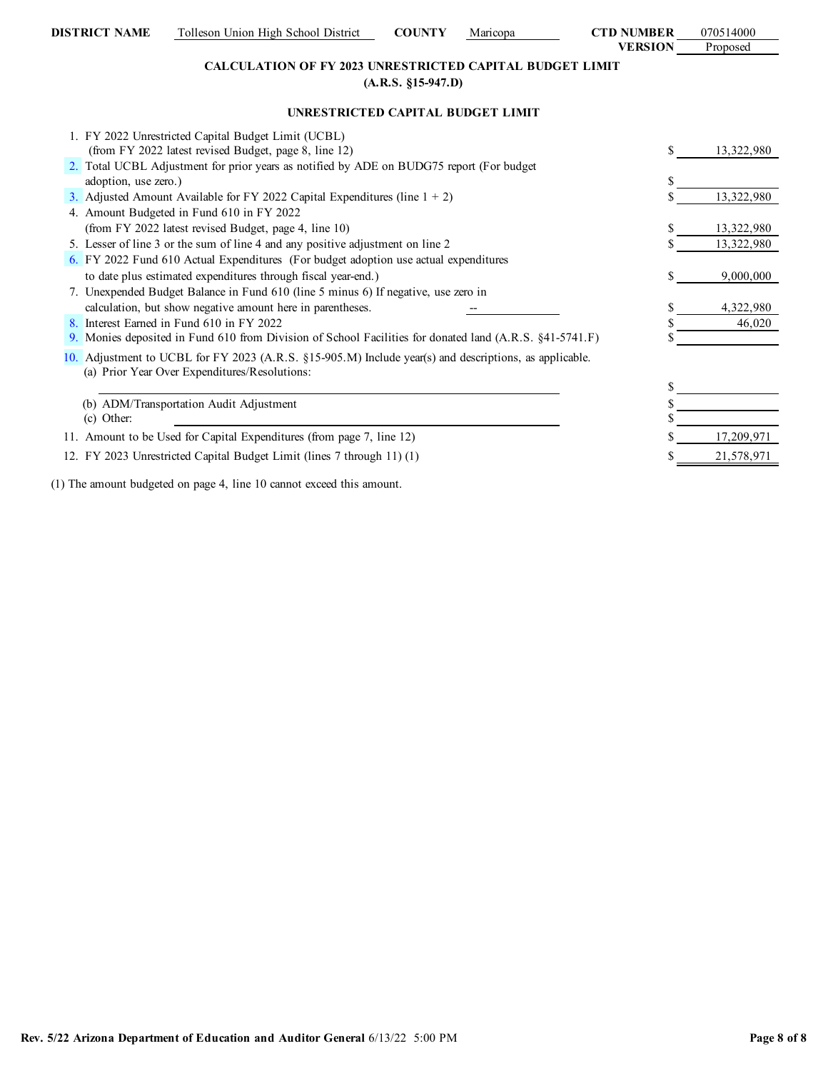# **CALCULATION OF FY 2023 UNRESTRICTED CAPITAL BUDGET LIMIT (A.R.S. §15-947.D)**

# **UNRESTRICTED CAPITAL BUDGET LIMIT**

| 1. FY 2022 Unrestricted Capital Budget Limit (UCBL)                                                                                                     |  |            |
|---------------------------------------------------------------------------------------------------------------------------------------------------------|--|------------|
| (from FY 2022 latest revised Budget, page 8, line 12)                                                                                                   |  | 13,322,980 |
| 2. Total UCBL Adjustment for prior years as notified by ADE on BUDG75 report (For budget                                                                |  |            |
| adoption, use zero.)                                                                                                                                    |  |            |
| 3. Adjusted Amount Available for FY 2022 Capital Expenditures (line $1 + 2$ )                                                                           |  | 13,322,980 |
| 4. Amount Budgeted in Fund 610 in FY 2022                                                                                                               |  |            |
| (from FY 2022 latest revised Budget, page 4, line 10)                                                                                                   |  | 13,322,980 |
| 5. Lesser of line 3 or the sum of line 4 and any positive adjustment on line 2                                                                          |  | 13,322,980 |
| 6. FY 2022 Fund 610 Actual Expenditures (For budget adoption use actual expenditures                                                                    |  |            |
| to date plus estimated expenditures through fiscal year-end.)                                                                                           |  | 9,000,000  |
| 7. Unexpended Budget Balance in Fund 610 (line 5 minus 6) If negative, use zero in                                                                      |  |            |
| calculation, but show negative amount here in parentheses.                                                                                              |  | 4,322,980  |
| 8. Interest Earned in Fund 610 in FY 2022                                                                                                               |  | 46,020     |
| 9. Monies deposited in Fund 610 from Division of School Facilities for donated land (A.R.S. §41-5741.F)                                                 |  |            |
| 10. Adjustment to UCBL for FY 2023 (A.R.S. §15-905.M) Include year(s) and descriptions, as applicable.<br>(a) Prior Year Over Expenditures/Resolutions: |  |            |
|                                                                                                                                                         |  |            |
| (b) ADM/Transportation Audit Adjustment                                                                                                                 |  |            |
| (c) Other:                                                                                                                                              |  |            |
| 11. Amount to be Used for Capital Expenditures (from page 7, line 12)                                                                                   |  | 17,209,971 |
| 12. FY 2023 Unrestricted Capital Budget Limit (lines 7 through 11) (1)                                                                                  |  | 21,578,971 |
|                                                                                                                                                         |  |            |

(1) The amount budgeted on page 4, line 10 cannot exceed this amount.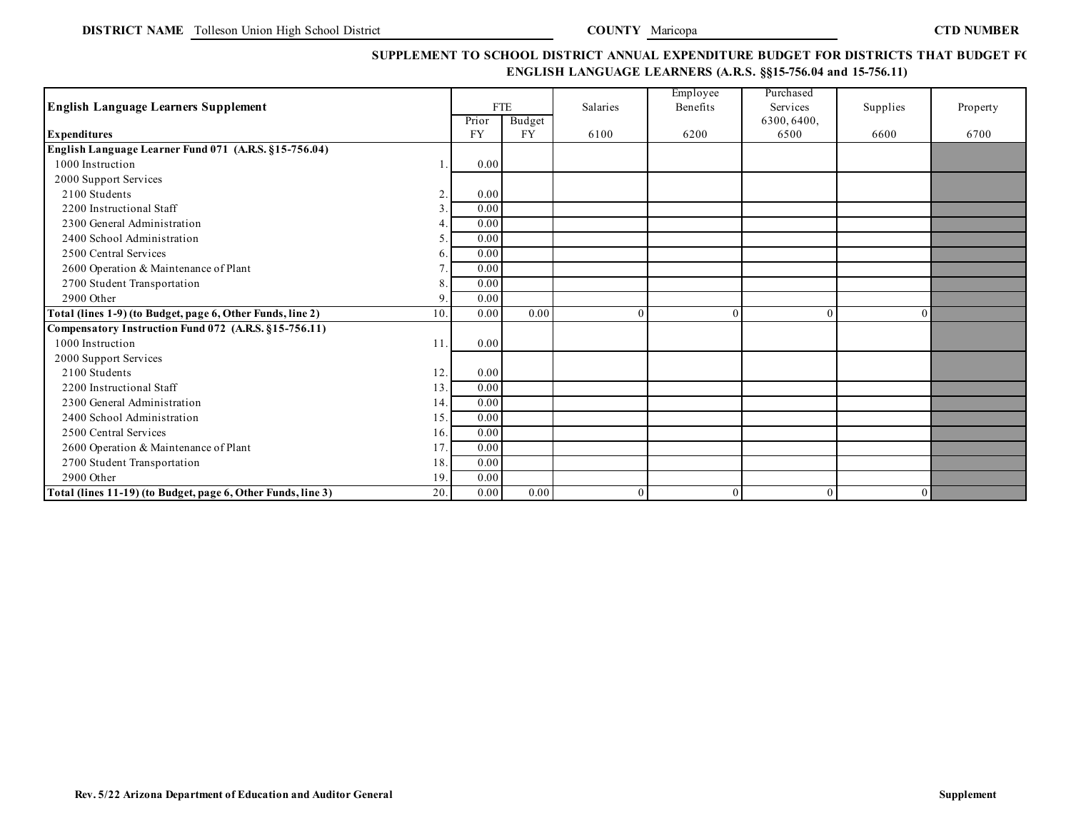# SUPPLEMENT TO SCHOOL DISTRICT ANNUAL EXPENDITURE BUDGET FOR DISTRICTS THAT BUDGET F( **ENGLISH LANGUAGE LEARNERS (A.R.S. §§15-756.04 and 15-756.11)**

| <b>English Language Learners Supplement</b>                         |                    | <b>FTE</b>          | Salaries | Employee<br>Benefits | Purchased<br>Services | Supplies | Property |
|---------------------------------------------------------------------|--------------------|---------------------|----------|----------------------|-----------------------|----------|----------|
|                                                                     | Prior<br><b>FY</b> | Budget<br><b>FY</b> |          |                      | 6300, 6400,<br>6500   | 6600     | 6700     |
| <b>Expenditures</b>                                                 |                    |                     | 6100     | 6200                 |                       |          |          |
| English Language Learner Fund 071 (A.R.S. §15-756.04)               |                    |                     |          |                      |                       |          |          |
| 1000 Instruction                                                    | 0.00               |                     |          |                      |                       |          |          |
| 2000 Support Services                                               |                    |                     |          |                      |                       |          |          |
| 2100 Students<br>2                                                  | 0.00               |                     |          |                      |                       |          |          |
| 2200 Instructional Staff                                            | 0.00               |                     |          |                      |                       |          |          |
| 2300 General Administration                                         | 0.00               |                     |          |                      |                       |          |          |
| 2400 School Administration                                          | 0.00               |                     |          |                      |                       |          |          |
| 2500 Central Services<br>h                                          | 0.00               |                     |          |                      |                       |          |          |
| 2600 Operation & Maintenance of Plant                               | 0.00               |                     |          |                      |                       |          |          |
| 2700 Student Transportation<br>8                                    | 0.00               |                     |          |                      |                       |          |          |
| 2900 Other<br>9                                                     | 0.00               |                     |          |                      |                       |          |          |
| 10.<br>Total (lines 1-9) (to Budget, page 6, Other Funds, line 2)   | 0.00               | 0.00                | $\theta$ |                      | $\Omega$              | $\Omega$ |          |
| Compensatory Instruction Fund 072 (A.R.S. §15-756.11)               |                    |                     |          |                      |                       |          |          |
| 1000 Instruction<br>11                                              | 0.00               |                     |          |                      |                       |          |          |
| 2000 Support Services                                               |                    |                     |          |                      |                       |          |          |
| 2100 Students<br>12.                                                | 0.00               |                     |          |                      |                       |          |          |
| 2200 Instructional Staff<br>13.                                     | 0.00               |                     |          |                      |                       |          |          |
| 2300 General Administration<br>14.                                  | 0.00               |                     |          |                      |                       |          |          |
| 2400 School Administration<br>15.                                   | 0.00               |                     |          |                      |                       |          |          |
| 2500 Central Services<br>16.                                        | 0.00               |                     |          |                      |                       |          |          |
| 2600 Operation & Maintenance of Plant<br>17                         | 0.00               |                     |          |                      |                       |          |          |
| 2700 Student Transportation<br>18.                                  | 0.00               |                     |          |                      |                       |          |          |
| 2900 Other<br>19                                                    | 0.00               |                     |          |                      |                       |          |          |
| 20.<br>Total (lines 11-19) (to Budget, page 6, Other Funds, line 3) | 0.00               | 0.00                | $\theta$ |                      | $\theta$              | $\Omega$ |          |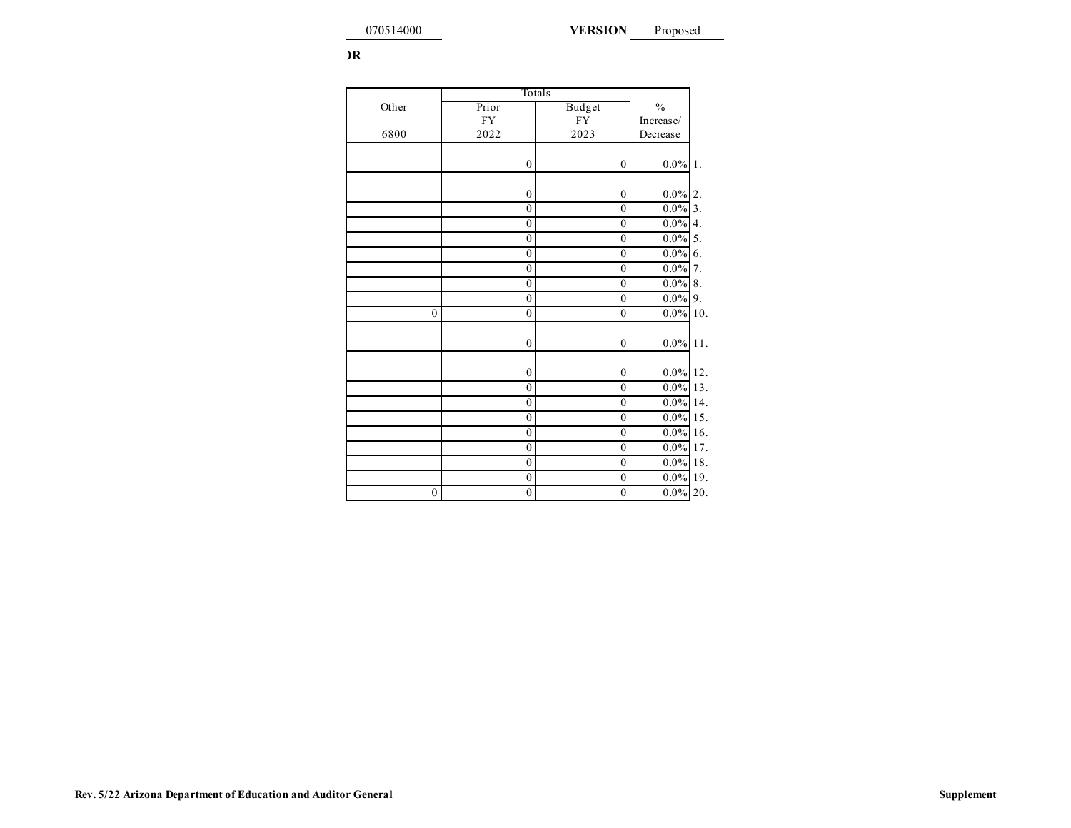**VERSION**

|  |  | )R |
|--|--|----|
|--|--|----|

|                  | Totals           |                  |             |     |
|------------------|------------------|------------------|-------------|-----|
| Other            | Prior            | Budget           | $\%$        |     |
|                  | ${\rm FY}$       | ${\rm FY}$       | Increase/   |     |
| 6800             | 2022             | 2023             | Decrease    |     |
|                  |                  |                  |             |     |
|                  | $\boldsymbol{0}$ | $\mathbf{0}$     | $0.0\%$     | 1.  |
|                  |                  |                  |             |     |
|                  | $\boldsymbol{0}$ | $\boldsymbol{0}$ | $0.0\%$     | 2.  |
|                  | $\boldsymbol{0}$ | $\overline{0}$   | $0.0\%$ 3.  |     |
|                  | $\mathbf{0}$     | $\mathbf{0}$     | $0.0\%$ 4.  |     |
|                  | $\boldsymbol{0}$ | $\overline{0}$   | $0.0\%$ 5.  |     |
|                  | $\boldsymbol{0}$ | $\boldsymbol{0}$ | $0.0\%$ 6.  |     |
|                  | $\boldsymbol{0}$ | $\boldsymbol{0}$ | $0.0\%$ 7.  |     |
|                  | $\mathbf{0}$     | $\overline{0}$   | $0.0\%$ 8.  |     |
|                  | $\boldsymbol{0}$ | $\overline{0}$   | $0.0\%$     | 9.  |
| $\boldsymbol{0}$ | $\boldsymbol{0}$ | $\boldsymbol{0}$ | $0.0\%$     | 10. |
|                  |                  |                  |             |     |
|                  | $\boldsymbol{0}$ | $\boldsymbol{0}$ | $0.0\%$     | 11. |
|                  |                  |                  |             |     |
|                  | $\boldsymbol{0}$ | $\mathbf{0}$     | $0.0\%$ 12. |     |
|                  | $\mathbf{0}$     | $\overline{0}$   | $0.0\%$     | 13. |
|                  | $\mathbf{0}$     | $\overline{0}$   | $0.0\%$ 14. |     |
|                  | $\boldsymbol{0}$ | $\boldsymbol{0}$ | $0.0\%$ 15. |     |
|                  | $\boldsymbol{0}$ | $\boldsymbol{0}$ | $0.0\%$ 16. |     |
|                  | $\mathbf{0}$     | $\overline{0}$   | $0.0\%$ 17. |     |
|                  | $\boldsymbol{0}$ | $\overline{0}$   | $0.0\%$ 18. |     |
|                  | $\boldsymbol{0}$ | $\boldsymbol{0}$ | $0.0\%$ 19. |     |
| $\mathbf{0}$     | $\boldsymbol{0}$ | $\mathbf{0}$     | $0.0\%$     | 20. |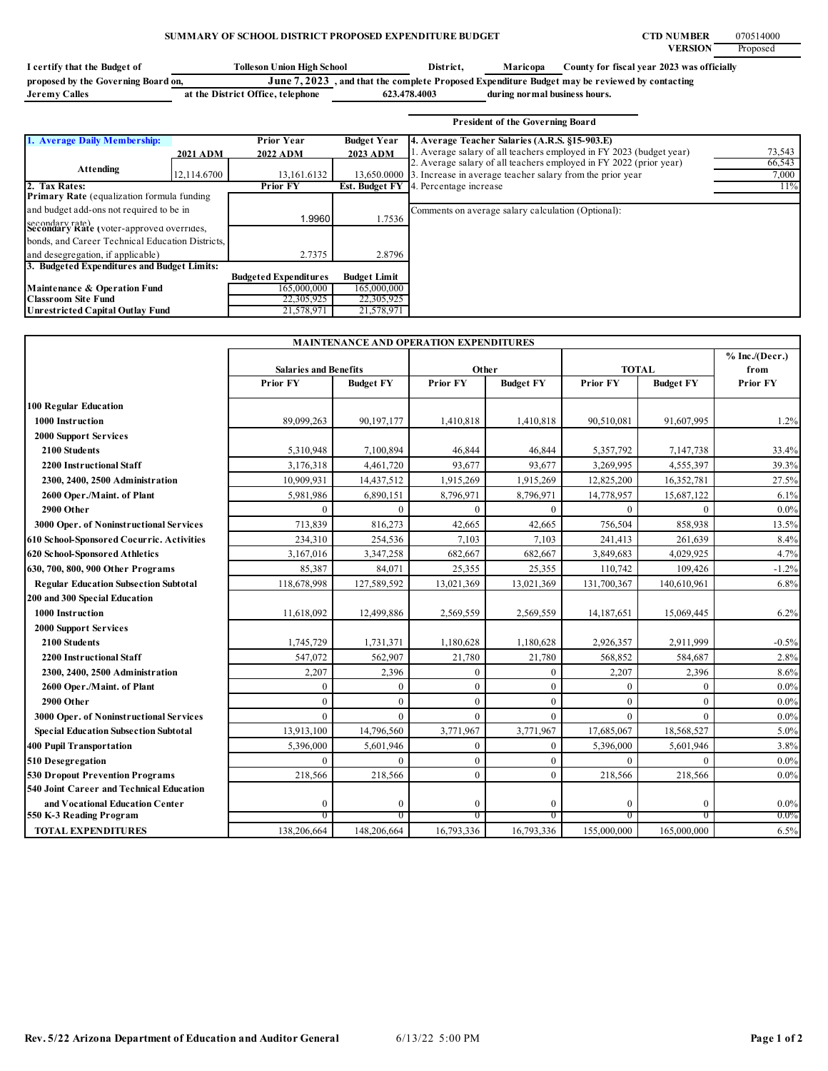# **SUMMARY OF SCHOOL DISTRICT PROPOSED EXPENDITURE BUDGET CTD NUMBER** CTD NUMBER

**VERSION** Proposed

| I certify that the Budget of        | Tolleson Union High School        | District.                                                                                     | Maricopa                      | County for fiscal year 2023 was officially |
|-------------------------------------|-----------------------------------|-----------------------------------------------------------------------------------------------|-------------------------------|--------------------------------------------|
| proposed by the Governing Board on, |                                   | June 7, 2023, and that the complete Proposed Expenditure Budget may be reviewed by contacting |                               |                                            |
| Jeremy Calles                       | at the District Office, telephone | 623.478.4003                                                                                  | during normal business hours. |                                            |

|                                                              |                 |                              |                     | <b>President of the Governing Board</b>                               |        |
|--------------------------------------------------------------|-----------------|------------------------------|---------------------|-----------------------------------------------------------------------|--------|
| 1. Average Daily Membership:                                 |                 | <b>Prior Year</b>            | <b>Budget Year</b>  | 4. Average Teacher Salaries (A.R.S. §15-903.E)                        |        |
|                                                              | <b>2021 ADM</b> | 2022 ADM                     | 2023 ADM            | 1. Average salary of all teachers employed in FY 2023 (budget year)   | 73,543 |
| Attending                                                    |                 |                              |                     | 2. Average salary of all teachers employed in FY 2022 (prior year)    | 66,543 |
|                                                              | 12,114.6700     | 13,161.6132                  |                     | 13,650,0000 3. Increase in average teacher salary from the prior year | 7,000  |
| 2. Tax Rates:                                                |                 | <b>Prior FY</b>              |                     | <b>Est. Budget FY</b> 4. Percentage increase                          | 11%    |
| <b>Primary Rate</b> (equalization formula funding            |                 |                              |                     |                                                                       |        |
| and budget add-ons not required to be in                     |                 |                              |                     | Comments on average salary calculation (Optional):                    |        |
| secondary rate)<br>Secondary Kate (voter-approved overrides, |                 | 1.9960                       | 1.7536              |                                                                       |        |
|                                                              |                 |                              |                     |                                                                       |        |
| bonds, and Career Technical Education Districts,             |                 |                              |                     |                                                                       |        |
| and desegregation, if applicable)                            |                 | 2.7375                       | 2.8796              |                                                                       |        |
| 3. Budgeted Expenditures and Budget Limits:                  |                 |                              |                     |                                                                       |        |
|                                                              |                 | <b>Budgeted Expenditures</b> | <b>Budget Limit</b> |                                                                       |        |
| Maintenance & Operation Fund                                 |                 | 165,000,000                  | 165,000,000         |                                                                       |        |
| <b>Classroom Site Fund</b>                                   |                 | 22,305,925                   | 22,305,925          |                                                                       |        |
| <b>Unrestricted Capital Outlay Fund</b>                      |                 | 21,578,971                   | 21,578,971          |                                                                       |        |

| <b>MAINTENANCE AND OPERATION EXPENDITURES</b> |                              |                  |                 |                  |                 |                  |                          |  |
|-----------------------------------------------|------------------------------|------------------|-----------------|------------------|-----------------|------------------|--------------------------|--|
|                                               | <b>Salaries and Benefits</b> |                  | Other           |                  | <b>TOTAL</b>    |                  | % Inc. / (Decr.)<br>from |  |
|                                               | <b>Prior FY</b>              | <b>Budget FY</b> | <b>Prior FY</b> | <b>Budget FY</b> | <b>Prior FY</b> | <b>Budget FY</b> | <b>Prior FY</b>          |  |
| <b>100 Regular Education</b>                  |                              |                  |                 |                  |                 |                  |                          |  |
| 1000 Instruction                              | 89,099,263                   | 90,197,177       | 1,410,818       | 1,410,818        | 90,510,081      | 91,607,995       | 1.2%                     |  |
| <b>2000 Support Services</b>                  |                              |                  |                 |                  |                 |                  |                          |  |
| 2100 Students                                 | 5,310,948                    | 7,100,894        | 46,844          | 46,844           | 5,357,792       | 7,147,738        | 33.4%                    |  |
| <b>2200 Instructional Staff</b>               | 3,176,318                    | 4,461,720        | 93,677          | 93,677           | 3,269,995       | 4,555,397        | 39.3%                    |  |
| 2300, 2400, 2500 Administration               | 10,909,931                   | 14,437,512       | 1,915,269       | 1,915,269        | 12,825,200      | 16,352,781       | 27.5%                    |  |
| 2600 Oper./Maint. of Plant                    | 5,981,986                    | 6,890,151        | 8,796,971       | 8,796,971        | 14,778,957      | 15,687,122       | 6.1%                     |  |
| 2900 Other                                    | $\Omega$                     | $\theta$         | $\theta$        | $\theta$         | $\theta$        | $\Omega$         | $0.0\%$                  |  |
| 3000 Oper. of Noninstructional Services       | 713,839                      | 816,273          | 42,665          | 42,665           | 756,504         | 858,938          | 13.5%                    |  |
| 610 School-Sponsored Cocurric. Activities     | 234,310                      | 254,536          | 7,103           | 7,103            | 241,413         | 261,639          | 8.4%                     |  |
| 620 School-Sponsored Athletics                | 3,167,016                    | 3,347,258        | 682,667         | 682,667          | 3,849,683       | 4,029,925        | 4.7%                     |  |
| 630, 700, 800, 900 Other Programs             | 85,387                       | 84,071           | 25,355          | 25,355           | 110,742         | 109,426          | $-1.2%$                  |  |
| <b>Regular Education Subsection Subtotal</b>  | 118,678,998                  | 127,589,592      | 13,021,369      | 13,021,369       | 131,700,367     | 140,610,961      | 6.8%                     |  |
| 200 and 300 Special Education                 |                              |                  |                 |                  |                 |                  |                          |  |
| 1000 Instruction                              | 11,618,092                   | 12,499,886       | 2,569,559       | 2,569,559        | 14,187,651      | 15,069,445       | 6.2%                     |  |
| <b>2000 Support Services</b>                  |                              |                  |                 |                  |                 |                  |                          |  |
| 2100 Students                                 | 1,745,729                    | 1,731,371        | 1,180,628       | 1,180,628        | 2,926,357       | 2,911,999        | $-0.5%$                  |  |
| 2200 Instructional Staff                      | 547,072                      | 562,907          | 21,780          | 21,780           | 568,852         | 584,687          | 2.8%                     |  |
| 2300, 2400, 2500 Administration               | 2,207                        | 2,396            | $\theta$        | $\mathbf{0}$     | 2,207           | 2,396            | 8.6%                     |  |
| 2600 Oper./Maint. of Plant                    | 0                            | $\mathbf{0}$     | $\Omega$        | $\theta$         | $\mathbf{0}$    | $\Omega$         | $0.0\%$                  |  |
| 2900 Other                                    | $\Omega$                     | $\overline{0}$   | $\theta$        | $\theta$         | $\mathbf{0}$    | $\Omega$         | $0.0\%$                  |  |
| 3000 Oper. of Noninstructional Services       | $\theta$                     | $\mathbf{0}$     | $\Omega$        | $\theta$         | $\theta$        | $\Omega$         | $0.0\%$                  |  |
| <b>Special Education Subsection Subtotal</b>  | 13,913,100                   | 14,796,560       | 3,771,967       | 3,771,967        | 17,685,067      | 18,568,527       | 5.0%                     |  |
| <b>400 Pupil Transportation</b>               | 5,396,000                    | 5,601,946        | $\theta$        | $\Omega$         | 5,396,000       | 5,601,946        | 3.8%                     |  |
| 510 Desegregation                             | $\Omega$                     | $\theta$         | $\mathbf{0}$    | $\mathbf{0}$     | $\theta$        | $\Omega$         | $0.0\%$                  |  |
| <b>530 Dropout Prevention Programs</b>        | 218,566                      | 218,566          | $\Omega$        | $\theta$         | 218,566         | 218,566          | $0.0\%$                  |  |
| 540 Joint Career and Technical Education      |                              |                  |                 |                  |                 |                  |                          |  |
| and Vocational Education Center               | $\mathbf{0}$                 | $\mathbf{0}$     | $\Omega$        | $\Omega$         | $\mathbf{0}$    | $\Omega$         | $0.0\%$                  |  |
| 550 K-3 Reading Program                       | 0                            | $_{0}$           | $\sigma$        | $\sigma$         | $\overline{0}$  | $^{\circ}$       | $0.0\%$                  |  |
| <b>TOTAL EXPENDITURES</b>                     | 138,206,664                  | 148,206,664      | 16,793,336      | 16,793,336       | 155,000,000     | 165,000,000      | 6.5%                     |  |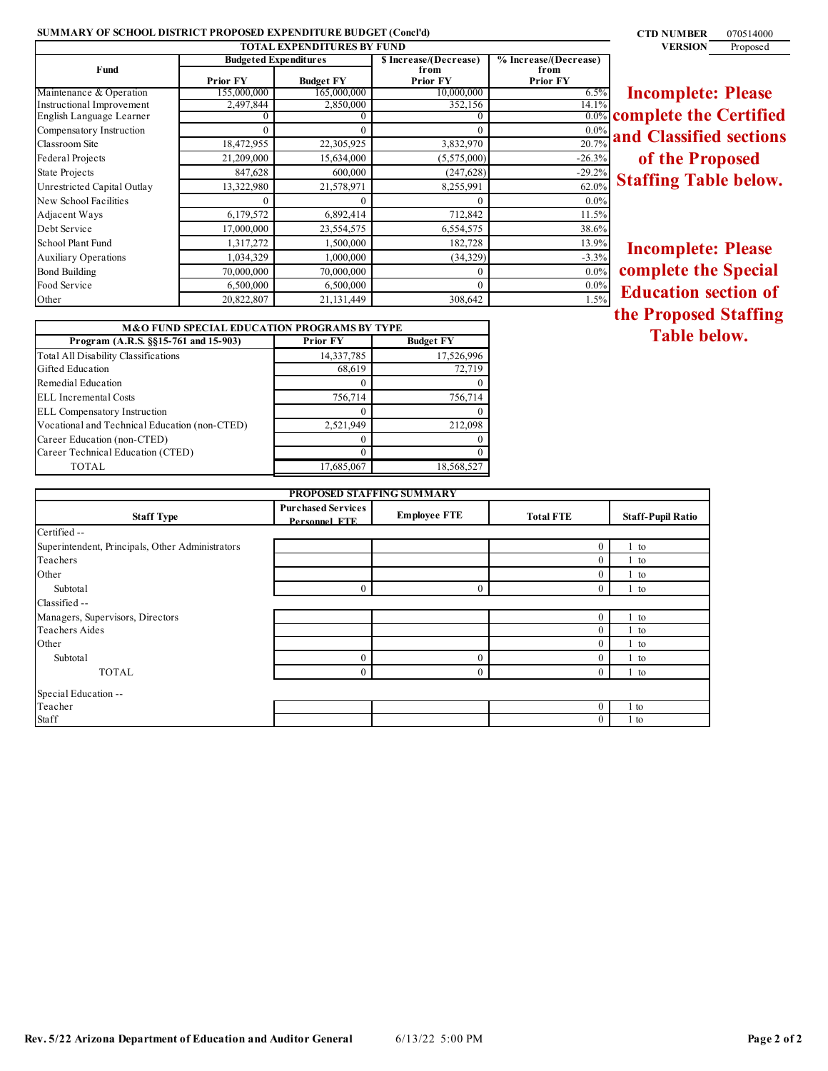# **SUMMARY OF SCHOOL DISTRICT PROPOSED EXPENDITURE BUDGET (Concl'd) 0710514000 0710514000 070514000**

| <b>TOTAL EXPENDITURES BY FUND</b> |                              |                  |                         |                         |  |  |
|-----------------------------------|------------------------------|------------------|-------------------------|-------------------------|--|--|
|                                   | <b>Budgeted Expenditures</b> |                  | \$ Increase/(Decrease)  | % Increase/(Decrease)   |  |  |
| Fund                              | <b>Prior FY</b>              | <b>Budget FY</b> | from<br><b>Prior FY</b> | from<br><b>Prior FY</b> |  |  |
| Maintenance & Operation           | 155,000,000                  | 165,000,000      | 10,000,000              | 6.5%                    |  |  |
| Instructional Improvement         | 2,497,844                    | 2,850,000        | 352,156                 | 14.1%                   |  |  |
| English Language Learner          |                              |                  |                         | $0.0\%$                 |  |  |
| Compensatory Instruction          |                              | $\theta$         | $\Omega$                | $0.0\%$                 |  |  |
| Classroom Site                    | 18,472,955                   | 22,305,925       | 3,832,970               | 20.7%                   |  |  |
| Federal Projects                  | 21,209,000                   | 15,634,000       | (5,575,000)             | $-26.3%$                |  |  |
| State Projects                    | 847,628                      | 600,000          | (247, 628)              | $-29.2%$                |  |  |
| Unrestricted Capital Outlay       | 13,322,980                   | 21,578,971       | 8,255,991               | 62.0%                   |  |  |
| New School Facilities             |                              | 0                | 0                       | $0.0\%$                 |  |  |
| Adjacent Ways                     | 6,179,572                    | 6,892,414        | 712,842                 | 11.5%                   |  |  |
| Debt Service                      | 17,000,000                   | 23,554,575       | 6,554,575               | 38.6%                   |  |  |
| School Plant Fund                 | 1,317,272                    | 1,500,000        | 182,728                 | 13.9%                   |  |  |
| <b>Auxiliary Operations</b>       | 1,034,329                    | 1,000,000        | (34, 329)               | $-3.3%$                 |  |  |
| <b>Bond Building</b>              | 70,000,000                   | 70,000,000       | $\theta$                | $0.0\%$                 |  |  |
| Food Service                      | 6,500,000                    | 6,500,000        | $\theta$                | $0.0\%$                 |  |  |
| Other                             | 20,822,807                   | 21,131,449       | 308,642                 | 1.5%                    |  |  |

**Incomplete: Please complete the Certified and Classified sections of the Proposed Staffing Table below.**

**Incomplete: Please complete the Special Education section of the Proposed Staffing Table below.**

| <b>M&amp;O FUND SPECIAL EDUCATION PROGRAMS BY TYPE</b> |                 |                  |  |  |  |
|--------------------------------------------------------|-----------------|------------------|--|--|--|
| Program (A.R.S. §§15-761 and 15-903)                   | <b>Prior FY</b> | <b>Budget FY</b> |  |  |  |
| <b>Total All Disability Classifications</b>            | 14,337,785      | 17,526,996       |  |  |  |
| Gifted Education                                       | 68,619          | 72,719           |  |  |  |
| Remedial Education                                     | $\mathcal{L}$   | $\theta$         |  |  |  |
| ELL Incremental Costs                                  | 756,714         | 756,714          |  |  |  |
| <b>ELL</b> Compensatory Instruction                    | 0               | $\theta$         |  |  |  |
| Vocational and Technical Education (non-CTED)          | 2,521,949       | 212,098          |  |  |  |
| Career Education (non-CTED)                            | $\mathcal{L}$   | $\theta$         |  |  |  |
| Career Technical Education (CTED)                      | O               | $\theta$         |  |  |  |
| TOTAL                                                  | 17,685,067      | 18,568,527       |  |  |  |

| <b>PROPOSED STAFFING SUMMARY</b>                 |                                            |                     |                  |                          |  |  |
|--------------------------------------------------|--------------------------------------------|---------------------|------------------|--------------------------|--|--|
| <b>Staff Type</b>                                | <b>Purchased Services</b><br>Personnel FTE | <b>Employee FTE</b> | <b>Total FTE</b> | <b>Staff-Pupil Ratio</b> |  |  |
| Certified --                                     |                                            |                     |                  |                          |  |  |
| Superintendent, Principals, Other Administrators |                                            |                     | $\theta$         | 1 to                     |  |  |
| Teachers                                         |                                            |                     | $\theta$         | 1 to                     |  |  |
| Other                                            |                                            |                     | $\theta$         | 1 to                     |  |  |
| Subtotal                                         | $\mathbf{0}$                               | $\theta$            | $\theta$         | 1 to                     |  |  |
| Classified --                                    |                                            |                     |                  |                          |  |  |
| Managers, Supervisors, Directors                 |                                            |                     | $\mathbf{0}$     | $1$ to                   |  |  |
| <b>Teachers Aides</b>                            |                                            |                     | $\Omega$         | $1$ to                   |  |  |
| Other                                            |                                            |                     | $\Omega$         | 1 to                     |  |  |
| Subtotal                                         | $\boldsymbol{0}$                           | $\theta$            | $\theta$         | 1 to                     |  |  |
| <b>TOTAL</b>                                     | $\mathbf{0}$                               | $\Omega$            | $\Omega$         | 1 to                     |  |  |
| Special Education --                             |                                            |                     |                  |                          |  |  |
| Teacher                                          |                                            |                     | $\Omega$         | 1 to                     |  |  |
| Staff                                            |                                            |                     | $\Omega$         | 1 to                     |  |  |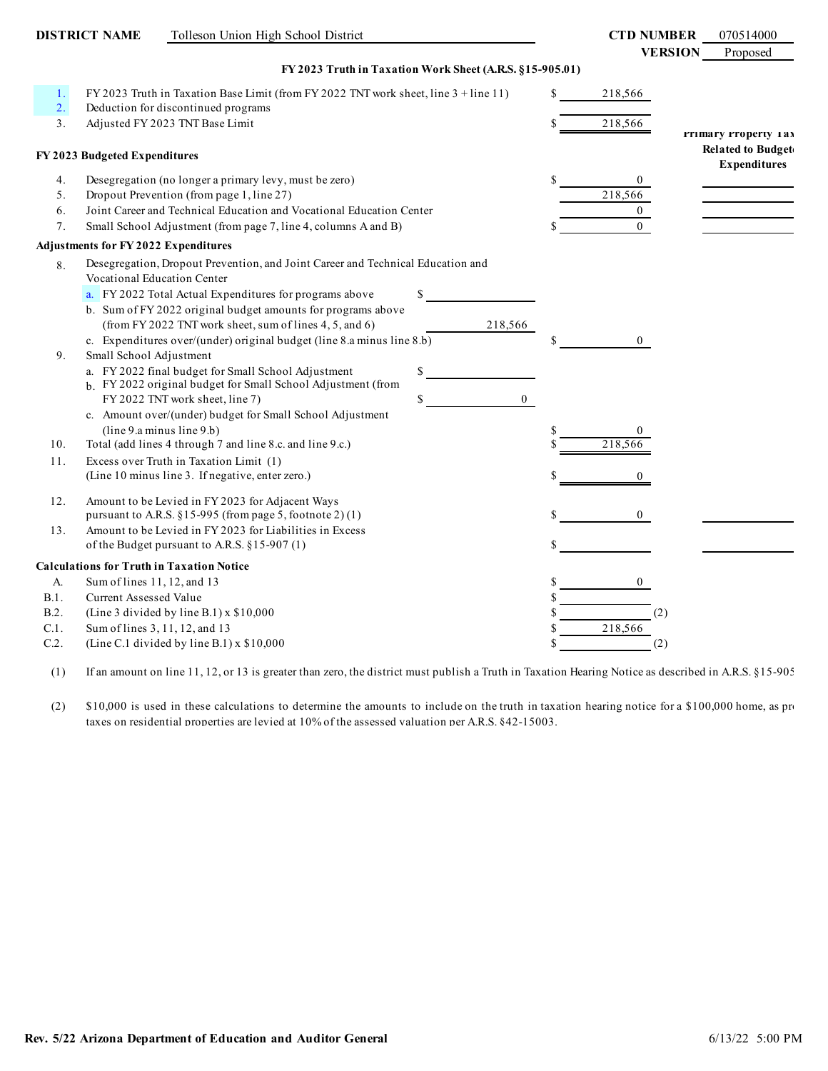|          | <b>DISTRICT NAME</b>                                   | Tolleson Union High School District                                                                                                                                                                                                                                                                                                                                                                                                                                    |                        |   | <b>CTD NUMBER</b> | 070514000                                       |
|----------|--------------------------------------------------------|------------------------------------------------------------------------------------------------------------------------------------------------------------------------------------------------------------------------------------------------------------------------------------------------------------------------------------------------------------------------------------------------------------------------------------------------------------------------|------------------------|---|-------------------|-------------------------------------------------|
|          |                                                        |                                                                                                                                                                                                                                                                                                                                                                                                                                                                        |                        |   | <b>VERSION</b>    | Proposed                                        |
|          |                                                        | FY 2023 Truth in Taxation Work Sheet (A.R.S. §15-905.01)                                                                                                                                                                                                                                                                                                                                                                                                               |                        |   |                   |                                                 |
| 1.<br>2. |                                                        | FY 2023 Truth in Taxation Base Limit (from FY 2022 TNT work sheet, line 3 + line 11)<br>Deduction for discontinued programs                                                                                                                                                                                                                                                                                                                                            |                        |   | 218,566           |                                                 |
| 3.       |                                                        | Adjusted FY 2023 TNT Base Limit                                                                                                                                                                                                                                                                                                                                                                                                                                        |                        |   | 218,566           | Frimary Property 1 ax                           |
|          | FY 2023 Budgeted Expenditures                          |                                                                                                                                                                                                                                                                                                                                                                                                                                                                        |                        |   |                   | <b>Related to Budget</b><br><b>Expenditures</b> |
| 4.       |                                                        | Desegregation (no longer a primary levy, must be zero)                                                                                                                                                                                                                                                                                                                                                                                                                 |                        |   | $\mathbf{0}$      |                                                 |
| 5.       |                                                        | Dropout Prevention (from page 1, line 27)                                                                                                                                                                                                                                                                                                                                                                                                                              |                        |   | 218,566           |                                                 |
| 6.       |                                                        | Joint Career and Technical Education and Vocational Education Center                                                                                                                                                                                                                                                                                                                                                                                                   |                        |   | $\overline{0}$    |                                                 |
| 7.       |                                                        | Small School Adjustment (from page 7, line 4, columns A and B)                                                                                                                                                                                                                                                                                                                                                                                                         |                        |   | $\Omega$          |                                                 |
|          | <b>Adjustments for FY 2022 Expenditures</b>            |                                                                                                                                                                                                                                                                                                                                                                                                                                                                        |                        |   |                   |                                                 |
| 8.<br>9. | Vocational Education Center<br>Small School Adjustment | Desegregation, Dropout Prevention, and Joint Career and Technical Education and<br>a. FY 2022 Total Actual Expenditures for programs above<br>b. Sum of FY 2022 original budget amounts for programs above<br>(from FY 2022 TNT work sheet, sum of lines 4, 5, and 6)<br>c. Expenditures over/(under) original budget (line 8.a minus line 8.b)<br>a. FY 2022 final budget for Small School Adjustment<br>b. FY 2022 original budget for Small School Adjustment (from | \$<br>218,566<br>\$    |   | $\overline{0}$    |                                                 |
|          |                                                        | FY 2022 TNT work sheet, line 7)<br>c. Amount over/(under) budget for Small School Adjustment<br>(line 9.a minus line 9.b)                                                                                                                                                                                                                                                                                                                                              | $\boldsymbol{0}$<br>\$ |   | $\Omega$          |                                                 |
| 10.      |                                                        | Total (add lines 4 through 7 and line 8.c. and line 9.c.)                                                                                                                                                                                                                                                                                                                                                                                                              |                        |   | 218,566           |                                                 |
| 11.      |                                                        | Excess over Truth in Taxation Limit (1)<br>(Line 10 minus line 3. If negative, enter zero.)                                                                                                                                                                                                                                                                                                                                                                            |                        |   |                   |                                                 |
| 12.      |                                                        | Amount to be Levied in FY 2023 for Adjacent Ways<br>pursuant to A.R.S. §15-995 (from page 5, footnote 2)(1)                                                                                                                                                                                                                                                                                                                                                            |                        |   | $\theta$          |                                                 |
| 13.      |                                                        | Amount to be Levied in FY 2023 for Liabilities in Excess<br>of the Budget pursuant to A.R.S. §15-907 (1)                                                                                                                                                                                                                                                                                                                                                               |                        |   |                   |                                                 |
|          |                                                        | <b>Calculations for Truth in Taxation Notice</b>                                                                                                                                                                                                                                                                                                                                                                                                                       |                        |   |                   |                                                 |
| A.       | Sum of lines 11, 12, and 13                            |                                                                                                                                                                                                                                                                                                                                                                                                                                                                        |                        | S | $\overline{0}$    |                                                 |
| B.1.     | Current Assessed Value                                 |                                                                                                                                                                                                                                                                                                                                                                                                                                                                        |                        |   |                   |                                                 |
| B.2.     |                                                        | (Line 3 divided by line B.1) $x$ \$10,000                                                                                                                                                                                                                                                                                                                                                                                                                              |                        |   | (2)               |                                                 |
| C.1.     | Sum of lines 3, 11, 12, and 13                         |                                                                                                                                                                                                                                                                                                                                                                                                                                                                        |                        |   | 218,566           |                                                 |
| C.2.     |                                                        | (Line C.1 divided by line B.1) $x$ \$10,000                                                                                                                                                                                                                                                                                                                                                                                                                            |                        |   | (2)               |                                                 |

(1) If an amount on line 11, 12, or 13 is greater than zero, the district must publish a Truth in Taxation Hearing Notice as described in A.R.S. §15-905.

<sup>(2)</sup> \$10,000 is used in these calculations to determine the amounts to include on the truth in taxation hearing notice for a \$100,000 home, as pro taxes on residential properties are levied at 10% of the assessed valuation per A.R.S. §42-15003.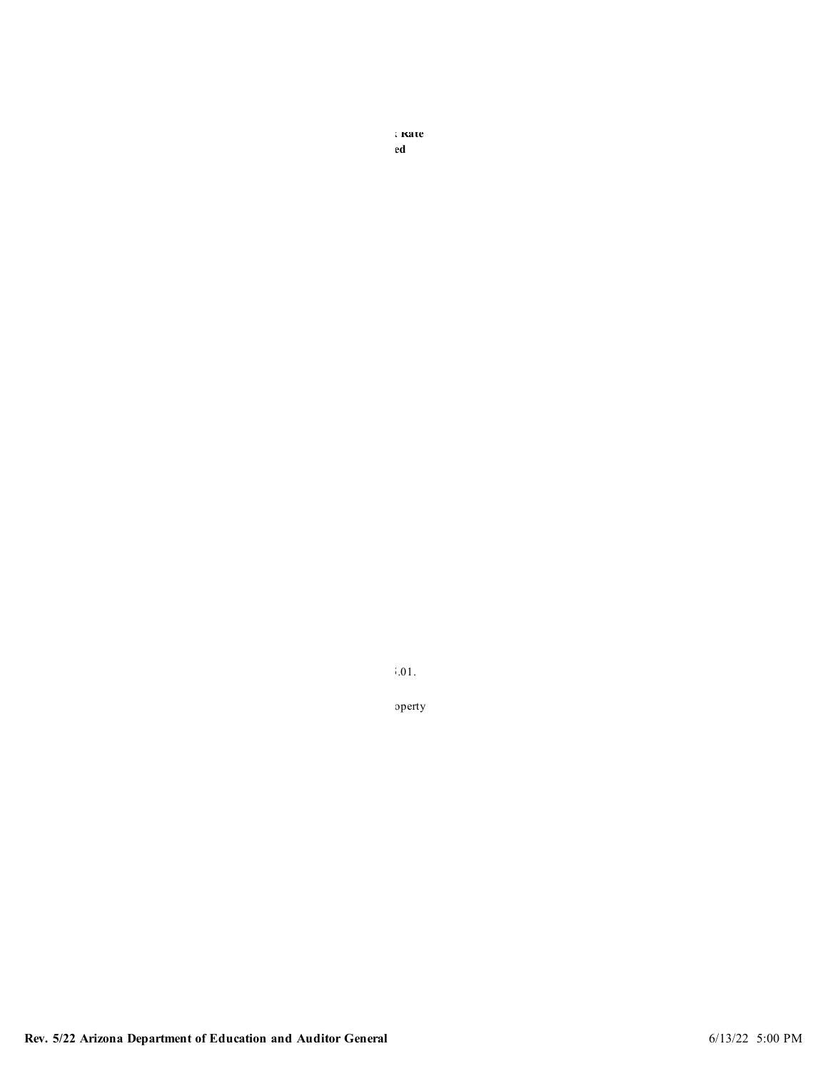**Primary Property Related to Budgeted** 

 $\ddot{\hspace{1pt}\text{I}}$  and  $\ddot{\hspace{1pt}\text{I}}$  and  $\ddot{\hspace{1pt}\text{I}}$  and  $\ddot{\hspace{1pt}\text{I}}$ 

 $10,00$  is used in the amounts to the amounts to the truth in taxation hearing notice for a  $10,00$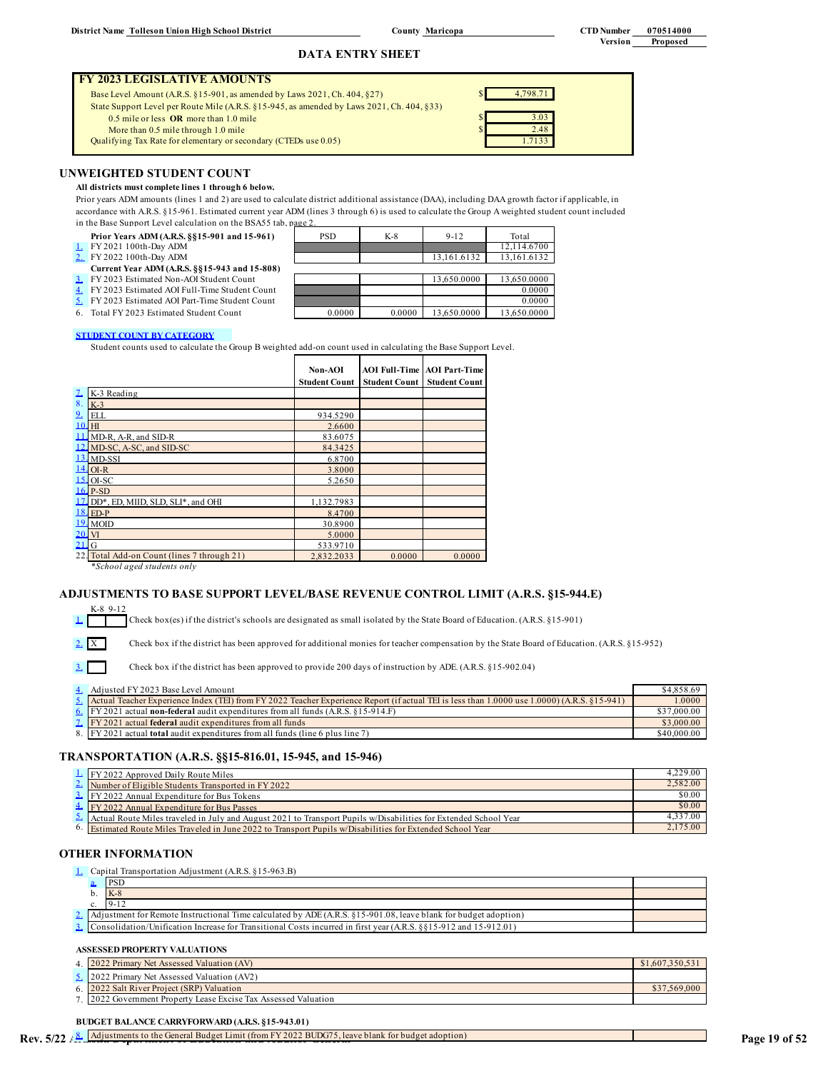### **COUNTY MATICOPA CTD Number 070514000**

# **Version Proposed**

# **DATA ENTRY SHEET**

### **FY 2023 LEGISLATIVE AMOUNTS**

Base Level Amount (A.R.S.  $\S 15$ -901, as amended by Laws 2021, Ch. 404,  $\S 27$ ) \$ State Support Level per Route Mile (A.R.S. §15-945, as amended by Laws 2021, Ch. 404, §33)  $0.5$  mile or less **OR** more than 1.0 mile More than  $0.5$  mile through  $1.0$  mile Qualifying Tax Rate for elementary or secondary (CTEDs use 0.05)

| 4,798.71 |  |
|----------|--|
|          |  |
| 3.03     |  |
| 2.48     |  |
| 1.7133   |  |
|          |  |

### **UNWEIGHTED STUDENT COUNT**

### **All districts must complete lines 1 through 6 below.**

Prior years ADM amounts (lines 1 and 2) are used to calculate district additional assistance (DAA), including DAA growth factor if applicable, in accordance with A.R.S. §15-961. Estimated current year ADM (lines 3 through 6) is used to calculate the Group A weighted student count included in the Base Support Level calculation on the BSA55 tab, page 2.

| Prior Years ADM (A.R.S. §§15-901 and 15-961)     | <b>PSD</b> | $K-8$  | $9 - 12$    | Total       |
|--------------------------------------------------|------------|--------|-------------|-------------|
| $\perp$ FY 2021 100th-Day ADM                    |            |        |             | 12.114.6700 |
| 2. FY 2022 100th-Day ADM                         |            |        | 13.161.6132 | 13,161.6132 |
| Current Year ADM (A.R.S. §§15-943 and 15-808)    |            |        |             |             |
| 3. FY 2023 Estimated Non-AOI Student Count       |            |        | 13.650.0000 | 13.650.0000 |
| 4. FY 2023 Estimated AOI Full-Time Student Count |            |        |             | 0.0000      |
| 5. FY 2023 Estimated AOI Part-Time Student Count |            |        |             | 0.0000      |
| 6. Total FY 2023 Estimated Student Count         | 0.0000     | 0.0000 | 13.650.0000 | 13.650.0000 |

### **STUDENT COUNT BY CATEGORY**

Student counts used to calculate the Group B weighted add-on count used in calculating the Base Support Level.

|        |                                             | Non-AOI              |                      | <b>AOI Full-Time AOI Part-Time</b> |
|--------|---------------------------------------------|----------------------|----------------------|------------------------------------|
|        |                                             | <b>Student Count</b> | <b>Student Count</b> | <b>Student Count</b>               |
| ı      | K-3 Reading                                 |                      |                      |                                    |
| 8.     | $K-3$                                       |                      |                      |                                    |
| $9+$   | ELL                                         | 934.5290             |                      |                                    |
| 10. HI |                                             | 2.6600               |                      |                                    |
|        | 11. MD-R, A-R, and SID-R                    | 83.6075              |                      |                                    |
|        | 12. MD-SC, A-SC, and SID-SC                 | 84.3425              |                      |                                    |
|        | $13.$ MD-SSI                                | 6.8700               |                      |                                    |
|        | $14$ OI-R                                   | 3.8000               |                      |                                    |
|        | $15$ OI-SC                                  | 5.2650               |                      |                                    |
|        | 16. P-SD                                    |                      |                      |                                    |
| 17.    | DD*, ED, MIID, SLD, SLI*, and OHI           | 1,132.7983           |                      |                                    |
|        | 18. ED-P                                    | 8.4700               |                      |                                    |
|        | 19. MOID                                    | 30.8900              |                      |                                    |
| 20. VI |                                             | 5.0000               |                      |                                    |
| $2L_G$ |                                             | 533.9710             |                      |                                    |
|        | 22. Total Add-on Count (lines 7 through 21) | 2.832.2033           | 0.0000               | 0.0000                             |

*\*School aged students only*

K-8 9-12

1.

3.

# **ADJUSTMENTS TO BASE SUPPORT LEVEL/BASE REVENUE CONTROL LIMIT (A.R.S. §15-944.E)**

Check box(es) if the district's schools are designated as small isolated by the State Board of Education. (A.R.S. §15-901)

2. X Check box if the district has been approved for additional monies for teacher compensation by the State Board of Education. (A.R.S. §15-952)

Check box if the district has been approved to provide 200 days of instruction by ADE. (A.R.S. §15-902.04)

| 4. Adjusted FY 2023 Base Level Amount                                                                                                           | \$4,858.69  |
|-------------------------------------------------------------------------------------------------------------------------------------------------|-------------|
| 5. Actual Teacher Experience Index (TEI) from FY 2022 Teacher Experience Report (if actual TEI is less than 1.0000 use 1.0000) (A.R.S. §15-941) | 1.0000      |
| 6. $[FY 2021]$ actual <b>non-federal</b> audit expenditures from all funds $(A.R.S. 815-914.F)$                                                 | \$37,000.00 |
| <b>1.</b> FY 2021 actual <b>federal</b> audit expenditures from all funds                                                                       | \$3,000.00  |
| 8. IFY 2021 actual <b>total</b> audit expenditures from all funds (line 6 plus line 7)                                                          | \$40,000.00 |

# **TRANSPORTATION (A.R.S. §§15-816.01, 15-945, and 15-946)**

| $\frac{1}{2}$ FY 2022 Approved Daily Route Miles                                                                         | 4.229.00 |
|--------------------------------------------------------------------------------------------------------------------------|----------|
| $\sim$ Number of Eligible Students Transported in FY 2022                                                                | 2.582.00 |
| $\frac{3}{2}$ FY 2022 Annual Expenditure for Bus Tokens                                                                  | \$0.00   |
| 4. FY 2022 Annual Expenditure for Bus Passes                                                                             | \$0.00   |
| $\Delta$ Actual Route Miles traveled in July and August 2021 to Transport Pupils w/Disabilities for Extended School Year | 4,337.00 |
| <sup>6</sup> Estimated Route Miles Traveled in June 2022 to Transport Pupils w/Disabilities for Extended School Year     | 2,175.00 |

### **OTHER INFORMATION**

|  | <b>L.</b> Capital Transportation Adjustment (A.R.S. §15-963.B)                                                                   |  |
|--|----------------------------------------------------------------------------------------------------------------------------------|--|
|  | <b>PSD</b>                                                                                                                       |  |
|  | $K-8$                                                                                                                            |  |
|  | $9 - 12$                                                                                                                         |  |
|  | 2. Adjustment for Remote Instructional Time calculated by ADE (A.R.S. §15-901.08, leave blank for budget adoption)               |  |
|  | $\frac{3}{2}$ , Consolidation/Unification Increase for Transitional Costs incurred in first year (A.R.S. §§15-912 and 15-912.01) |  |

### **ASSESSED PROPERTY VALUATIONS**

| 4 2022 Primary Net Assessed Valuation (AV)                     | \$1.607.350.531 |
|----------------------------------------------------------------|-----------------|
| 5. 2022 Primary Net Assessed Valuation (AV2)                   |                 |
| 6. 2022 Salt River Project (SRP) Valuation                     | \$37.569.000    |
| 7 2022 Government Property Lease Excise Tax Assessed Valuation |                 |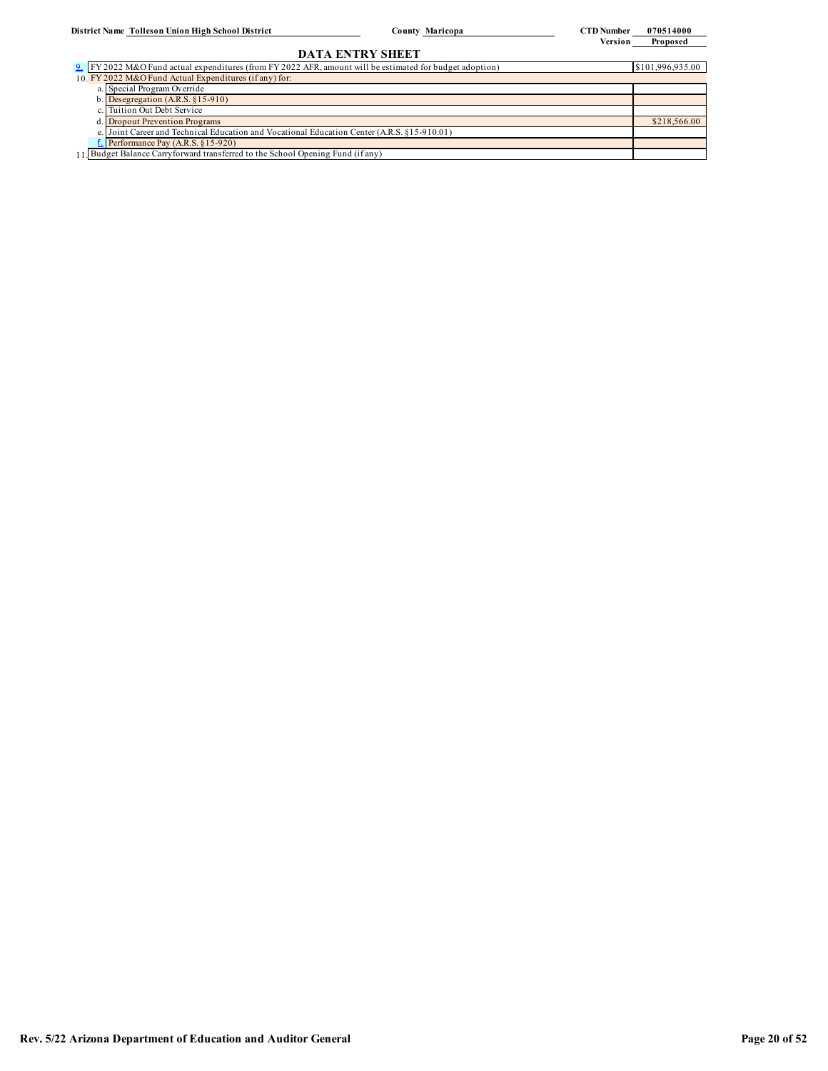**County CTD Number 070514000 Version Proposed**

# **DATA ENTRY SHEET**

| 9. FY 2022 M&O Fund actual expenditures (from FY 2022 AFR, amount will be estimated for budget adoption) | \$101,996,935.00 |
|----------------------------------------------------------------------------------------------------------|------------------|
| 10. FY 2022 M&O Fund Actual Expenditures (if any) for:                                                   |                  |
| a. Special Program Override                                                                              |                  |
| b. Desegregation $(A.R.S. §15-910)$                                                                      |                  |
| c. Tuition Out Debt Service                                                                              |                  |
| d. Dropout Prevention Programs                                                                           | \$218,566.00     |
| e. Joint Career and Technical Education and Vocational Education Center (A.R.S. §15-910.01)              |                  |
| $L$ Performance Pay (A.R.S. §15-920)                                                                     |                  |
| 11. Budget Balance Carryforward transferred to the School Opening Fund (if any)                          |                  |
|                                                                                                          |                  |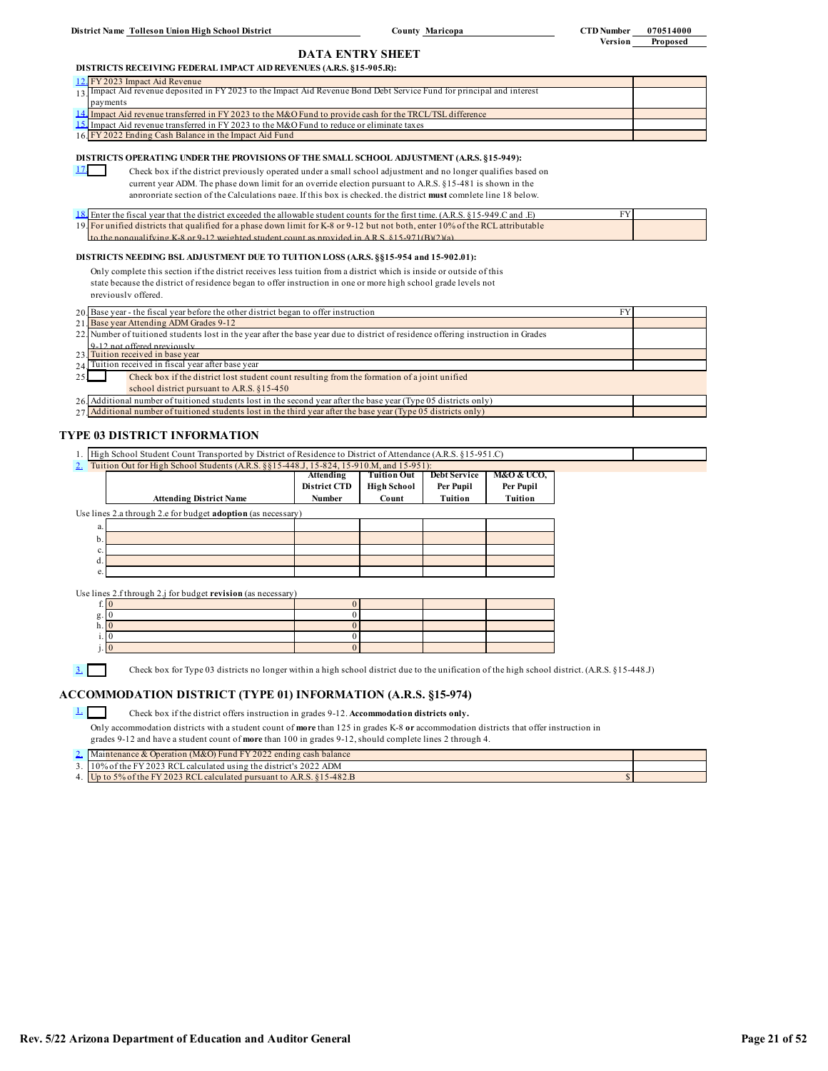**County Maricopa CTD Number 070514000** 

**Version Proposed**

# **DATA ENTRY SHEET**

### **DISTRICTS RECEIVING FEDERAL IMPACT AID REVENUES (A.R.S. §15-905.R):**

| 12. FY 2023 Impact Aid Revenue                                                                                              |  |
|-----------------------------------------------------------------------------------------------------------------------------|--|
| $_{13}$ Impact Aid revenue deposited in FY 2023 to the Impact Aid Revenue Bond Debt Service Fund for principal and interest |  |
| payments                                                                                                                    |  |
| 14. Impact Aid revenue transferred in FY 2023 to the M&O Fund to provide cash for the TRCL/TSL difference                   |  |
| 15. Impact Aid revenue transferred in FY 2023 to the M&O Fund to reduce or eliminate taxes                                  |  |
| 16. FY 2022 Ending Cash Balance in the Impact Aid Fund                                                                      |  |

### **DISTRICTS OPERATING UNDER THE PROVISIONS OF THE SMALL SCHOOL ADJUSTMENT (A.R.S. §15-949):**

17. D Check box if the district previously operated under a small school adjustment and no longer qualifies based on

current year ADM. The phase down limit for an override election pursuant to A.R.S. §15-481 is shown in the

appropriate section of the Calculations page. If this box is checked, the district **must** complete line 18 below.

| 18. Enter the fiscal year that the district exceeded the allowable student counts for the first time. (A.R.S. §15-949.C and .E) |  |
|---------------------------------------------------------------------------------------------------------------------------------|--|
| 19. For unified districts that qualified for a phase down limit for K-8 or 9-12 but not both, enter 10% of the RCL attributable |  |
| to the nonqualifying K-8 or 9-12 weighted student count as provided in ARS $815-971(R)(2)(a)$                                   |  |

### **DISTRICTS NEEDING BSL ADJUSTMENT DUE TO TUITION LOSS (A.R.S. §§15-954 and 15-902.01):**

Only complete this section if the district receives less tuition from a district which is inside or outside of this state because the district of residence began to offer instruction in one or more high school grade levels not previously offered.

|                                                    | 20. Base year - the fiscal year before the other district began to offer instruction                                              |  |  |  |
|----------------------------------------------------|-----------------------------------------------------------------------------------------------------------------------------------|--|--|--|
|                                                    | 21. Base year Attending ADM Grades 9-12                                                                                           |  |  |  |
|                                                    | 22. Number of tuitioned students lost in the year after the base year due to district of residence offering instruction in Grades |  |  |  |
|                                                    | 9-12 not offered previously                                                                                                       |  |  |  |
|                                                    | 23 Tuition received in base year                                                                                                  |  |  |  |
| 24 Tuition received in fiscal year after base year |                                                                                                                                   |  |  |  |
| 25.                                                | Check box if the district lost student count resulting from the formation of a joint unified                                      |  |  |  |
|                                                    | school district pursuant to A.R.S. §15-450                                                                                        |  |  |  |
|                                                    | 26. Additional number of tuitioned students lost in the second year after the base year (Type 05 districts only)                  |  |  |  |
|                                                    | 27. Additional number of tuitioned students lost in the third year after the base year (Type 05 districts only)                   |  |  |  |
|                                                    |                                                                                                                                   |  |  |  |

### **TYPE 03 DISTRICT INFORMATION**

|    | 1. High School Student Count Transported by District of Residence to District of Attendance (A.R.S. §15-951.C) |                     |                    |                     |            |  |  |
|----|----------------------------------------------------------------------------------------------------------------|---------------------|--------------------|---------------------|------------|--|--|
|    | Tuition Out for High School Students (A.R.S. §§15-448.J, 15-824, 15-910.M, and 15-951):                        |                     |                    |                     |            |  |  |
|    |                                                                                                                | Attending           | Tuition Out        | <b>Debt Service</b> | M&O & UCO, |  |  |
|    |                                                                                                                | <b>District CTD</b> | <b>High School</b> | Per Pupil           | Per Pupil  |  |  |
|    | <b>Attending District Name</b>                                                                                 | Number              | Count              | Tuition             | Tuition    |  |  |
|    | Use lines 2.a through 2.e for budget <b>adoption</b> (as necessary)                                            |                     |                    |                     |            |  |  |
| a. |                                                                                                                |                     |                    |                     |            |  |  |
| b. |                                                                                                                |                     |                    |                     |            |  |  |
| c. |                                                                                                                |                     |                    |                     |            |  |  |
| d. |                                                                                                                |                     |                    |                     |            |  |  |
| e. |                                                                                                                |                     |                    |                     |            |  |  |
|    |                                                                                                                |                     |                    |                     |            |  |  |

Use lines 2.f through 2.j for budget **revision** (as necessary)

| $\cdot$ |  |  |  |
|---------|--|--|--|
|         |  |  |  |
|         |  |  |  |

3. Check box for Type 03 districts no longer within a high school district due to the unification of the high school district. (A.R.S. §15-448.J)

### **ACCOMMODATION DISTRICT (TYPE 01) INFORMATION (A.R.S. §15-974)**

### 1. Check box if the district offers instruction in grades 9-12. **Accommodation districts only.**

Only accommodation districts with a student count of **more** than 125 in grades K-8 **or** accommodation districts that offer instruction in grades 9-12 and have a student count of **more** than 100 in grades 9-12, should complete lines 2 through 4.

| Maintenance & Operation $(M&O)$ Fund FY 2022 ending cash balance        |  |
|-------------------------------------------------------------------------|--|
| $\sim 10\%$ of the FY 2023 RCL calculated using the district's 2022 ADM |  |
| 4. Up to 5% of the FY 2023 RCL calculated pursuant to A.R.S. 815-482.B  |  |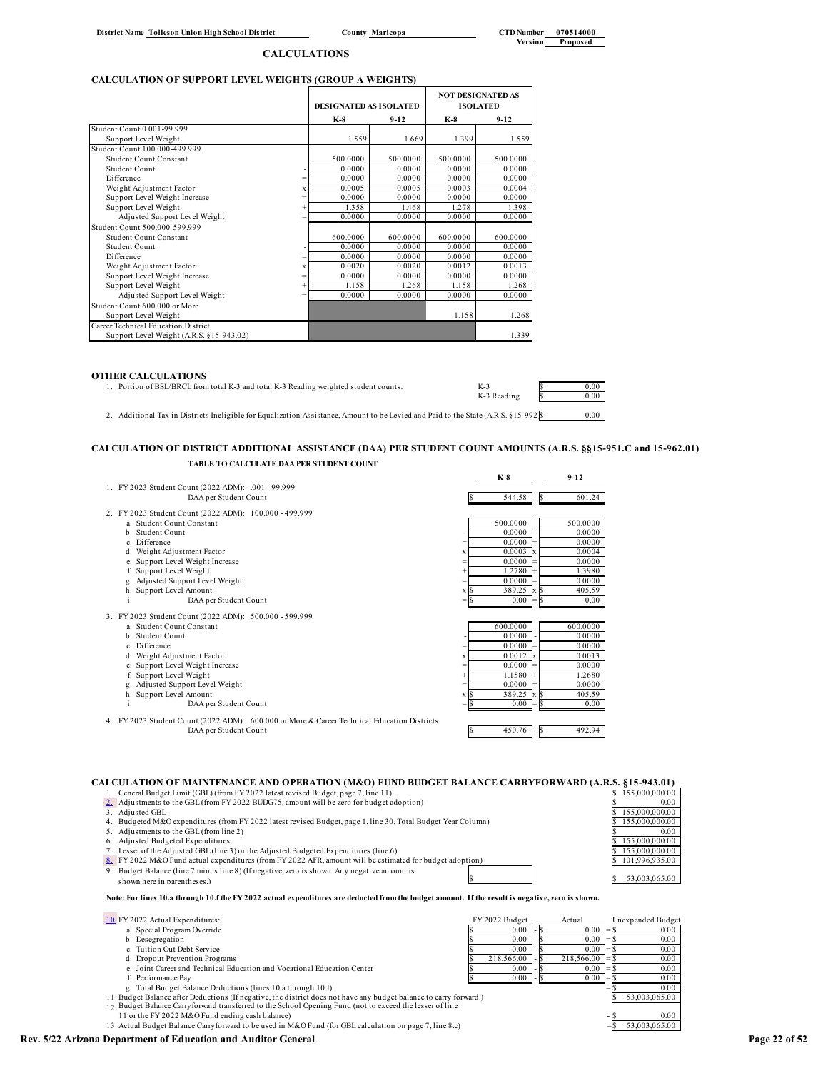# **CALCULATION OF SUPPORT LEVEL WEIGHTS (GROUP A WEIGHTS)**

|                                          |        | <b>DESIGNATED AS ISOLATED</b> |          | <b>NOT DESIGNATED AS</b><br><b>ISOLATED</b> |          |
|------------------------------------------|--------|-------------------------------|----------|---------------------------------------------|----------|
|                                          |        | K-8                           | $9-12$   | $K-8$                                       | $9-12$   |
| Student Count 0.001-99.999               |        |                               |          |                                             |          |
| Support Level Weight                     |        | 1.559                         | 1.669    | 1.399                                       | 1.559    |
| Student Count 100,000-499.999            |        |                               |          |                                             |          |
| Student Count Constant                   |        | 500.0000                      | 500,0000 | 500.0000                                    | 500,0000 |
| Student Count                            |        | 0.0000                        | 0.0000   | 0.0000                                      | 0.0000   |
| Difference                               | $=$    | 0.0000                        | 0.0000   | 0.0000                                      | 0.0000   |
| Weight Adjustment Factor                 | x      | 0.0005                        | 0.0005   | 0.0003                                      | 0.0004   |
| Support Level Weight Increase            |        | 0.0000                        | 0.0000   | 0.0000                                      | 0.0000   |
| Support Level Weight                     | $+$    | 1.358                         | 1.468    | 1.278                                       | 1.398    |
| Adjusted Support Level Weight            | $=$    | 0.0000                        | 0.0000   | 0.0000                                      | 0.0000   |
| Student Count 500.000-599.999            |        |                               |          |                                             |          |
| Student Count Constant                   |        | 600.0000                      | 600.0000 | 600.0000                                    | 600.0000 |
| Student Count                            |        | 0.0000                        | 0.0000   | 0.0000                                      | 0.0000   |
| Difference                               | $=$    | 0.0000                        | 0.0000   | 0.0000                                      | 0.0000   |
| Weight Adjustment Factor                 | x      | 0.0020                        | 0.0020   | 0.0012                                      | 0.0013   |
| Support Level Weight Increase            | $=$    | 0.0000                        | 0.0000   | 0.0000                                      | 0.0000   |
| Support Level Weight                     | $^{+}$ | 1.158                         | 1.268    | 1.158                                       | 1.268    |
| Adjusted Support Level Weight            | $=$    | 0.0000                        | 0.0000   | 0.0000                                      | 0.0000   |
| Student Count 600,000 or More            |        |                               |          |                                             |          |
| Support Level Weight                     |        |                               |          | 1.158                                       | 1.268    |
| Career Technical Education District      |        |                               |          |                                             |          |
| Support Level Weight (A.R.S. §15-943.02) |        |                               |          |                                             | 1.339    |

### **OTHER CALCULATIONS**

| 1. Portion of BSL/BRCL from total K-3 and total K-3 Reading weighted student counts:                                                | $K-3$       | 0.00 |
|-------------------------------------------------------------------------------------------------------------------------------------|-------------|------|
|                                                                                                                                     | K-3 Reading | 0.00 |
|                                                                                                                                     |             |      |
| 2. Additional Tax in Districts Ineligible for Equalization Assistance, Amount to be Levied and Paid to the State (A.R.S. §15-992)\$ |             | 0.00 |

# **CALCULATION OF DISTRICT ADDITIONAL ASSISTANCE (DAA) PER STUDENT COUNT AMOUNTS (A.R.S. §§15-951.C and 15-962.01) TABLE TO CALCULATE DAA PER STUDENT COUNT**

|                                                                                             | $K-8$    | $9-12$                              |
|---------------------------------------------------------------------------------------------|----------|-------------------------------------|
| 1. FY 2023 Student Count (2022 ADM): .001 - 99.999                                          |          |                                     |
| DAA per Student Count                                                                       | 544.58   | 601.24                              |
| 2. FY 2023 Student Count (2022 ADM): 100.000 - 499.999                                      |          |                                     |
| a. Student Count Constant                                                                   | 500,0000 | 500,0000                            |
| b. Student Count                                                                            | 0.0000   | 0.0000                              |
| c. Difference<br>$=$                                                                        | 0.0000   | 0.0000                              |
| d. Weight Adjustment Factor<br>x                                                            | 0.0003   | 0.0004                              |
| e. Support Level Weight Increase<br>$=$                                                     | 0.0000   | 0.0000                              |
| f. Support Level Weight<br>$\ddot{}$                                                        | 1.2780   | 1.3980                              |
| g. Adjusted Support Level Weight<br>$=$                                                     | 0.0000   | 0.0000                              |
| h. Support Level Amount<br>x S                                                              | 389.25   | <b>S</b><br>405.59                  |
| DAA per Student Count<br>i.<br>$=$ N                                                        | 0.00     | 0.00                                |
| 3. FY 2023 Student Count (2022 ADM): 500.000 - 599.999                                      |          |                                     |
| a. Student Count Constant                                                                   | 600.0000 | 600,0000                            |
| b. Student Count                                                                            | 0.0000   | 0.0000                              |
| c. Difference<br>$=$                                                                        | 0.0000   | 0.0000                              |
| d. Weight Adjustment Factor<br>x                                                            | 0.0012   | 0.0013                              |
| e. Support Level Weight Increase<br>$=$                                                     | 0.0000   | 0.0000                              |
| f. Support Level Weight<br>$\ddot{}$                                                        | 1.1580   | 1.2680                              |
| g. Adjusted Support Level Weight<br>$=$                                                     | 0.0000   | 0.0000                              |
| h. Support Level Amount<br>хS                                                               | 389.25   | 405.59<br>$\mathbf{x}$ $\mathbf{S}$ |
| i.<br>DAA per Student Count<br>= N                                                          | 0.00     | 0.00                                |
| 4. FY 2023 Student Count (2022 ADM): 600.000 or More & Career Technical Education Districts |          |                                     |
| DAA per Student Count                                                                       | 450.76   | 492.94<br>ß                         |
|                                                                                             |          |                                     |
|                                                                                             |          |                                     |
|                                                                                             |          |                                     |
|                                                                                             |          |                                     |

**CALCULATION OF MAINTENANCE AND OPERATION (M&O) FUND BUDGET BALANCE CARRYFORWARD (A.R.S. §15-943.01)**

- 1. General Budget Limit (GBL) (from FY 2022 latest revised Budget, page 7, line 11)  $\frac{\$155,000,000.00}{\$155,000,000.00}$ <br>2. Adjustments to the GBL (from FY 2022 BUDG75, amount will be zero for budget adoption)  $\frac{\$155,00$
- 2. Adjustments to the GBL (from FY 2022 BUDG75, amount will be zero for budget adoption) \$ 0.000 \$ 155,000,000.00<br>3. Adjusted GBL \$ 155,000,000.00
- 4. Budgeted M&O expenditures (from FY 2022 latest revised Budget, page 1, line 30, Total Budget Year Column) <br>5 Adjustments to the GBI (from line 2)
- 5. Adjustments to the GBL (from line 2)
- 6. Adjusted Budgeted Expenditures **\$ 155,000,000.00 \$ 155,000,000.00**
- 
- 7. Lesser of the Adjusted GBL (line 3) or the Adjusted Budgeted Expenditures (line 6)<br><u>8.</u> FY 2022 M&O Fund actual expenditures (from FY 2022 AFR, amount will be estimated for budget adoption) Sample and Sample 2011,996,93
- shown here in parentheses.)

**Note: For lines 10.a through 10.f the FY 2022 actual expenditures are deducted from the budget amount. If the result is negative, zero is shown.**

| 10 FY 2022 Actual Expenditures:                                                                                    | FY 2022 Budget | Actual     | Unexpended Budget |
|--------------------------------------------------------------------------------------------------------------------|----------------|------------|-------------------|
| a. Special Program Override                                                                                        | 0.00           | 0.00       | 0.00              |
| b. Desegregation                                                                                                   | 0.00           | 0.00       | 0.00              |
| c. Tuition Out Debt Service                                                                                        | 0.00           | 0.00       | 0.00              |
| d. Dropout Prevention Programs                                                                                     | 218,566.00     | 218,566.00 | 0.00              |
| e. Joint Career and Technical Education and Vocational Education Center                                            | 0.00           | 0.00       | 0.00              |
| f. Performance Pay                                                                                                 | 0.00           | 0.00       | 0.00              |
| g. Total Budget Balance Deductions (lines 10.a through 10.f)                                                       |                |            | 0.00              |
| 11. Budget Balance after Deductions (If negative, the district does not have any budget balance to carry forward.) |                |            | 53,003,065.00     |
| 12 Budget Balance Carryforward transferred to the School Opening Fund (not to exceed the lesser of line            |                |            |                   |
| 11 or the FY 2022 M&O Fund ending cash balance)                                                                    |                |            | 0.00              |
| 13. Actual Budget Balance Carryforward to be used in M&O Fund (for GBL calculation on page 7, line 8.c)            |                |            | 53,003,065.00     |

- 
- **Rev. 5/22 Arizona Department of Education and Auditor General Page 22 of 52**

\$ \$ 53,003,065.00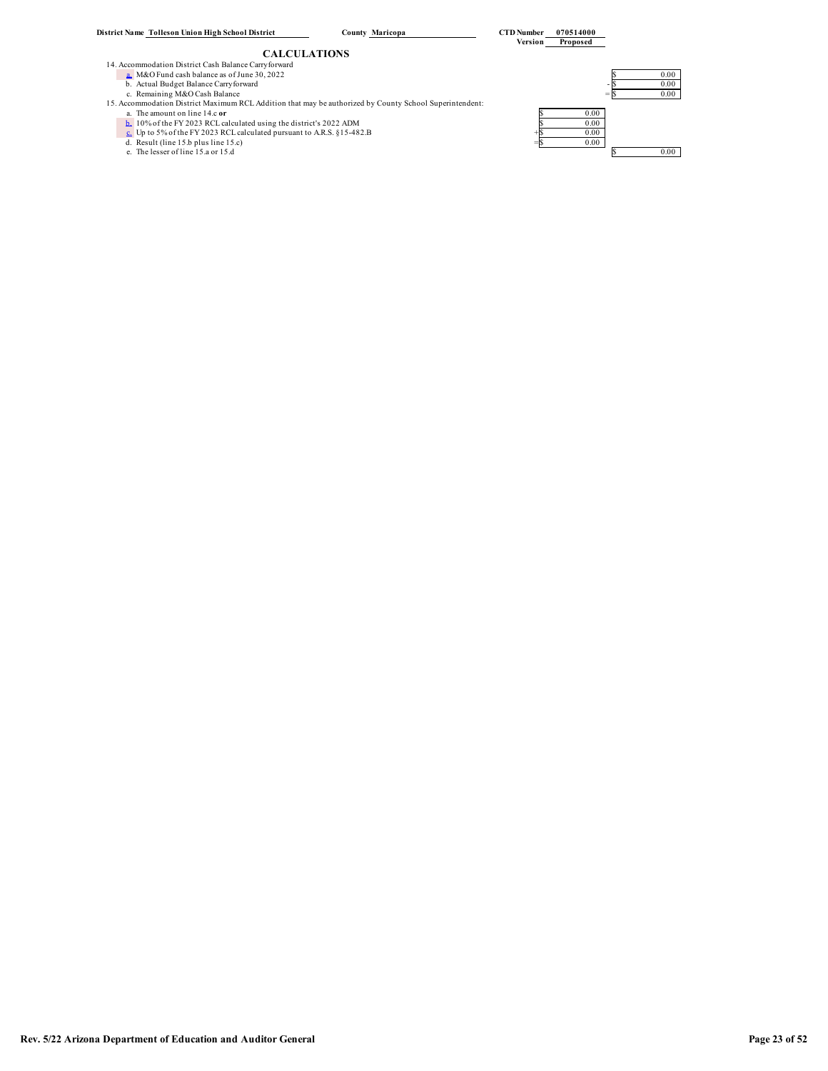- -
	-
	-
	- a. The amount on line 14.c or<br> **b.** 10% of the FY 2023 RCL calculated using the district's 2022 ADM<br> **c.** Up to 5% of the FY 2023 RCL calculated pursuant to A.R.S. § 15-482.B<br>
	d. Result (line 15.b plus line 15.c)<br> **c.** Re
	-
	-
	-

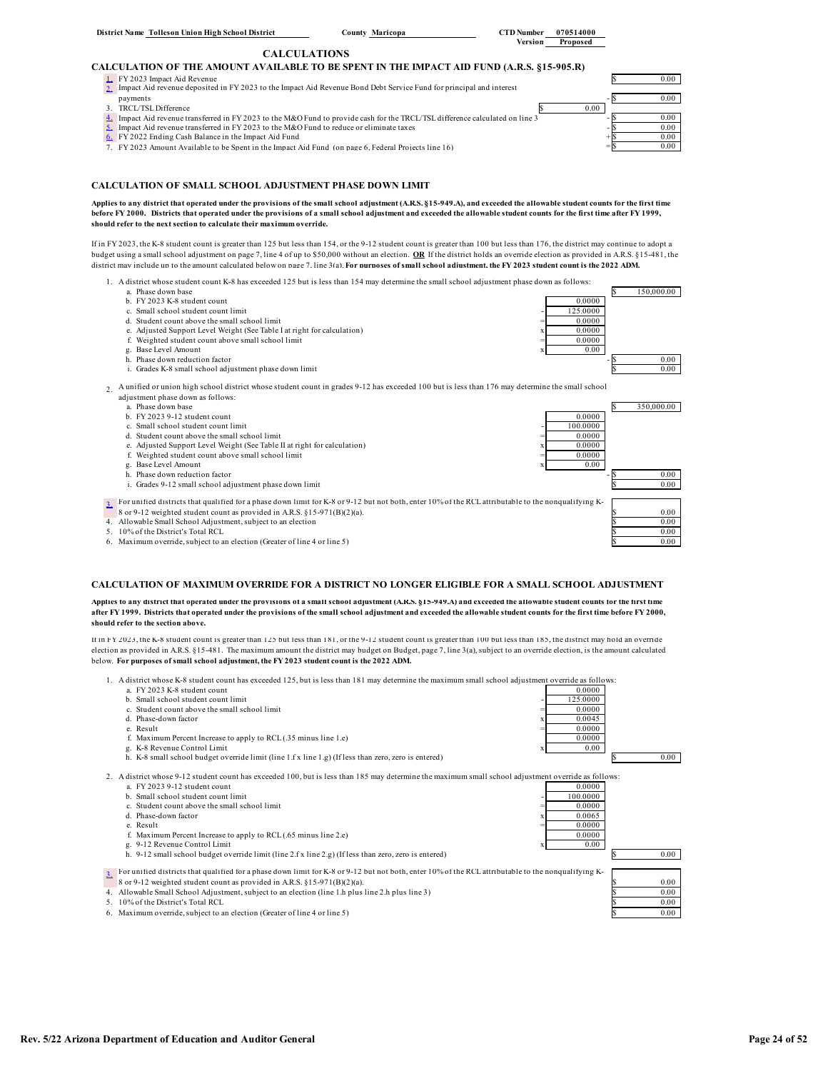# **CALCULATION OF THE AMOUNT AVAILABLE TO BE SPENT IN THE IMPACT AID FUND (A.R.S. §15-905.R)** 1. FY 2023 Impact Aid Revenue<br>2. Impact Aid revenue deposited in FY 2023 to the Impact Aid Revenue Bond Debt Service Fund for principal and interest **Shares And State And Aid Revenue deposited** in FY 2023 to the Impact Aid  $0.00$ payments<br>3. TRCL/TSL Difference 6 0.00 1. Impact Aid revenue transferred in FY 2023 to the M&O Fund to provide cash for the TRCL/TSL difference calculated on line 3<br>5. Impact Aid revenue transferred in FY 2023 to the M&O Fund to reduce or eliminate taxes  $\sim$

 $\frac{6}{2}$  FY 2022 Ending Cash Balance in the Impact Aid Fund<br>
7. FY 2023 Amount Available to be Spent in the Impact Aid Fund (on page 6. Federal Projects line 16)  $\frac{6}{5}$ 7. FY 2023 Amount Available to be Spent in the Impact Aid Fund (on page 6, Federal Projects line 16)  $=$   $\frac{}{\sqrt{25}}$   $=$  0.00

### **CALCULATION OF SMALL SCHOOL ADJUSTMENT PHASE DOWN LIMIT**

### **Applies to any district that operated under the provisions of the small school adjustment (A.R.S. §15-949.A), and exceeded the allowable student counts for the first time before FY 2000. Districts that operated under the provisions of a small school adjustment and exceeded the allowable student counts for the first time after FY 1999, should refer to the next section to calculate their maximum override.**

If in FY 2023, the K-8 student count is greater than 125 but less than 154, or the 9-12 student count is greater than 100 but less than 176, the district may continue to adopt a budget using a small school adjustment on page 7, line 4 of up to \$50,000 without an election. **OR** If the district holds an override election as provided in A.R.S. §15-481, the district may include up to the amount calculated below on page 7, line 3(a). **For purposes of small school adjustment, the FY 2023 student count is the 2022 ADM.**

- 1. A district whose student count K-8 has exceeded 125 but is less than 154 may determine the small school adjustment phase down as follows:<br>a Phase down base
	- a. Phase down base  $$ 150,000.00$
	- b. FY 2023 K-8 student count 0.0000
	- c. Small school student count limit  $\frac{125.0000}{0.0000}$  =  $\frac{125.0000}{0.0000}$
	- d. Student count above the small school limit e. Adjusted Support Level Weight (See Table I at right for calculation)  $x = 0.00000$
	- f. Weighted student count above small school limit  $=$  0.0000
	- g. Base Level Amount  $x = 0.00$
	-
	- i. Grades K-8 small school adjustment phase down limit  $\qquad \qquad$  0.00



- 
- $b$ . FV 2023 9-12 student count
- 
- c. Small school student count limit  $\frac{100.0000}{6}$  =  $\frac{100.0000}{6}$  =  $\frac{100.0000}{6}$  =  $\frac{100.0000}{6}$ d. Student count above the small school limit<br>
e. Adjusted Support Level Weight (See Table II at right for calculation)  $x = \frac{0.0000}{0.0000}$
- e. Adjusted Support Level Weight (See Table II at right for calculation)
- f. Weighted student count above small school limit  $=$  0.0000 g. Base Level Amount  $\qquad \qquad x \qquad \qquad 0.00$
- 
- 
- i. Grades 9-12 small school adjustment phase down limit

3. For unified districts that qualified for a phase down limit for K-8 or 9-12 but not both, enter 10% of the RCL attributable to the nonqualifying K-

- 8 or 9-12 weighted student count as provided in A.R.S. §15-971(B)(2)(a).
- 4. Allowable Small School Adjustment, subject to an election  $\sim$  0.000 and the contract of the contract of the 0.000 and the contract of the contract of the contract of the contract of the contract of the contract of the
- 
- $10\%$  of the District's Total RCL  $\frac{100}{2}$  of the District's Total RCL  $\frac{100}{2}$  of the District's Total RCL  $\frac{100}{2}$ 6. Maximum override, subject to an election (Greater of line 4 or line 5)

### **CALCULATION OF MAXIMUM OVERRIDE FOR A DISTRICT NO LONGER ELIGIBLE FOR A SMALL SCHOOL ADJUSTMENT**

**Applies to any district that operated under the provisions of a small school adjustment (A.R.S. §15-949.A) and exceeded the allowable student counts for the first time after FY 1999. Districts that operated under the provisions of the small school adjustment and exceeded the allowable student counts for the first time before FY 2000, should refer to the section above.** 

If in FY 2023, the K-8 student count is greater than 125 but less than 181, or the 9-12 student count is greater than 100 but less than 185, the district may hold an override election as provided in A.R.S. §15-481. The maximum amount the district may budget on Budget, page 7, line 3(a), subject to an override election, is the amount calculated below. **For purposes of small school adjustment, the FY 2023 student count is the 2022 ADM.**

- 1. A district whose K-8 student count has exceeded 125, but is less than 181 may determine the maximum small school adjustment override as follows: a. FY 2023 K-8 student count<br>
b. Small school student count<br>
b. Small school student count limit<br>
b. Small school student count limit
	-
	- b. Small school student count limit
	- c. Student count above the small school limit  $= 0.0000$
	-
	- $e.$  Result  $=$  0.0000
	- f. Maximum Percent Increase to apply to RCL (35 minus line 1.e)  $\frac{0.0000}{x}$  0.00000 g. K-8 Revenue Control Limit
	- h. K-8 small school budget override limit (line 1.f x line 1.g) (If less than zero, zero is entered)  $\boxed{\phantom{2566}8\phantom{2}}\qquad\phantom{2066}8\qquad\phantom{2066}0.00$

2. A district whose 9-12 student count has exceeded 100, but is less than 185 may determine the maximum small school adjustment override as follows: a. FY 2023 9-12 student count  $0.0000$ 

- 
- b. Small school student count limit  $=$  100.0000  $\frac{1000000}{2}$ c. Student count above the small school limit
- d. Phase-down factor  $\begin{array}{r} x \neq 0.0065 \\ y \neq 0.0000 \end{array}$
- e. Result  $=$  0.0000
- f. Maximum Percent Increase to apply to RCL (.65 minus line 2.e) 0.0000
- h. 9-12 small school budget override limit (line 2.f x line 2.g) (If less than zero, zero is entered) \$ 0.00

3. For unified districts that qualified for a phase down limit for K-8 or 9-12 but not both, enter 10% of the RCL attributable to the nonqualifying K-<br>8 or 9-12 weighted student count as provided in A.R.S. §15-971(B)(2)(a 8 or 9-12 weighted student count as provided in A.R.S. §15-971(B)(2)(a).

- 4. Allowable Small School Adjustment, subject to an election (line 1.h plus line 2.h plus line 3) 5 0.00
- 5. 10% of the District's Total RCL \$ 0.00
- 6. Maximum override, subject to an election (Greater of line 4 or line 5) \$ 0.00















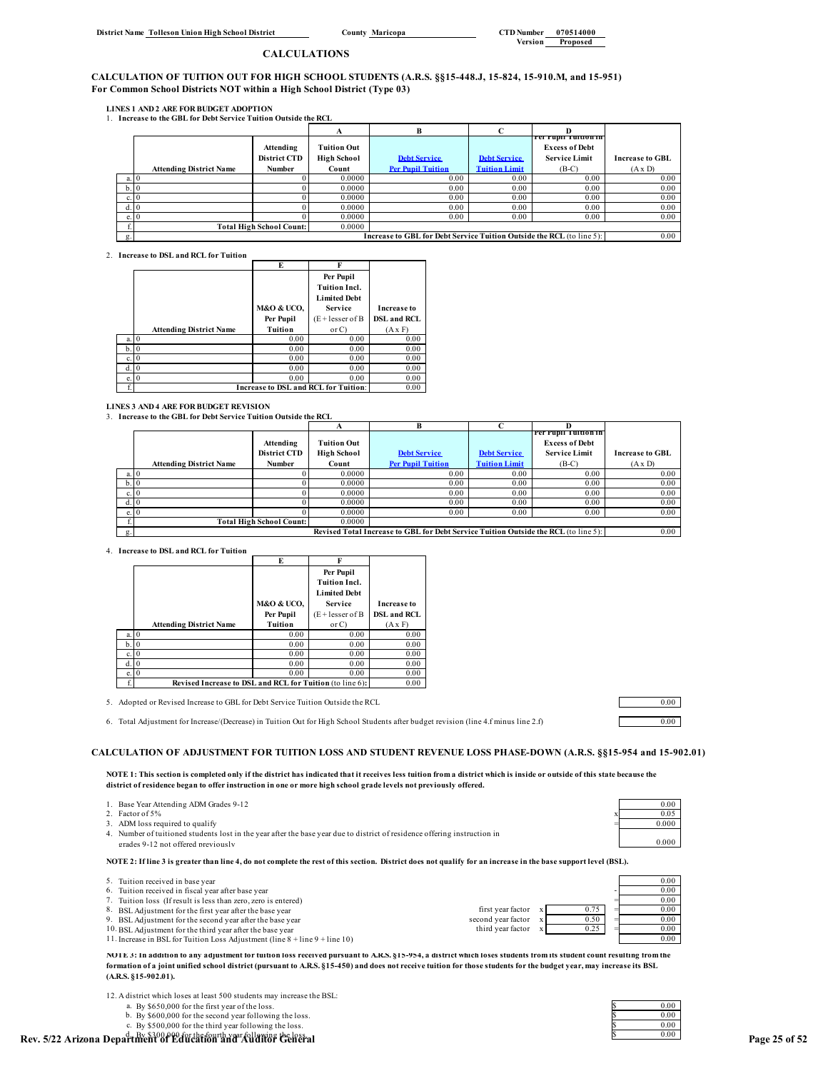### **CALCULATION OF TUITION OUT FOR HIGH SCHOOL STUDENTS (A.R.S. §§15-448.J, 15-824, 15-910.M, and 15-951) For Common School Districts NOT within a High School District (Type 03)**

**LINES 1 AND 2 ARE FOR BUDGET ADOPTION**

1. **Increase to the GBL for Debt Service Tuition Outside the RCL**

|       |                                |                                 |                    | в                                                                     |                      |                       |                        |
|-------|--------------------------------|---------------------------------|--------------------|-----------------------------------------------------------------------|----------------------|-----------------------|------------------------|
|       |                                |                                 |                    |                                                                       |                      | rer rupu Tumon in     |                        |
|       |                                | Attending                       | Tuition Out        |                                                                       |                      | <b>Excess of Debt</b> |                        |
|       |                                | <b>District CTD</b>             | <b>High School</b> | <b>Debt Service</b>                                                   | <b>Debt Service</b>  | <b>Service Limit</b>  | <b>Increase to GBL</b> |
|       | <b>Attending District Name</b> | Number                          | Count              | <b>Per Pupil Tuition</b>                                              | <b>Tuition Limit</b> | $(B-C)$               | $(A \times D)$         |
| a. 10 |                                |                                 | 0.0000             | 0.00                                                                  | 0.00                 | 0.00                  | 0.00                   |
| b.0   |                                |                                 | 0.0000             | 0.00                                                                  | 0.00                 | 0.00                  | 0.00                   |
| c.10  |                                |                                 | 0.0000             | 0.00                                                                  | 0.00                 | 0.00                  | 0.00                   |
|       |                                |                                 | 0.0000             | 0.00                                                                  | 0.00                 | 0.00                  | 0.00                   |
| e.10  |                                |                                 | 0.0000             | 0.00                                                                  | 0.00                 | 0.00                  | 0.00                   |
|       |                                | <b>Total High School Count:</b> | 0.0000             |                                                                       |                      |                       |                        |
| g.    |                                |                                 |                    | Increase to GBL for Debt Service Tuition Outside the RCL (to line 5): |                      |                       | 0.00                   |

2. **Increase to DSL and RCL for Tuition**

|      |                                | E          |                                      |                    |
|------|--------------------------------|------------|--------------------------------------|--------------------|
|      |                                |            | Per Pupil                            |                    |
|      |                                |            | <b>Tuition Incl.</b>                 |                    |
|      |                                |            | <b>Limited Debt</b>                  |                    |
|      |                                | M&O & UCO, | <b>Service</b>                       | <b>Increase to</b> |
|      |                                | Per Pupil  | $(E + lesser of B)$                  | <b>DSL and RCL</b> |
|      | <b>Attending District Name</b> | Tuition    | or C                                 | $(A \times F)$     |
| a.   | $\theta$                       | 0.00       | 0.00                                 | 0.00               |
| h.   | $\Omega$                       | 0.00       | 0.00                                 | 0.00               |
| c.   | 0                              | 0.00       | 0.00                                 | 0.00               |
| d.   | $\Omega$                       | 0.00       | 0.00                                 | 0.00               |
| e. 0 |                                | 0.00       | 0.00                                 | 0.00               |
|      |                                |            | Increase to DSL and RCL for Tuition: | 0.00               |

**LINES 3 AND 4 ARE FOR BUDGET REVISION**

3. **Increase to the GBL for Debt Service Tuition Outside the RCL**

|      |                                                                                     |                                 | А                  | B                        | $\sqrt{ }$           |                        |                        |
|------|-------------------------------------------------------------------------------------|---------------------------------|--------------------|--------------------------|----------------------|------------------------|------------------------|
|      |                                                                                     |                                 |                    |                          |                      | ' Per Pupil Tuition in |                        |
|      |                                                                                     | Attending                       | <b>Tuition Out</b> |                          |                      | <b>Excess of Debt</b>  |                        |
|      |                                                                                     | <b>District CTD</b>             | <b>High School</b> | <b>Debt Service</b>      | <b>Debt Service</b>  | <b>Service Limit</b>   | <b>Increase to GBL</b> |
|      | <b>Attending District Name</b>                                                      | Number                          | Count              | <b>Per Pupil Tuition</b> | <b>Tuition Limit</b> | $(B-C)$                | $(A \times D)$         |
| a. 0 |                                                                                     |                                 | 0.0000             | 0.00                     | 0.00                 | 0.00                   | 0.00                   |
| b.0  |                                                                                     |                                 | 0.0000             | 0.00                     | 0.00                 | 0.00                   | 0.00                   |
| c. 0 |                                                                                     |                                 | 0.0000             | 0.00                     | 0.00                 | 0.00                   | 0.00                   |
| d. 0 |                                                                                     |                                 | 0.0000             | 0.00                     | 0.00                 | 0.00                   | 0.00                   |
| e. 0 |                                                                                     |                                 | 0.0000             | 0.00                     | 0.00                 | 0.00                   | 0.00                   |
|      |                                                                                     | <b>Total High School Count:</b> | 0.0000             |                          |                      |                        |                        |
|      | Revised Total Increase to GBL for Debt Service Tuition Outside the RCL (to line 5): |                                 |                    |                          |                      | 0.00                   |                        |

4. **Increase to DSL and RCL for Tuition**

|    |                                                          | E                         |                      |                    |  |
|----|----------------------------------------------------------|---------------------------|----------------------|--------------------|--|
|    |                                                          |                           | Per Pupil            |                    |  |
|    |                                                          |                           | <b>Tuition Incl.</b> |                    |  |
|    |                                                          |                           | <b>Limited Debt</b>  |                    |  |
|    |                                                          | <b>M&amp;O &amp; UCO,</b> | Service              | <b>Increase to</b> |  |
|    |                                                          | Per Pupil                 | $(E + lesser of B)$  | <b>DSL and RCL</b> |  |
|    | <b>Attending District Name</b>                           | Tuition                   | or C                 | $(A \times F)$     |  |
| a. | - 0                                                      | 0.00                      | 0.00                 | 0.00               |  |
| b. | - 0                                                      | 0.00                      | 0.00                 | 0.00               |  |
| c. |                                                          | 0.00                      | 0.00                 | 0.00               |  |
| d. |                                                          | 0.00                      | 0.00                 | 0.00               |  |
| e. |                                                          | 0.00                      | 0.00                 | 0.00               |  |
| f. | Revised Increase to DSL and RCL for Tuition (to line 6): |                           |                      |                    |  |

5. Adopted or Revised Increase to GBL for Debt Service Tuition Outside the RCL 0.00

6. Total Adjustment for Increase/(Decrease) in Tuition Out for High School Students after budget revision (line 4.f minus line 2.f) 0.00

# **CALCULATION OF ADJUSTMENT FOR TUITION LOSS AND STUDENT REVENUE LOSS PHASE-DOWN (A.R.S. §§15-954 and 15-902.01)**

**NOTE 1: This section is completed only if the district has indicated that it receives less tuition from a district which is inside or outside of this state because the district of residence began to offer instruction in one or more high school grade levels not previously offered.**

| 1. Base Year Attending ADM Grades 9-12                                                                                                                         |       | 0.00 |
|----------------------------------------------------------------------------------------------------------------------------------------------------------------|-------|------|
| 2. Factor of 5%                                                                                                                                                | 0.05  |      |
| 3. ADM loss required to qualify                                                                                                                                | 0.000 |      |
| 4. Number of tuitioned students lost in the year after the base year due to district of residence offering instruction in                                      |       |      |
| grades 9-12 not offered previously                                                                                                                             | 0.000 |      |
| NOTE 2: If line 3 is greater than line 4, do not complete the rest of this section. District does not qualify for an increase in the base support level (BSL). |       |      |
| 5. Tuition received in base year                                                                                                                               | 0.00  |      |
| 6. Tuition received in fiscal year after base year                                                                                                             | 0.00  |      |
|                                                                                                                                                                | .     |      |

| $\sim$ - Turnon received in base year.                      | $\sim \sim \sim$ |
|-------------------------------------------------------------|------------------|
| 6. Tuition received in fiscal vear after base vear          | $_{0.00}$        |
| Tuition loss (If result is less than zero, zero is entered) | $_{0.00}$        |

| 8. BSL Adjustment for the first year after the base year                      | first year factor  |      | 0.00      |
|-------------------------------------------------------------------------------|--------------------|------|-----------|
| 9. BSL Adjustment for the second year after the base year                     | second vear factor | 0.50 | $_{0.00}$ |
| 10. BSL Adjustment for the third year after the base year                     | third vear factor  |      | $_{0.00}$ |
| 11 Increase in BSL for Tuition Loss Adjustment (line $8 + line 9 + line 10$ ) |                    |      | 0.00      |

**NOTE 3: In addition to any adjustment for tuition loss received pursuant to A.R.S. §15-954, a district which loses students from its student count resulting from the formation of a joint unified school district (pursuant to A.R.S. §15-450) and does not receive tuition for those students for the budget year, may increase its BSL (A.R.S. §15-902.01).** 

a. By \$650,000 for the first year of the loss.<br>b. By \$600,000 for the second year following the loss.<br>c. Ry \$500,000 for the third year following the loss.

b. By \$600,000 for the second year following the loss.  $\begin{array}{ccc} \text{S} & 0.00 \\ \text{c. By $$500,000 for the third year following the loss.} \end{array}$ 

| 0.00       |
|------------|
| 0.00       |
| 0.00       |
| <u> 00</u> |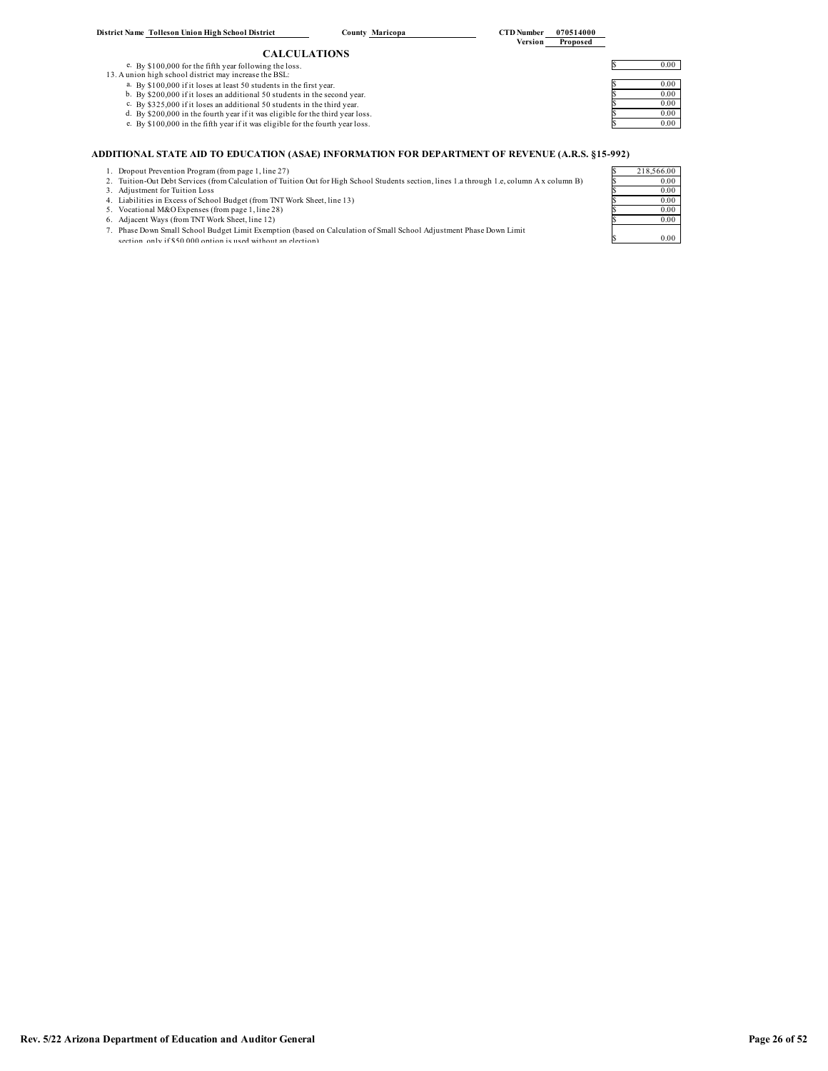| Rev. 5/22 Arizona Department of Education and Auditor General | Page 26 of 52 |
|---------------------------------------------------------------|---------------|

| District Name Tolleson Union High School District                              | County Maricopa     | <b>CTD</b> Number<br>070514000<br>Version<br>Proposed |
|--------------------------------------------------------------------------------|---------------------|-------------------------------------------------------|
|                                                                                | <b>CALCULATIONS</b> |                                                       |
| e. By \$100,000 for the fifth year following the loss.                         |                     | 0.00                                                  |
| 13. A union high school district may increase the BSL:                         |                     |                                                       |
| a. By \$100,000 if it loses at least 50 students in the first year.            |                     | 0.00                                                  |
| b. By \$200,000 if it loses an additional 50 students in the second year.      |                     | 0.00                                                  |
| c. By \$325,000 if it loses an additional 50 students in the third year.       |                     | 0.00                                                  |
| d. By \$200,000 in the fourth year if it was eligible for the third year loss. |                     | 0.00                                                  |
| e. By \$100,000 in the fifth year if it was eligible for the fourth year loss. |                     | 0.00                                                  |
|                                                                                |                     |                                                       |

# **ADDITIONAL STATE AID TO EDUCATION (ASAE) INFORMATION FOR DEPARTMENT OF REVENUE (A.R.S. §15-992)**

- 
- 1. Dropout Prevention Program (from page 1, line 27)<br>2. Tuition-Out Debt Services (from Calculation of Tuition Out for High School Students section, lines 1.a through 1.e, column A x column B)<br>3. Adjustment for Tuition Los
- 
- 
- 
- 
- 5. Vocational M&O Expenses (from page 1, line 28)<br>6. Adjacent Ways (from TNT Work Sheet, line 12)<br>7. Phase Down Small School Budget Limit Exemption (based on Calculation of Small School Adjustment Phase Down Limit<br>8. The s

| 92) |            |
|-----|------------|
|     | 218,566.00 |
|     | 0.00       |
|     | 0.00       |
|     | 0.00       |
|     | 0.00       |
|     | 0.00       |
|     |            |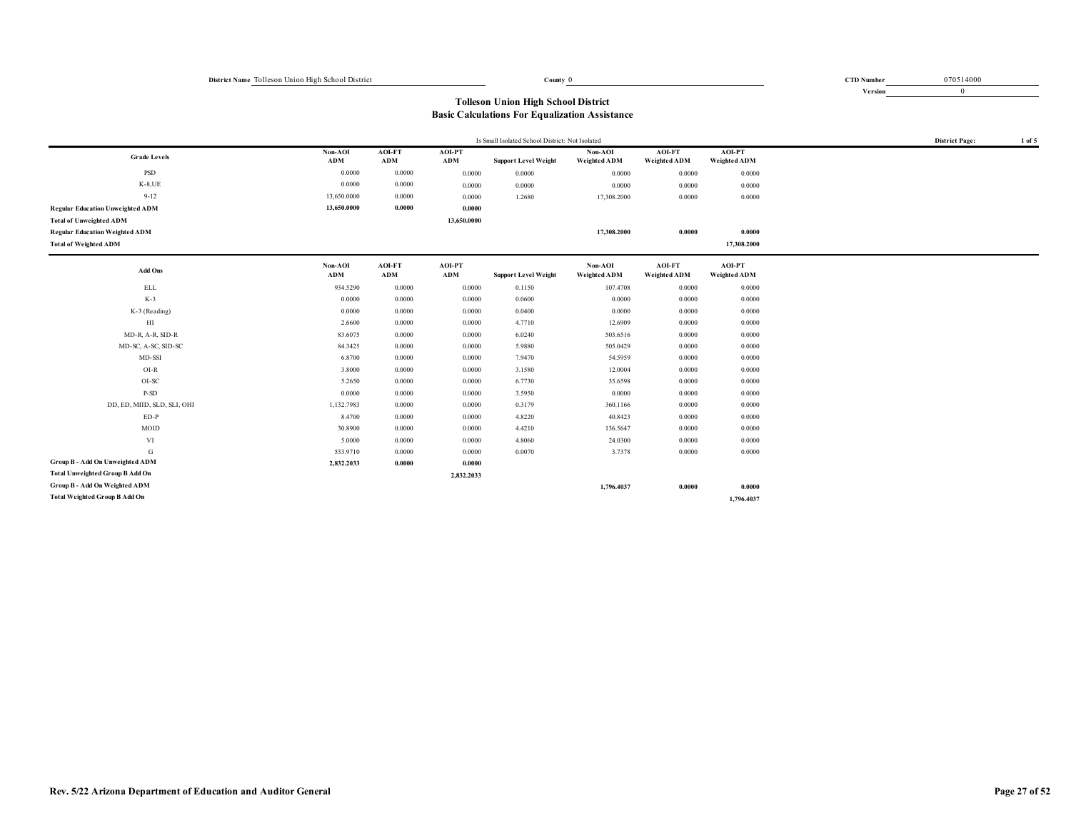0 070514000

**Version** 0

| Is Small Isolated School District: Not Isolated |                |               |               |                             |                         |                        | <b>District Page:</b>                | 1 of 5 |  |
|-------------------------------------------------|----------------|---------------|---------------|-----------------------------|-------------------------|------------------------|--------------------------------------|--------|--|
| <b>Grade Levels</b>                             | Non-AOI        | AOI-FT        | AOI-PT        |                             | Non-AOI                 | AOI-FT                 | <b>AOI-PT</b>                        |        |  |
|                                                 | ADM            | ADM           | ADM           | <b>Support Level Weight</b> | Weighted ADM            | Weighted ADM           | Weighted ADM                         |        |  |
| PSD                                             | 0.0000         | 0.0000        | 0.0000        | 0.0000                      | 0.0000                  | 0.0000                 | 0.0000                               |        |  |
| $K-8,UE$                                        | 0.0000         | 0.0000        | 0.0000        | 0.0000                      | 0.0000                  | 0.0000                 | 0.0000                               |        |  |
| $9 - 12$                                        | 13,650.0000    | 0.0000        | 0.0000        | 1.2680                      | 17,308.2000             | 0.0000                 | 0.0000                               |        |  |
| <b>Regular Education Unweighted ADM</b>         | 13,650.0000    | 0.0000        | 0.0000        |                             |                         |                        |                                      |        |  |
| <b>Total of Unweighted ADM</b>                  |                |               | 13,650.0000   |                             |                         |                        |                                      |        |  |
| <b>Regular Education Weighted ADM</b>           |                |               |               |                             | 17,308.2000             | 0.0000                 | 0.0000                               |        |  |
| <b>Total of Weighted ADM</b>                    |                |               |               |                             |                         |                        | 17,308.2000                          |        |  |
| Add Ons                                         | Non-AOI<br>ADM | AOI-FT<br>ADM | AOI-PT<br>ADM | <b>Support Level Weight</b> | Non-AOI<br>Weighted ADM | AOI-FT<br>Weighted ADM | <b>AOI-PT</b><br><b>Weighted ADM</b> |        |  |
| ELL                                             | 934.5290       | 0.0000        | 0.0000        | 0.1150                      | 107.4708                | 0.0000                 | 0.0000                               |        |  |
| $K-3$                                           | 0.0000         | 0.0000        | 0.0000        | 0.0600                      | 0.0000                  | 0.0000                 | 0.0000                               |        |  |
| $K-3$ (Reading)                                 | 0.0000         | 0.0000        | 0.0000        | 0.0400                      | 0.0000                  | 0.0000                 | 0.0000                               |        |  |
| $_{\rm HI}$                                     | 2.6600         | 0.0000        | 0.0000        | 4.7710                      | 12.6909                 | 0.0000                 | 0.0000                               |        |  |
| MD-R, A-R, SID-R                                | 83.6075        | 0.0000        | 0.0000        | 6.0240                      | 503.6516                | 0.0000                 | 0.0000                               |        |  |
| MD-SC, A-SC, SID-SC                             | 84.3425        | 0.0000        | 0.0000        | 5.9880                      | 505.0429                | 0.0000                 | 0.0000                               |        |  |
| MD-SSI                                          | 6.8700         | 0.0000        | 0.0000        | 7.9470                      | 54.5959                 | 0.0000                 | 0.0000                               |        |  |
| $OI-R$                                          | 3.8000         | 0.0000        | 0.0000        | 3.1580                      | 12.0004                 | 0.0000                 | 0.0000                               |        |  |
| OI-SC                                           | 5.2650         | 0.0000        | 0.0000        | 6.7730                      | 35.6598                 | 0.0000                 | 0.0000                               |        |  |
| P-SD                                            | 0.0000         | 0.0000        | 0.0000        | 3.5950                      | 0.0000                  | 0.0000                 | 0.0000                               |        |  |
| DD, ED, MIID, SLD, SLI, OHI                     | 1,132.7983     | 0.0000        | 0.0000        | 0.3179                      | 360.1166                | 0.0000                 | 0.0000                               |        |  |
| $ED-P$                                          | 8.4700         | 0.0000        | 0.0000        | 4.8220                      | 40.8423                 | 0.0000                 | 0.0000                               |        |  |
| MOID                                            | 30.8900        | 0.0000        | 0.0000        | 4.4210                      | 136.5647                | 0.0000                 | 0.0000                               |        |  |
| VI                                              | 5.0000         | 0.0000        | 0.0000        | 4.8060                      | 24.0300                 | 0.0000                 | 0.0000                               |        |  |
| G                                               | 533.9710       | 0.0000        | 0.0000        | 0.0070                      | 3.7378                  | 0.0000                 | 0.0000                               |        |  |
| Group B - Add On Unweighted ADM                 | 2,832.2033     | 0.0000        | 0.0000        |                             |                         |                        |                                      |        |  |
| Total Unweighted Group B Add On                 |                |               | 2,832.2033    |                             |                         |                        |                                      |        |  |
| Group B - Add On Weighted ADM                   |                |               |               |                             | 1,796.4037              | 0.0000                 | 0.0000                               |        |  |
| <b>Total Weighted Group B Add On</b>            |                |               |               |                             |                         |                        | 1,796.4037                           |        |  |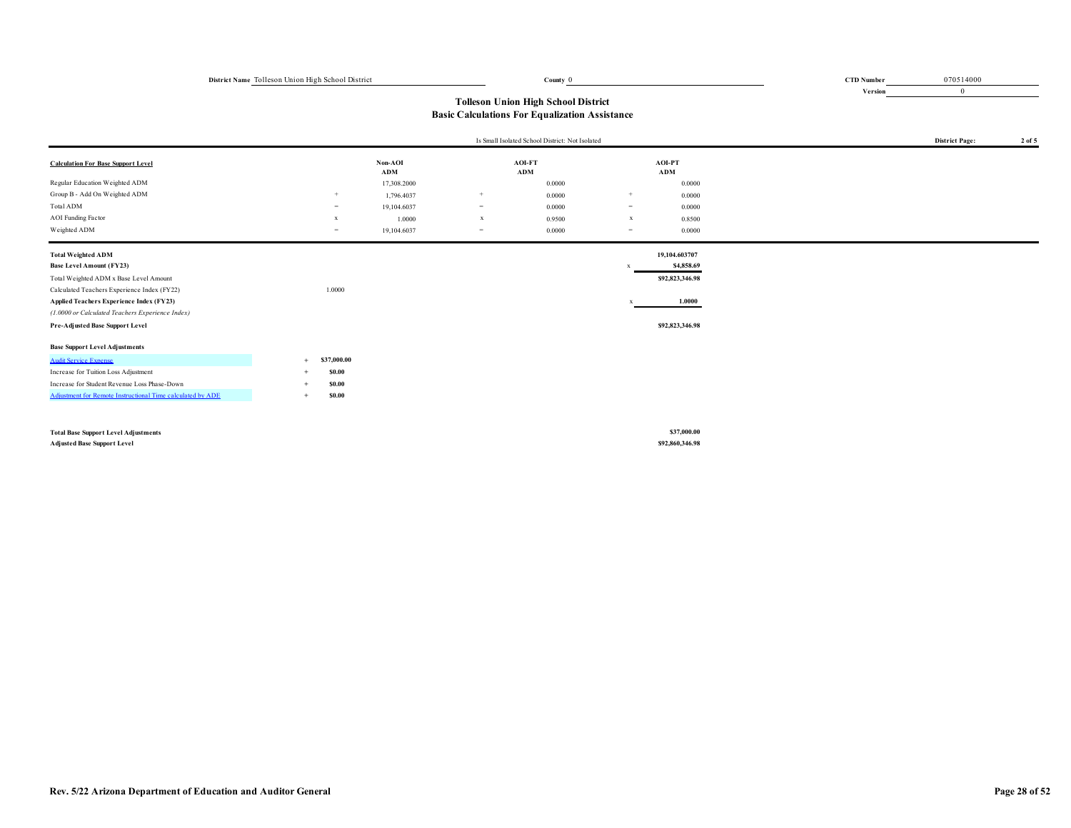**Version** 0 070514000

0

|                                                            |                     |                |             | Is Small Isolated School District: Not Isolated |              |                 | <b>District Page:</b> | 2 of 5 |
|------------------------------------------------------------|---------------------|----------------|-------------|-------------------------------------------------|--------------|-----------------|-----------------------|--------|
| <b>Calculation For Base Support Level</b>                  |                     | Non-AOI<br>ADM |             | AOI-FT<br>ADM                                   |              | AOI-PT<br>ADM   |                       |        |
| Regular Education Weighted ADM                             |                     | 17,308.2000    |             | 0.0000                                          |              | 0.0000          |                       |        |
| Group B - Add On Weighted ADM                              | $+$                 | 1,796.4037     | $+$         | 0.0000                                          | $+$          | 0.0000          |                       |        |
| Total ADM                                                  | $=$                 | 19,104.6037    | $=$         | 0.0000                                          | $=$          | 0.0000          |                       |        |
| <b>AOI</b> Funding Factor                                  | $\mathbf{x}$        | 1.0000         | $\mathbf x$ | 0.9500                                          | $\mathbf{x}$ | 0.8500          |                       |        |
| Weighted ADM                                               | $=$                 | 19,104.6037    | $=$         | 0.0000                                          | $=$          | 0.0000          |                       |        |
| <b>Total Weighted ADM</b>                                  |                     |                |             |                                                 |              | 19,104.603707   |                       |        |
| <b>Base Level Amount (FY23)</b>                            |                     |                |             |                                                 |              | \$4,858.69      |                       |        |
| Total Weighted ADM x Base Level Amount                     |                     |                |             |                                                 |              | \$92,823,346.98 |                       |        |
| Calculated Teachers Experience Index (FY22)                | 1.0000              |                |             |                                                 |              |                 |                       |        |
| Applied Teachers Experience Index (FY23)                   |                     |                |             |                                                 |              | 1.0000          |                       |        |
| (1.0000 or Calculated Teachers Experience Index)           |                     |                |             |                                                 |              |                 |                       |        |
| Pre-Adjusted Base Support Level                            |                     |                |             |                                                 |              | \$92,823,346.98 |                       |        |
| <b>Base Support Level Adjustments</b>                      |                     |                |             |                                                 |              |                 |                       |        |
| <b>Audit Service Expense</b>                               | \$37,000.00         |                |             |                                                 |              |                 |                       |        |
| Increase for Tuition Loss Adjustment                       | <b>SO.00</b>        |                |             |                                                 |              |                 |                       |        |
| Increase for Student Revenue Loss Phase-Down               | <b>SO.00</b>        |                |             |                                                 |              |                 |                       |        |
| Adjustment for Remote Instructional Time calculated by ADE | <b>S0.00</b><br>$+$ |                |             |                                                 |              |                 |                       |        |
|                                                            |                     |                |             |                                                 |              | \$37,000.00     |                       |        |
| <b>Total Base Support Level Adjustments</b>                |                     |                |             |                                                 |              |                 |                       |        |
| <b>Adjusted Base Support Level</b>                         |                     |                |             |                                                 |              | \$92,860,346.98 |                       |        |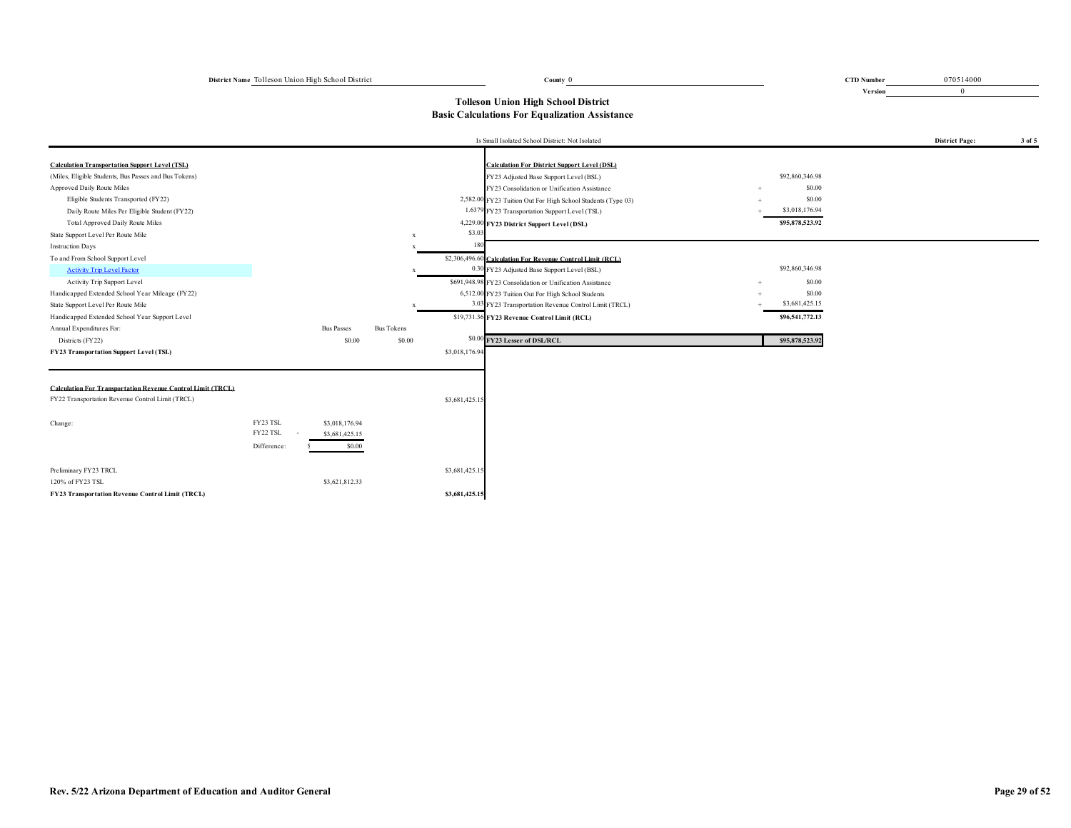| District Name Tolleson Union High School District<br>County () | <b>CTD Number</b> |
|----------------------------------------------------------------|-------------------|
|----------------------------------------------------------------|-------------------|

CID Number 070514000 0 070514000 0 070514000 0 070514000 0 070514000 0 070514000 0 070514000 0 070514000 0 070514000 0 070514000 0 070514000 0 070514000 0 070514000 0 070514000 0 070514000 0 070514000 0 070514000 0 0705140

**Version** 0

|                                                                             |                                                                         |                   |                | Is Small Isolated School District: Not Isolated                      |                 | <b>District Page:</b> | 3 of 5 |
|-----------------------------------------------------------------------------|-------------------------------------------------------------------------|-------------------|----------------|----------------------------------------------------------------------|-----------------|-----------------------|--------|
| <b>Calculation Transportation Support Level (TSL)</b>                       |                                                                         |                   |                | <b>Calculation For District Sunnort Level (DSL)</b>                  |                 |                       |        |
| (Miles, Eligible Students, Bus Passes and Bus Tokens)                       |                                                                         |                   |                | FY23 Adjusted Base Support Level (BSL)                               | \$92,860,346.98 |                       |        |
| Approved Daily Route Miles                                                  |                                                                         |                   |                | FY23 Consolidation or Unification Assistance                         | \$0.00          |                       |        |
| Eligible Students Transported (FY22)                                        |                                                                         |                   |                | 2,582.00 FY23 Tuition Out For High School Students (Type 03)         | \$0.00          |                       |        |
| Daily Route Miles Per Eligible Student (FY22)                               |                                                                         |                   |                | 1.637<br><sup>9</sup> FY23 Transportation Support Level (TSL)        | \$3,018,176.94  |                       |        |
| Total Approved Daily Route Miles                                            |                                                                         |                   |                | 4,229.00 FY23 District Support Level (DSL)                           | \$95,878,523.92 |                       |        |
| State Support Level Per Route Mile                                          |                                                                         |                   | $\mathbf{x}$   | \$3.03                                                               |                 |                       |        |
| <b>Instruction Days</b>                                                     |                                                                         |                   |                |                                                                      |                 |                       |        |
| To and From School Support Level                                            |                                                                         |                   |                | \$2,306,496.60 Calculation For Revenue Control Limit (RCL)           |                 |                       |        |
| <b>Activity Trip Level Factor</b>                                           |                                                                         |                   |                | 0.30 FY23 Adjusted Base Support Level (BSL)                          | \$92,860,346.98 |                       |        |
| Activity Trip Support Level                                                 |                                                                         |                   |                | \$691,948.98 FY23 Consolidation or Unification Assistance            | \$0.00          |                       |        |
| Handicapped Extended School Year Mileage (FY22)                             |                                                                         |                   |                | 6,512.00 FY23 Tuition Out For High School Students                   | \$0.00          |                       |        |
| State Support Level Per Route Mile                                          |                                                                         |                   |                | 3.0<br><sup>3</sup> FY23 Transportation Revenue Control Limit (TRCL) | \$3,681,425.15  |                       |        |
| Handicapped Extended School Year Support Level                              |                                                                         |                   |                | \$19,731.36 FY23 Revenue Control Limit (RCL)                         | \$96,541,772.13 |                       |        |
| Annual Expenditures For:                                                    | <b>Bus Passes</b>                                                       | <b>Bus Tokens</b> |                |                                                                      |                 |                       |        |
| Districts (FY22)                                                            |                                                                         | \$0.00            | \$0.00         | \$0.00 FY23 Lesser of DSL/RCL                                        | \$95,878,523.92 |                       |        |
| <b>FY23 Transportation Support Level (TSL)</b>                              |                                                                         |                   | \$3,018,176.94 |                                                                      |                 |                       |        |
| <b>Calculation For Transportation Revenue Control Limit (TRCL)</b>          |                                                                         |                   |                |                                                                      |                 |                       |        |
| FY22 Transportation Revenue Control Limit (TRCL)                            |                                                                         |                   | \$3,681,425.15 |                                                                      |                 |                       |        |
| Change:                                                                     | FY23 TSL<br>\$3,018,176.94<br>FY22 TSL<br>\$3,681,425.15<br>Difference: | \$0.00            |                |                                                                      |                 |                       |        |
| Preliminary FY23 TRCL                                                       |                                                                         |                   | \$3,681,425.15 |                                                                      |                 |                       |        |
| 120% of FY23 TSL<br><b>FY23 Transportation Revenue Control Limit (TRCL)</b> | \$3,621,812.33                                                          |                   | \$3,681,425.15 |                                                                      |                 |                       |        |
|                                                                             |                                                                         |                   |                |                                                                      |                 |                       |        |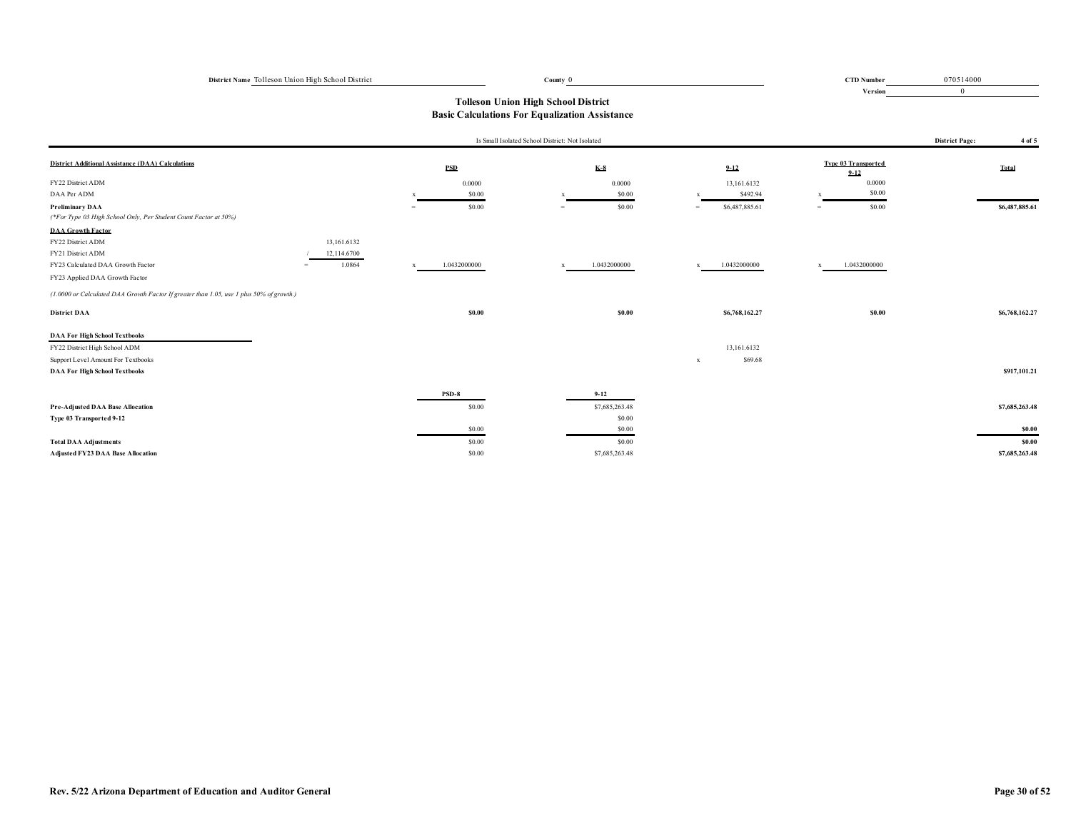| District Name Tolleson Union High School District | County () |  | <b>CTD Number</b> |
|---------------------------------------------------|-----------|--|-------------------|
|                                                   |           |  |                   |

**Version** CID Number 070514000 0 070514000 0 070514000 0 070514000 0 070514000 0 070514000 0 070514000 0 070514000 0 070514000 0 070514000 0 070514000 0 070514000 0 070514000 0 070514000 0 070514000 0 070514000 0 070514000 0 0705140 0

|                                                                                          |             |              | Is Small Isolated School District: Not Isolated |                |              |                |     |                                        | <b>District Page:</b> | 4 of 5         |
|------------------------------------------------------------------------------------------|-------------|--------------|-------------------------------------------------|----------------|--------------|----------------|-----|----------------------------------------|-----------------------|----------------|
| <b>District Additional Assistance (DAA) Calculations</b>                                 |             | <b>PSD</b>   |                                                 | $K-8$          |              | $9 - 12$       |     | <b>Type 03 Transported</b><br>$9 - 12$ |                       | Total          |
| FY22 District ADM                                                                        |             | 0.0000       |                                                 | 0.0000         |              | 13,161.6132    |     | 0.0000                                 |                       |                |
| DAA Per ADM                                                                              |             | \$0.00       |                                                 | \$0.00         |              | \$492.94       |     | \$0.00                                 |                       |                |
| <b>Preliminary DAA</b>                                                                   |             | \$0.00       |                                                 | \$0.00         | $=$          | \$6,487,885.61 | $=$ | \$0.00                                 |                       | \$6,487,885.61 |
| (*For Type 03 High School Only, Per Student Count Factor at 50%)                         |             |              |                                                 |                |              |                |     |                                        |                       |                |
| <b>DAA Growth Factor</b>                                                                 |             |              |                                                 |                |              |                |     |                                        |                       |                |
| FY22 District ADM                                                                        | 13,161.6132 |              |                                                 |                |              |                |     |                                        |                       |                |
| FY21 District ADM                                                                        | 12,114.6700 |              |                                                 |                |              |                |     |                                        |                       |                |
| FY23 Calculated DAA Growth Factor<br>$=$                                                 | 1.0864      | 1.0432000000 |                                                 | 1.0432000000   | $\mathbf{x}$ | 1.0432000000   |     | 1.0432000000                           |                       |                |
| FY23 Applied DAA Growth Factor                                                           |             |              |                                                 |                |              |                |     |                                        |                       |                |
| (1.0000 or Calculated DAA Growth Factor If greater than 1.05, use 1 plus 50% of growth.) |             |              |                                                 |                |              |                |     |                                        |                       |                |
| <b>District DAA</b>                                                                      |             | \$0.00       |                                                 | \$0.00         |              | \$6,768,162.27 |     | \$0.00                                 |                       | \$6,768,162.27 |
| <b>DAA For High School Textbooks</b>                                                     |             |              |                                                 |                |              |                |     |                                        |                       |                |
| FY22 District High School ADM                                                            |             |              |                                                 |                |              | 13,161.6132    |     |                                        |                       |                |
| Support Level Amount For Textbooks                                                       |             |              |                                                 |                | $\mathbf{x}$ | \$69.68        |     |                                        |                       |                |
| <b>DAA For High School Textbooks</b>                                                     |             |              |                                                 |                |              |                |     |                                        |                       | \$917,101.21   |
|                                                                                          |             | PSD-8        |                                                 | $9 - 12$       |              |                |     |                                        |                       |                |
| Pre-Adjusted DAA Base Allocation                                                         |             | \$0.00       |                                                 | \$7,685,263.48 |              |                |     |                                        |                       | \$7,685,263.48 |
| Type 03 Transported 9-12                                                                 |             |              |                                                 | \$0.00         |              |                |     |                                        |                       |                |
|                                                                                          |             | \$0.00       |                                                 | \$0.00         |              |                |     |                                        |                       | \$0.00         |
| <b>Total DAA Adjustments</b>                                                             |             | \$0.00       |                                                 | \$0.00         |              |                |     |                                        |                       | \$0.00         |
| Adjusted FY23 DAA Base Allocation                                                        |             | \$0.00       |                                                 | \$7,685,263.48 |              |                |     |                                        |                       | \$7,685,263.48 |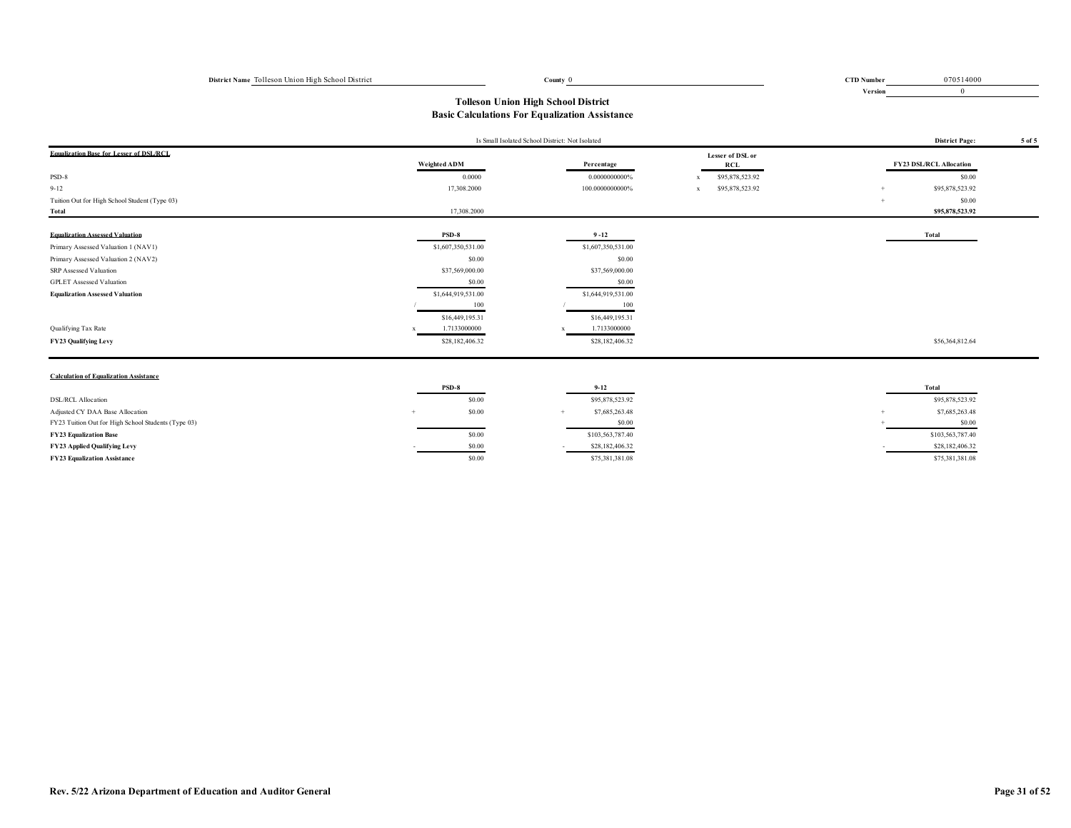0 070514000

**Version** 0

# **Tolleson Union High School District Basic Calculations For Equalization Assistance**

|                                                     | Is Small Isolated School District: Not Isolated | <b>District Page:</b><br>5 of 5 |                                 |                                |
|-----------------------------------------------------|-------------------------------------------------|---------------------------------|---------------------------------|--------------------------------|
| <b>Equalization Base for Lesser of DSL/RCL</b>      |                                                 |                                 | Lesser of DSL or                |                                |
|                                                     | <b>Weighted ADM</b>                             | Percentage                      | <b>RCL</b>                      | <b>FY23 DSL/RCL Allocation</b> |
| PSD-8                                               | 0.0000                                          | 0.0000000000%                   | \$95,878,523.92<br>$\mathbf x$  | \$0.00                         |
| $9 - 12$                                            | 17,308.2000                                     | 100.0000000000%                 | \$95,878,523.92<br>$\mathbf{x}$ | \$95,878,523.92                |
| Tuition Out for High School Student (Type 03)       |                                                 |                                 |                                 | \$0.00<br>$+$                  |
| Total                                               | 17,308.2000                                     |                                 |                                 | \$95,878,523.92                |
| <b>Equalization Assessed Valuation</b>              | PSD-8                                           | $9 - 12$                        |                                 | Total                          |
| Primary Assessed Valuation 1 (NAV1)                 | \$1,607,350,531.00                              | \$1,607,350,531.00              |                                 |                                |
| Primary Assessed Valuation 2 (NAV2)                 | \$0.00                                          | \$0.00                          |                                 |                                |
| SRP Assessed Valuation                              | \$37,569,000.00                                 | \$37,569,000.00                 |                                 |                                |
| <b>GPLET</b> Assessed Valuation                     | \$0.00                                          | \$0.00                          |                                 |                                |
| <b>Equalization Assessed Valuation</b>              | \$1,644,919,531.00                              | \$1,644,919,531.00              |                                 |                                |
|                                                     | 100                                             | 100                             |                                 |                                |
|                                                     | \$16,449,195.31                                 | \$16,449,195.31                 |                                 |                                |
| Qualifying Tax Rate                                 | 1.7133000000                                    | 1.7133000000                    |                                 |                                |
| FY23 Qualifying Levy                                | \$28,182,406.32                                 | \$28,182,406.32                 |                                 | \$56,364,812.64                |
|                                                     |                                                 |                                 |                                 |                                |
| <b>Calculation of Equalization Assistance</b>       |                                                 |                                 |                                 |                                |
|                                                     | PSD-8                                           | $9 - 12$                        |                                 | Total                          |
| <b>DSL/RCL Allocation</b>                           | \$0.00                                          | \$95,878,523.92                 |                                 | \$95,878,523.92                |
| Adjusted CY DAA Base Allocation                     | \$0.00<br>$+$                                   | \$7,685,263.48<br>$+$           |                                 | \$7,685,263.48                 |
| FY23 Tuition Out for High School Students (Type 03) |                                                 | \$0.00                          |                                 | \$0.00                         |
| <b>FY23 Equalization Base</b>                       | \$0.00                                          | \$103,563,787.40                |                                 | \$103,563,787.40               |
| FY23 Applied Qualifying Levy                        | \$0.00                                          | \$28,182,406.32                 |                                 | \$28,182,406.32                |
| <b>FY23 Equalization Assistance</b>                 | \$0.00                                          | \$75,381,381.08                 |                                 | \$75,381,381.08                |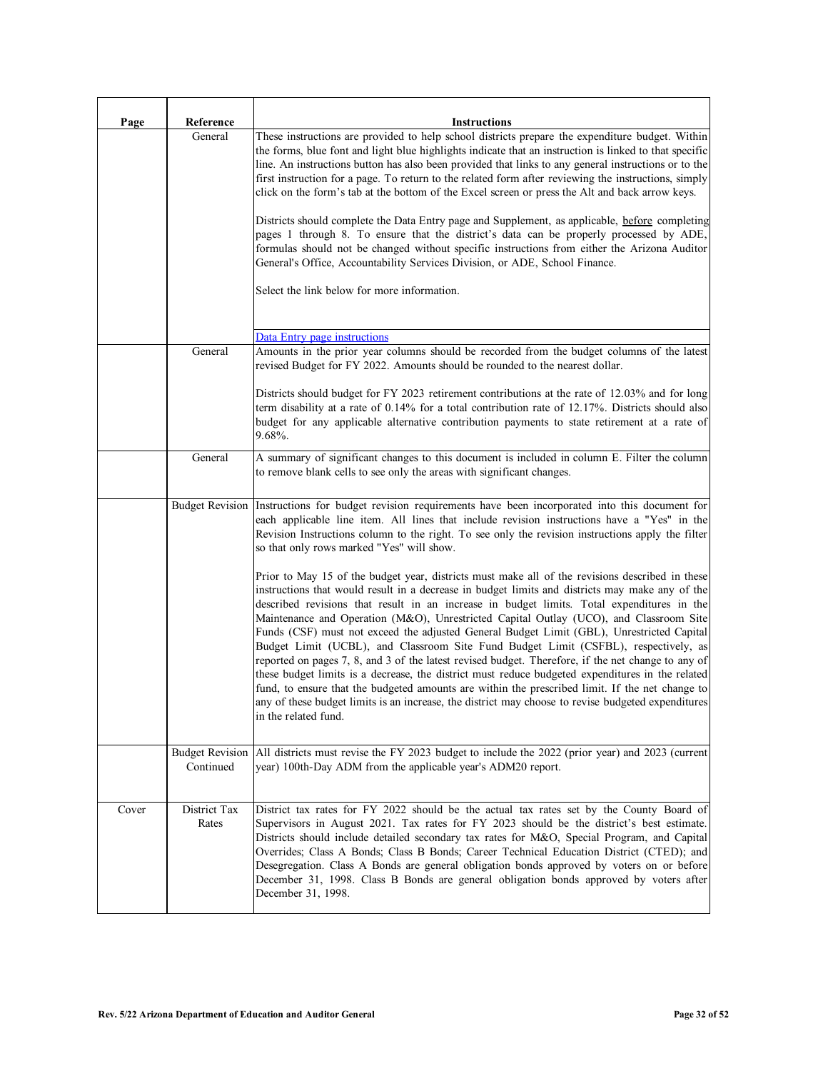| Page  | Reference                           | <b>Instructions</b>                                                                                                                                                                                                                                                                                                                                                                                                                                                                                                                                                                                                                                                                                                                                                                                                                                                                                                                                                                                                       |
|-------|-------------------------------------|---------------------------------------------------------------------------------------------------------------------------------------------------------------------------------------------------------------------------------------------------------------------------------------------------------------------------------------------------------------------------------------------------------------------------------------------------------------------------------------------------------------------------------------------------------------------------------------------------------------------------------------------------------------------------------------------------------------------------------------------------------------------------------------------------------------------------------------------------------------------------------------------------------------------------------------------------------------------------------------------------------------------------|
|       | General                             | These instructions are provided to help school districts prepare the expenditure budget. Within<br>the forms, blue font and light blue highlights indicate that an instruction is linked to that specific<br>line. An instructions button has also been provided that links to any general instructions or to the<br>first instruction for a page. To return to the related form after reviewing the instructions, simply<br>click on the form's tab at the bottom of the Excel screen or press the Alt and back arrow keys.                                                                                                                                                                                                                                                                                                                                                                                                                                                                                              |
|       |                                     | Districts should complete the Data Entry page and Supplement, as applicable, before completing<br>pages 1 through 8. To ensure that the district's data can be properly processed by ADE,<br>formulas should not be changed without specific instructions from either the Arizona Auditor<br>General's Office, Accountability Services Division, or ADE, School Finance.                                                                                                                                                                                                                                                                                                                                                                                                                                                                                                                                                                                                                                                  |
|       |                                     | Select the link below for more information.                                                                                                                                                                                                                                                                                                                                                                                                                                                                                                                                                                                                                                                                                                                                                                                                                                                                                                                                                                               |
|       |                                     | Data Entry page instructions                                                                                                                                                                                                                                                                                                                                                                                                                                                                                                                                                                                                                                                                                                                                                                                                                                                                                                                                                                                              |
|       | General                             | Amounts in the prior year columns should be recorded from the budget columns of the latest<br>revised Budget for FY 2022. Amounts should be rounded to the nearest dollar.                                                                                                                                                                                                                                                                                                                                                                                                                                                                                                                                                                                                                                                                                                                                                                                                                                                |
|       |                                     | Districts should budget for FY 2023 retirement contributions at the rate of 12.03% and for long<br>term disability at a rate of 0.14% for a total contribution rate of 12.17%. Districts should also<br>budget for any applicable alternative contribution payments to state retirement at a rate of<br>$9.68\%$ .                                                                                                                                                                                                                                                                                                                                                                                                                                                                                                                                                                                                                                                                                                        |
|       | General                             | A summary of significant changes to this document is included in column E. Filter the column<br>to remove blank cells to see only the areas with significant changes.                                                                                                                                                                                                                                                                                                                                                                                                                                                                                                                                                                                                                                                                                                                                                                                                                                                     |
|       | <b>Budget Revision</b>              | Instructions for budget revision requirements have been incorporated into this document for<br>each applicable line item. All lines that include revision instructions have a "Yes" in the<br>Revision Instructions column to the right. To see only the revision instructions apply the filter<br>so that only rows marked "Yes" will show.                                                                                                                                                                                                                                                                                                                                                                                                                                                                                                                                                                                                                                                                              |
|       |                                     | Prior to May 15 of the budget year, districts must make all of the revisions described in these<br>instructions that would result in a decrease in budget limits and districts may make any of the<br>described revisions that result in an increase in budget limits. Total expenditures in the<br>Maintenance and Operation (M&O), Unrestricted Capital Outlay (UCO), and Classroom Site<br>Funds (CSF) must not exceed the adjusted General Budget Limit (GBL), Unrestricted Capital<br>Budget Limit (UCBL), and Classroom Site Fund Budget Limit (CSFBL), respectively, as<br>reported on pages 7, 8, and 3 of the latest revised budget. Therefore, if the net change to any of<br>these budget limits is a decrease, the district must reduce budgeted expenditures in the related<br>fund, to ensure that the budgeted amounts are within the prescribed limit. If the net change to<br>any of these budget limits is an increase, the district may choose to revise budgeted expenditures<br>in the related fund. |
|       | <b>Budget Revision</b><br>Continued | All districts must revise the FY 2023 budget to include the 2022 (prior year) and 2023 (current<br>year) 100th-Day ADM from the applicable year's ADM20 report.                                                                                                                                                                                                                                                                                                                                                                                                                                                                                                                                                                                                                                                                                                                                                                                                                                                           |
| Cover | District Tax<br>Rates               | District tax rates for FY 2022 should be the actual tax rates set by the County Board of<br>Supervisors in August 2021. Tax rates for FY 2023 should be the district's best estimate.<br>Districts should include detailed secondary tax rates for M&O, Special Program, and Capital<br>Overrides; Class A Bonds; Class B Bonds; Career Technical Education District (CTED); and<br>Desegregation. Class A Bonds are general obligation bonds approved by voters on or before<br>December 31, 1998. Class B Bonds are general obligation bonds approved by voters after<br>December 31, 1998.                                                                                                                                                                                                                                                                                                                                                                                                                             |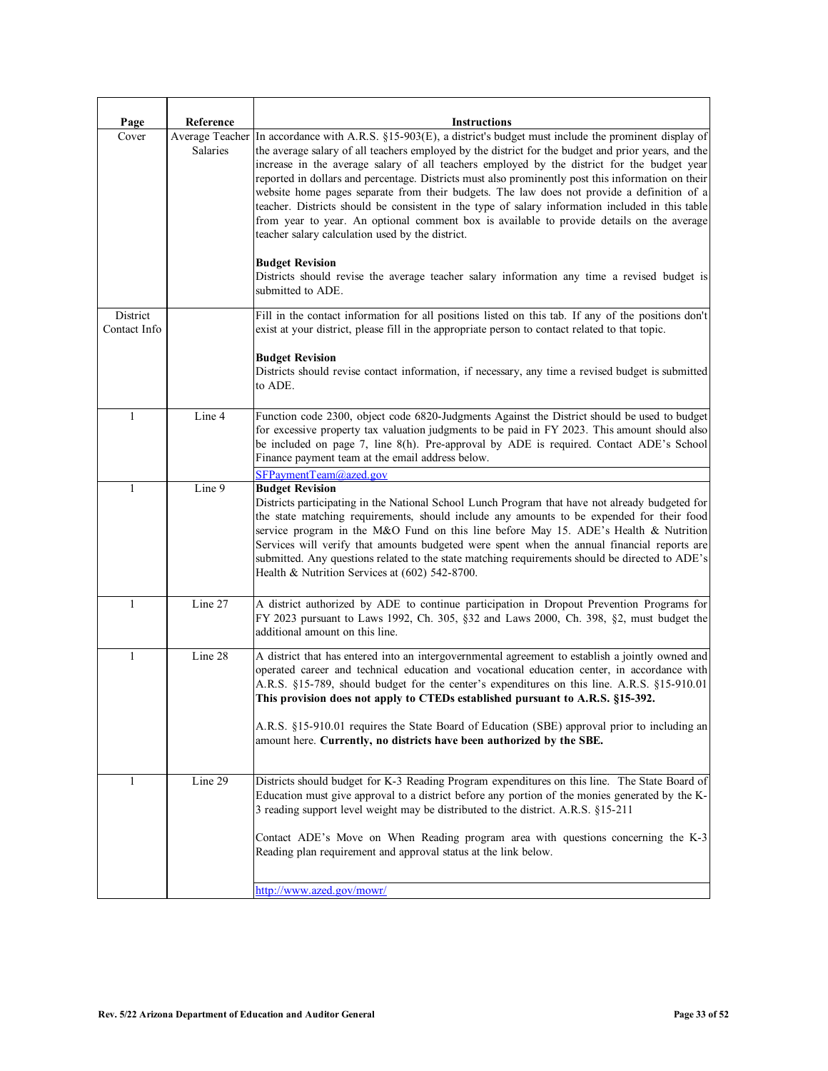| Page                     | Reference       | <b>Instructions</b>                                                                                                                                                                                                                                                                                                                                                                                                                                                                                                                                                                                                                                                                                                                                                                                      |
|--------------------------|-----------------|----------------------------------------------------------------------------------------------------------------------------------------------------------------------------------------------------------------------------------------------------------------------------------------------------------------------------------------------------------------------------------------------------------------------------------------------------------------------------------------------------------------------------------------------------------------------------------------------------------------------------------------------------------------------------------------------------------------------------------------------------------------------------------------------------------|
| Cover                    | <b>Salaries</b> | Average Teacher In accordance with A.R.S. §15-903(E), a district's budget must include the prominent display of<br>the average salary of all teachers employed by the district for the budget and prior years, and the<br>increase in the average salary of all teachers employed by the district for the budget year<br>reported in dollars and percentage. Districts must also prominently post this information on their<br>website home pages separate from their budgets. The law does not provide a definition of a<br>teacher. Districts should be consistent in the type of salary information included in this table<br>from year to year. An optional comment box is available to provide details on the average<br>teacher salary calculation used by the district.<br><b>Budget Revision</b> |
|                          |                 | Districts should revise the average teacher salary information any time a revised budget is<br>submitted to ADE.                                                                                                                                                                                                                                                                                                                                                                                                                                                                                                                                                                                                                                                                                         |
| District<br>Contact Info |                 | Fill in the contact information for all positions listed on this tab. If any of the positions don't<br>exist at your district, please fill in the appropriate person to contact related to that topic.                                                                                                                                                                                                                                                                                                                                                                                                                                                                                                                                                                                                   |
|                          |                 | <b>Budget Revision</b><br>Districts should revise contact information, if necessary, any time a revised budget is submitted<br>to ADE.                                                                                                                                                                                                                                                                                                                                                                                                                                                                                                                                                                                                                                                                   |
| $\mathbf{1}$             | Line 4          | Function code 2300, object code 6820-Judgments Against the District should be used to budget<br>for excessive property tax valuation judgments to be paid in FY 2023. This amount should also<br>be included on page 7, line 8(h). Pre-approval by ADE is required. Contact ADE's School<br>Finance payment team at the email address below.<br>SFPaymentTeam@azed.gov                                                                                                                                                                                                                                                                                                                                                                                                                                   |
| $\mathbf{1}$             | Line 9          | <b>Budget Revision</b><br>Districts participating in the National School Lunch Program that have not already budgeted for<br>the state matching requirements, should include any amounts to be expended for their food<br>service program in the M&O Fund on this line before May 15. ADE's Health & Nutrition<br>Services will verify that amounts budgeted were spent when the annual financial reports are<br>submitted. Any questions related to the state matching requirements should be directed to ADE's<br>Health & Nutrition Services at (602) 542-8700.                                                                                                                                                                                                                                       |
| 1                        | Line 27         | A district authorized by ADE to continue participation in Dropout Prevention Programs for<br>FY 2023 pursuant to Laws 1992, Ch. 305, §32 and Laws 2000, Ch. 398, §2, must budget the<br>additional amount on this line.                                                                                                                                                                                                                                                                                                                                                                                                                                                                                                                                                                                  |
| 1                        | Line 28         | A district that has entered into an intergovernmental agreement to establish a jointly owned and<br>operated career and technical education and vocational education center, in accordance with<br>A.R.S. §15-789, should budget for the center's expenditures on this line. A.R.S. §15-910.01<br>This provision does not apply to CTEDs established pursuant to A.R.S. §15-392.                                                                                                                                                                                                                                                                                                                                                                                                                         |
|                          |                 | A.R.S. §15-910.01 requires the State Board of Education (SBE) approval prior to including an<br>amount here. Currently, no districts have been authorized by the SBE.                                                                                                                                                                                                                                                                                                                                                                                                                                                                                                                                                                                                                                    |
| 1                        | Line 29         | Districts should budget for K-3 Reading Program expenditures on this line. The State Board of<br>Education must give approval to a district before any portion of the monies generated by the K-<br>3 reading support level weight may be distributed to the district. A.R.S. §15-211<br>Contact ADE's Move on When Reading program area with questions concerning the K-3<br>Reading plan requirement and approval status at the link below.                                                                                                                                                                                                                                                                                                                                                            |
|                          |                 | http://www.azed.gov/mowr/                                                                                                                                                                                                                                                                                                                                                                                                                                                                                                                                                                                                                                                                                                                                                                                |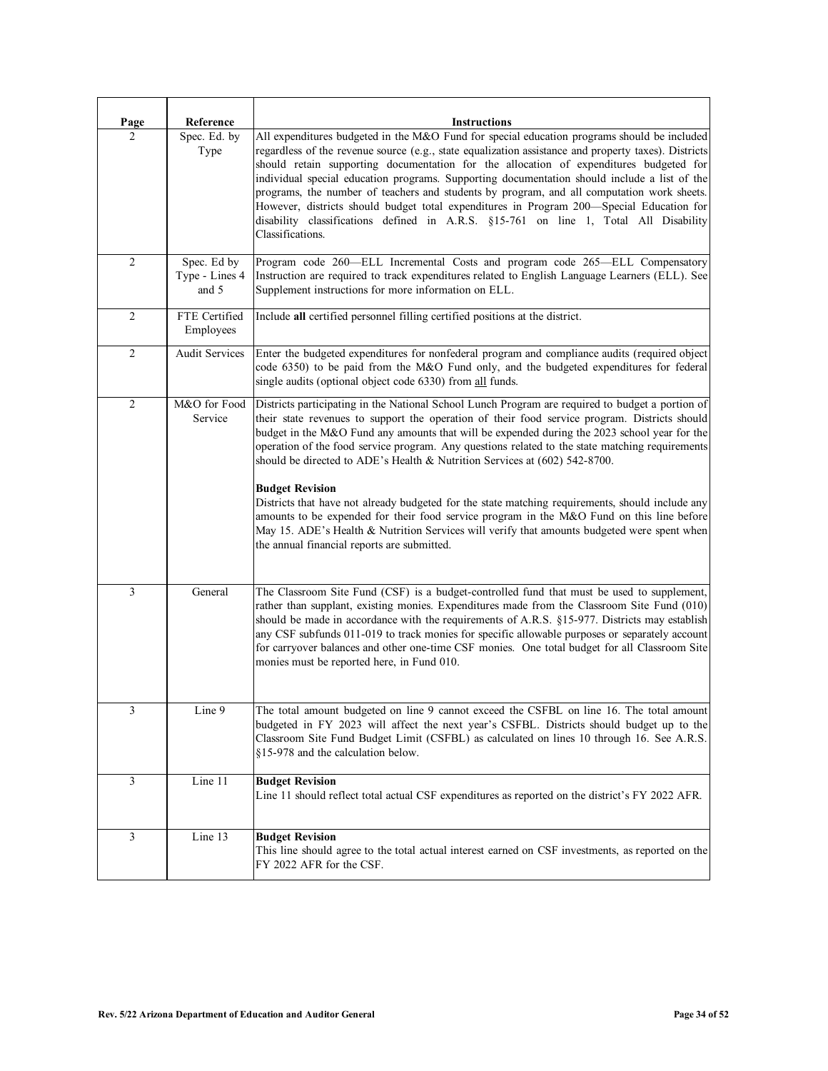| Page           | Reference                              | <b>Instructions</b>                                                                                                                                                                                                                                                                                                                                                                                                                                                                                                                                                                                                                                                                                                                                                                                                                                         |
|----------------|----------------------------------------|-------------------------------------------------------------------------------------------------------------------------------------------------------------------------------------------------------------------------------------------------------------------------------------------------------------------------------------------------------------------------------------------------------------------------------------------------------------------------------------------------------------------------------------------------------------------------------------------------------------------------------------------------------------------------------------------------------------------------------------------------------------------------------------------------------------------------------------------------------------|
| $\mathfrak{D}$ | Spec. Ed. by<br>Type                   | All expenditures budgeted in the M&O Fund for special education programs should be included<br>regardless of the revenue source (e.g., state equalization assistance and property taxes). Districts<br>should retain supporting documentation for the allocation of expenditures budgeted for<br>individual special education programs. Supporting documentation should include a list of the<br>programs, the number of teachers and students by program, and all computation work sheets.<br>However, districts should budget total expenditures in Program 200-Special Education for<br>disability classifications defined in A.R.S. §15-761 on line 1, Total All Disability<br>Classifications.                                                                                                                                                         |
| $\overline{c}$ | Spec. Ed by<br>Type - Lines 4<br>and 5 | Program code 260-ELL Incremental Costs and program code 265-ELL Compensatory<br>Instruction are required to track expenditures related to English Language Learners (ELL). See<br>Supplement instructions for more information on ELL.                                                                                                                                                                                                                                                                                                                                                                                                                                                                                                                                                                                                                      |
| $\overline{2}$ | FTE Certified<br>Employees             | Include all certified personnel filling certified positions at the district.                                                                                                                                                                                                                                                                                                                                                                                                                                                                                                                                                                                                                                                                                                                                                                                |
| $\overline{2}$ | <b>Audit Services</b>                  | Enter the budgeted expenditures for nonfederal program and compliance audits (required object<br>code 6350) to be paid from the M&O Fund only, and the budgeted expenditures for federal<br>single audits (optional object code 6330) from all funds.                                                                                                                                                                                                                                                                                                                                                                                                                                                                                                                                                                                                       |
| $\overline{2}$ | M&O for Food<br>Service                | Districts participating in the National School Lunch Program are required to budget a portion of<br>their state revenues to support the operation of their food service program. Districts should<br>budget in the M&O Fund any amounts that will be expended during the 2023 school year for the<br>operation of the food service program. Any questions related to the state matching requirements<br>should be directed to ADE's Health & Nutrition Services at (602) 542-8700.<br><b>Budget Revision</b><br>Districts that have not already budgeted for the state matching requirements, should include any<br>amounts to be expended for their food service program in the M&O Fund on this line before<br>May 15. ADE's Health & Nutrition Services will verify that amounts budgeted were spent when<br>the annual financial reports are submitted. |
| 3              | General                                | The Classroom Site Fund (CSF) is a budget-controlled fund that must be used to supplement,<br>rather than supplant, existing monies. Expenditures made from the Classroom Site Fund (010)<br>should be made in accordance with the requirements of A.R.S. §15-977. Districts may establish<br>any CSF subfunds 011-019 to track monies for specific allowable purposes or separately account<br>for carryover balances and other one-time CSF monies. One total budget for all Classroom Site<br>monies must be reported here, in Fund 010.                                                                                                                                                                                                                                                                                                                 |
| 3              | Line 9                                 | The total amount budgeted on line 9 cannot exceed the CSFBL on line 16. The total amount<br>budgeted in FY 2023 will affect the next year's CSFBL. Districts should budget up to the<br>Classroom Site Fund Budget Limit (CSFBL) as calculated on lines 10 through 16. See A.R.S.<br>§15-978 and the calculation below.                                                                                                                                                                                                                                                                                                                                                                                                                                                                                                                                     |
| 3              | Line 11                                | <b>Budget Revision</b><br>Line 11 should reflect total actual CSF expenditures as reported on the district's FY 2022 AFR.                                                                                                                                                                                                                                                                                                                                                                                                                                                                                                                                                                                                                                                                                                                                   |
| $\mathfrak{Z}$ | Line 13                                | <b>Budget Revision</b><br>This line should agree to the total actual interest earned on CSF investments, as reported on the<br>FY 2022 AFR for the CSF.                                                                                                                                                                                                                                                                                                                                                                                                                                                                                                                                                                                                                                                                                                     |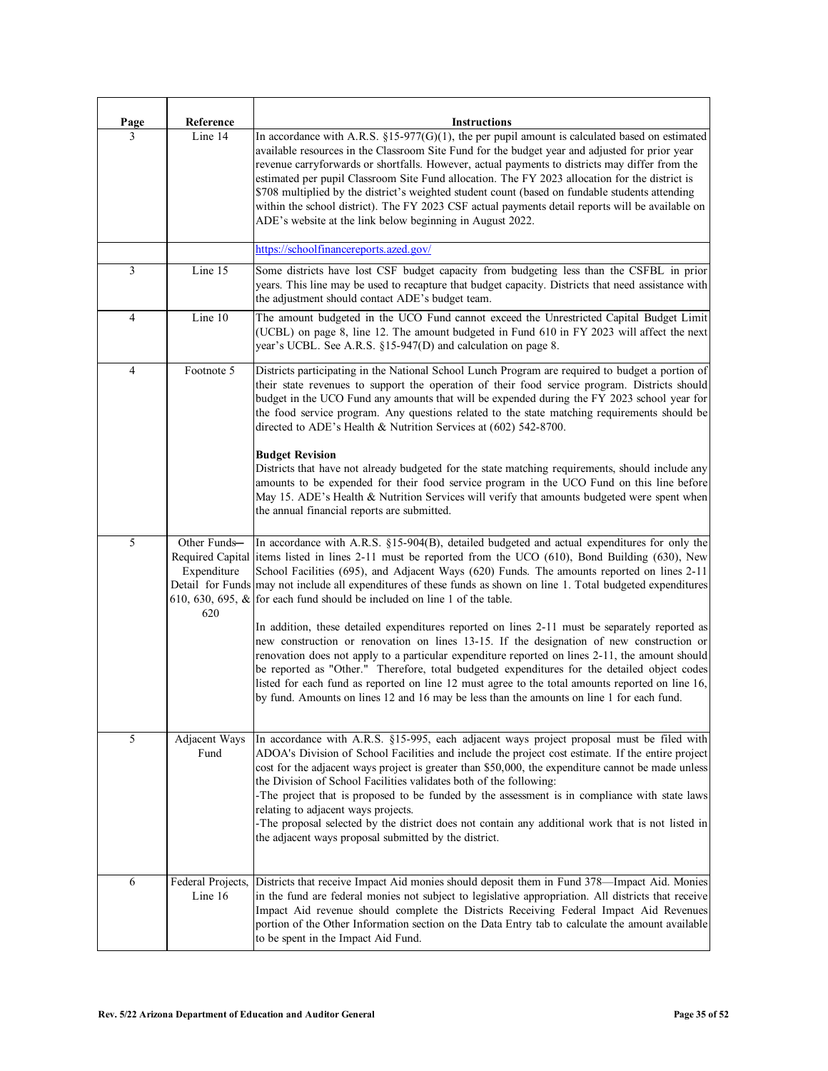| <b>Page</b> | Reference                          | <b>Instructions</b>                                                                                                                                                                                                                                                                                                                                                                                                                                                                                                                                                                                                                                                              |
|-------------|------------------------------------|----------------------------------------------------------------------------------------------------------------------------------------------------------------------------------------------------------------------------------------------------------------------------------------------------------------------------------------------------------------------------------------------------------------------------------------------------------------------------------------------------------------------------------------------------------------------------------------------------------------------------------------------------------------------------------|
| 3           | Line 14                            | In accordance with A.R.S. $\S15-977$ (G)(1), the per pupil amount is calculated based on estimated<br>available resources in the Classroom Site Fund for the budget year and adjusted for prior year<br>revenue carryforwards or shortfalls. However, actual payments to districts may differ from the<br>estimated per pupil Classroom Site Fund allocation. The FY 2023 allocation for the district is<br>\$708 multiplied by the district's weighted student count (based on fundable students attending<br>within the school district). The FY 2023 CSF actual payments detail reports will be available on<br>ADE's website at the link below beginning in August 2022.     |
|             |                                    | https://schoolfinancereports.azed.gov/                                                                                                                                                                                                                                                                                                                                                                                                                                                                                                                                                                                                                                           |
| 3           | Line 15                            | Some districts have lost CSF budget capacity from budgeting less than the CSFBL in prior<br>years. This line may be used to recapture that budget capacity. Districts that need assistance with<br>the adjustment should contact ADE's budget team.                                                                                                                                                                                                                                                                                                                                                                                                                              |
| 4           | Line 10                            | The amount budgeted in the UCO Fund cannot exceed the Unrestricted Capital Budget Limit<br>(UCBL) on page 8, line 12. The amount budgeted in Fund 610 in FY 2023 will affect the next<br>year's UCBL. See A.R.S. §15-947(D) and calculation on page 8.                                                                                                                                                                                                                                                                                                                                                                                                                           |
| 4           | Footnote 5                         | Districts participating in the National School Lunch Program are required to budget a portion of<br>their state revenues to support the operation of their food service program. Districts should<br>budget in the UCO Fund any amounts that will be expended during the FY 2023 school year for<br>the food service program. Any questions related to the state matching requirements should be<br>directed to ADE's Health & Nutrition Services at (602) 542-8700.<br><b>Budget Revision</b><br>Districts that have not already budgeted for the state matching requirements, should include any                                                                               |
|             |                                    | amounts to be expended for their food service program in the UCO Fund on this line before<br>May 15. ADE's Health & Nutrition Services will verify that amounts budgeted were spent when<br>the annual financial reports are submitted.                                                                                                                                                                                                                                                                                                                                                                                                                                          |
| 5           | Other Funds-<br>Expenditure<br>620 | In accordance with A.R.S. §15-904(B), detailed budgeted and actual expenditures for only the<br>Required Capital litems listed in lines 2-11 must be reported from the UCO (610), Bond Building (630), New<br>School Facilities (695), and Adjacent Ways (620) Funds. The amounts reported on lines 2-11<br>Detail for Funds may not include all expenditures of these funds as shown on line 1. Total budgeted expenditures<br>610, 630, 695, $\&$ for each fund should be included on line 1 of the table.                                                                                                                                                                     |
|             |                                    | In addition, these detailed expenditures reported on lines 2-11 must be separately reported as<br>new construction or renovation on lines 13-15. If the designation of new construction or<br>renovation does not apply to a particular expenditure reported on lines 2-11, the amount should<br>be reported as "Other." Therefore, total budgeted expenditures for the detailed object codes<br>listed for each fund as reported on line 12 must agree to the total amounts reported on line 16,<br>by fund. Amounts on lines 12 and 16 may be less than the amounts on line 1 for each fund.                                                                                   |
| 5           | Adjacent Ways<br>Fund              | In accordance with A.R.S. §15-995, each adjacent ways project proposal must be filed with<br>ADOA's Division of School Facilities and include the project cost estimate. If the entire project<br>cost for the adjacent ways project is greater than \$50,000, the expenditure cannot be made unless<br>the Division of School Facilities validates both of the following:<br>-The project that is proposed to be funded by the assessment is in compliance with state laws<br>relating to adjacent ways projects.<br>-The proposal selected by the district does not contain any additional work that is not listed in<br>the adjacent ways proposal submitted by the district. |
| 6           | Federal Projects,<br>Line 16       | Districts that receive Impact Aid monies should deposit them in Fund 378—Impact Aid. Monies<br>in the fund are federal monies not subject to legislative appropriation. All districts that receive<br>Impact Aid revenue should complete the Districts Receiving Federal Impact Aid Revenues<br>portion of the Other Information section on the Data Entry tab to calculate the amount available<br>to be spent in the Impact Aid Fund.                                                                                                                                                                                                                                          |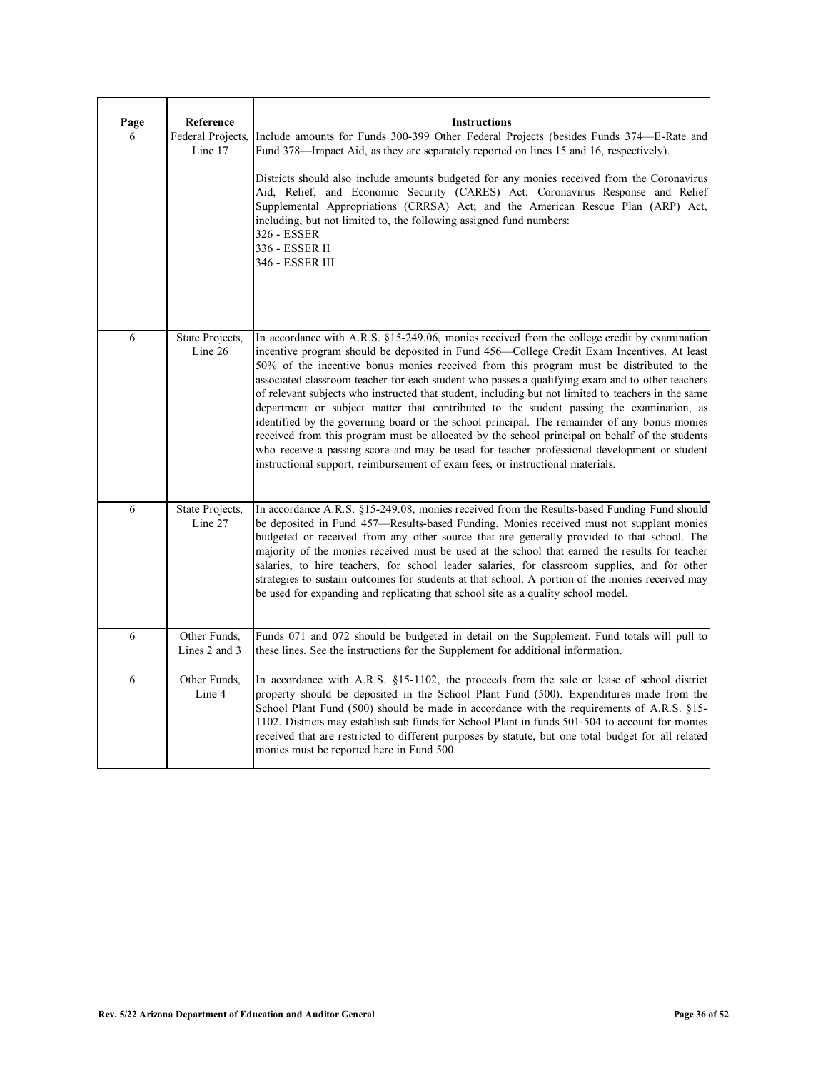| Page | Reference                     | <b>Instructions</b>                                                                                                                                                                                                                                                                                                                                                                                                                                                                                                                                                                                                                                                                                                                                                                                                                                                                                                                                                             |
|------|-------------------------------|---------------------------------------------------------------------------------------------------------------------------------------------------------------------------------------------------------------------------------------------------------------------------------------------------------------------------------------------------------------------------------------------------------------------------------------------------------------------------------------------------------------------------------------------------------------------------------------------------------------------------------------------------------------------------------------------------------------------------------------------------------------------------------------------------------------------------------------------------------------------------------------------------------------------------------------------------------------------------------|
| 6    | Federal Projects,<br>Line 17  | Include amounts for Funds 300-399 Other Federal Projects (besides Funds 374–E-Rate and<br>Fund 378—Impact Aid, as they are separately reported on lines 15 and 16, respectively).<br>Districts should also include amounts budgeted for any monies received from the Coronavirus<br>Aid, Relief, and Economic Security (CARES) Act; Coronavirus Response and Relief<br>Supplemental Appropriations (CRRSA) Act; and the American Rescue Plan (ARP) Act,<br>including, but not limited to, the following assigned fund numbers:<br>326 - ESSER<br>336 - ESSER II<br>346 - ESSER III                                                                                                                                                                                                                                                                                                                                                                                              |
| 6    | State Projects,<br>Line 26    | In accordance with A.R.S. §15-249.06, monies received from the college credit by examination<br>incentive program should be deposited in Fund 456-College Credit Exam Incentives. At least<br>50% of the incentive bonus monies received from this program must be distributed to the<br>associated classroom teacher for each student who passes a qualifying exam and to other teachers<br>of relevant subjects who instructed that student, including but not limited to teachers in the same<br>department or subject matter that contributed to the student passing the examination, as<br>identified by the governing board or the school principal. The remainder of any bonus monies<br>received from this program must be allocated by the school principal on behalf of the students<br>who receive a passing score and may be used for teacher professional development or student<br>instructional support, reimbursement of exam fees, or instructional materials. |
| 6    | State Projects,<br>Line 27    | In accordance A.R.S. §15-249.08, monies received from the Results-based Funding Fund should<br>be deposited in Fund 457—Results-based Funding. Monies received must not supplant monies<br>budgeted or received from any other source that are generally provided to that school. The<br>majority of the monies received must be used at the school that earned the results for teacher<br>salaries, to hire teachers, for school leader salaries, for classroom supplies, and for other<br>strategies to sustain outcomes for students at that school. A portion of the monies received may<br>be used for expanding and replicating that school site as a quality school model.                                                                                                                                                                                                                                                                                               |
| 6    | Other Funds,<br>Lines 2 and 3 | Funds 071 and 072 should be budgeted in detail on the Supplement. Fund totals will pull to<br>these lines. See the instructions for the Supplement for additional information.                                                                                                                                                                                                                                                                                                                                                                                                                                                                                                                                                                                                                                                                                                                                                                                                  |
| 6    | Other Funds,<br>Line 4        | In accordance with A.R.S. §15-1102, the proceeds from the sale or lease of school district<br>property should be deposited in the School Plant Fund (500). Expenditures made from the<br>School Plant Fund $(500)$ should be made in accordance with the requirements of A.R.S. §15-<br>1102. Districts may establish sub funds for School Plant in funds 501-504 to account for monies<br>received that are restricted to different purposes by statute, but one total budget for all related<br>monies must be reported here in Fund 500.                                                                                                                                                                                                                                                                                                                                                                                                                                     |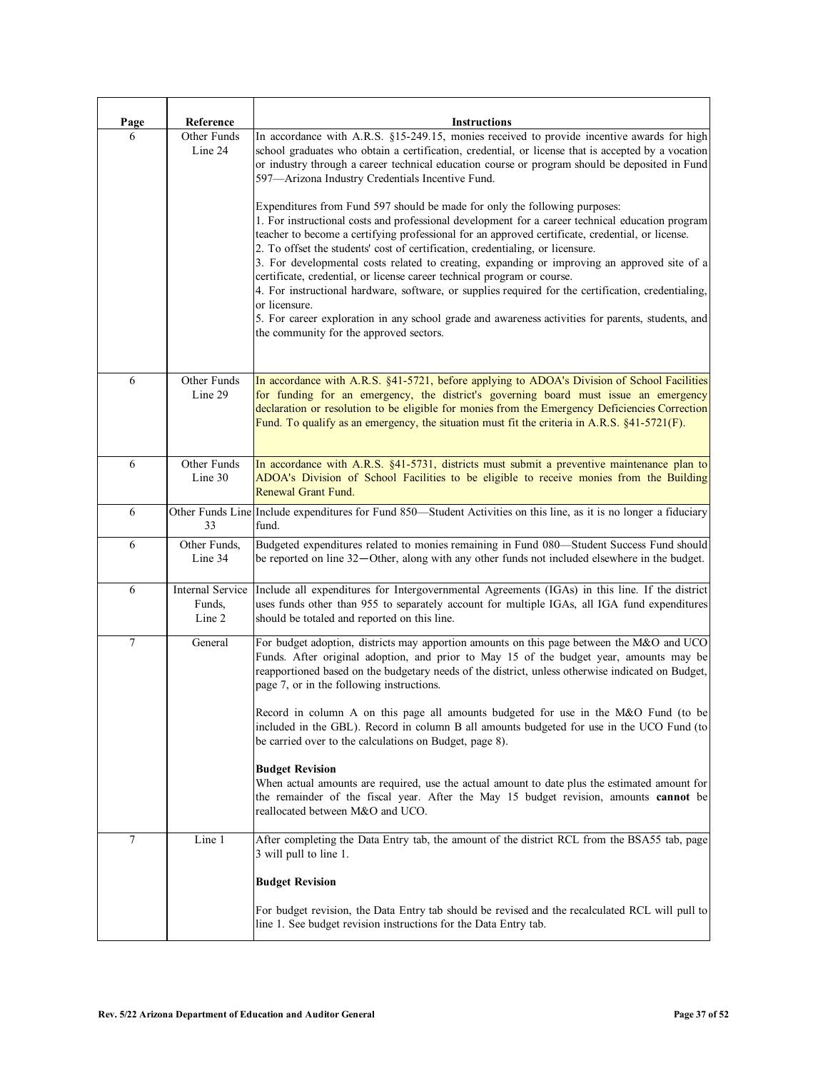| Page   | Reference                                   | <b>Instructions</b>                                                                                                                                                                                                                                                                                                                                                                                                                                                                                                                                                                                                                                                                                                                                                          |
|--------|---------------------------------------------|------------------------------------------------------------------------------------------------------------------------------------------------------------------------------------------------------------------------------------------------------------------------------------------------------------------------------------------------------------------------------------------------------------------------------------------------------------------------------------------------------------------------------------------------------------------------------------------------------------------------------------------------------------------------------------------------------------------------------------------------------------------------------|
| 6      | Other Funds<br>Line 24                      | In accordance with A.R.S. §15-249.15, monies received to provide incentive awards for high<br>school graduates who obtain a certification, credential, or license that is accepted by a vocation<br>or industry through a career technical education course or program should be deposited in Fund<br>597-Arizona Industry Credentials Incentive Fund.                                                                                                                                                                                                                                                                                                                                                                                                                       |
|        |                                             | Expenditures from Fund 597 should be made for only the following purposes:<br>1. For instructional costs and professional development for a career technical education program<br>teacher to become a certifying professional for an approved certificate, credential, or license.<br>2. To offset the students' cost of certification, credentialing, or licensure.<br>3. For developmental costs related to creating, expanding or improving an approved site of a<br>certificate, credential, or license career technical program or course.<br>4. For instructional hardware, software, or supplies required for the certification, credentialing,<br>or licensure.<br>5. For career exploration in any school grade and awareness activities for parents, students, and |
|        |                                             | the community for the approved sectors.                                                                                                                                                                                                                                                                                                                                                                                                                                                                                                                                                                                                                                                                                                                                      |
| 6      | Other Funds<br>Line 29                      | In accordance with A.R.S. §41-5721, before applying to ADOA's Division of School Facilities<br>for funding for an emergency, the district's governing board must issue an emergency<br>declaration or resolution to be eligible for monies from the Emergency Deficiencies Correction<br>Fund. To qualify as an emergency, the situation must fit the criteria in A.R.S. $\S41-5721(F)$ .                                                                                                                                                                                                                                                                                                                                                                                    |
| 6      | Other Funds<br>Line 30                      | In accordance with A.R.S. §41-5731, districts must submit a preventive maintenance plan to<br>ADOA's Division of School Facilities to be eligible to receive monies from the Building<br>Renewal Grant Fund.                                                                                                                                                                                                                                                                                                                                                                                                                                                                                                                                                                 |
| 6      | 33                                          | Other Funds Line Include expenditures for Fund 850—Student Activities on this line, as it is no longer a fiduciary<br>fund.                                                                                                                                                                                                                                                                                                                                                                                                                                                                                                                                                                                                                                                  |
| 6      | Other Funds,<br>Line 34                     | Budgeted expenditures related to monies remaining in Fund 080-Student Success Fund should<br>be reported on line 32—Other, along with any other funds not included elsewhere in the budget.                                                                                                                                                                                                                                                                                                                                                                                                                                                                                                                                                                                  |
| 6      | <b>Internal Service</b><br>Funds,<br>Line 2 | Include all expenditures for Intergovernmental Agreements (IGAs) in this line. If the district<br>uses funds other than 955 to separately account for multiple IGAs, all IGA fund expenditures<br>should be totaled and reported on this line.                                                                                                                                                                                                                                                                                                                                                                                                                                                                                                                               |
| $\tau$ | General                                     | For budget adoption, districts may apportion amounts on this page between the M&O and UCO<br>Funds. After original adoption, and prior to May 15 of the budget year, amounts may be<br>reapportioned based on the budgetary needs of the district, unless otherwise indicated on Budget,<br>page 7, or in the following instructions.                                                                                                                                                                                                                                                                                                                                                                                                                                        |
|        |                                             | Record in column A on this page all amounts budgeted for use in the M&O Fund (to be<br>included in the GBL). Record in column B all amounts budgeted for use in the UCO Fund (to<br>be carried over to the calculations on Budget, page 8).                                                                                                                                                                                                                                                                                                                                                                                                                                                                                                                                  |
|        |                                             | <b>Budget Revision</b><br>When actual amounts are required, use the actual amount to date plus the estimated amount for<br>the remainder of the fiscal year. After the May 15 budget revision, amounts cannot be<br>reallocated between M&O and UCO.                                                                                                                                                                                                                                                                                                                                                                                                                                                                                                                         |
| 7      | Line 1                                      | After completing the Data Entry tab, the amount of the district RCL from the BSA55 tab, page<br>3 will pull to line 1.                                                                                                                                                                                                                                                                                                                                                                                                                                                                                                                                                                                                                                                       |
|        |                                             | <b>Budget Revision</b>                                                                                                                                                                                                                                                                                                                                                                                                                                                                                                                                                                                                                                                                                                                                                       |
|        |                                             | For budget revision, the Data Entry tab should be revised and the recalculated RCL will pull to<br>line 1. See budget revision instructions for the Data Entry tab.                                                                                                                                                                                                                                                                                                                                                                                                                                                                                                                                                                                                          |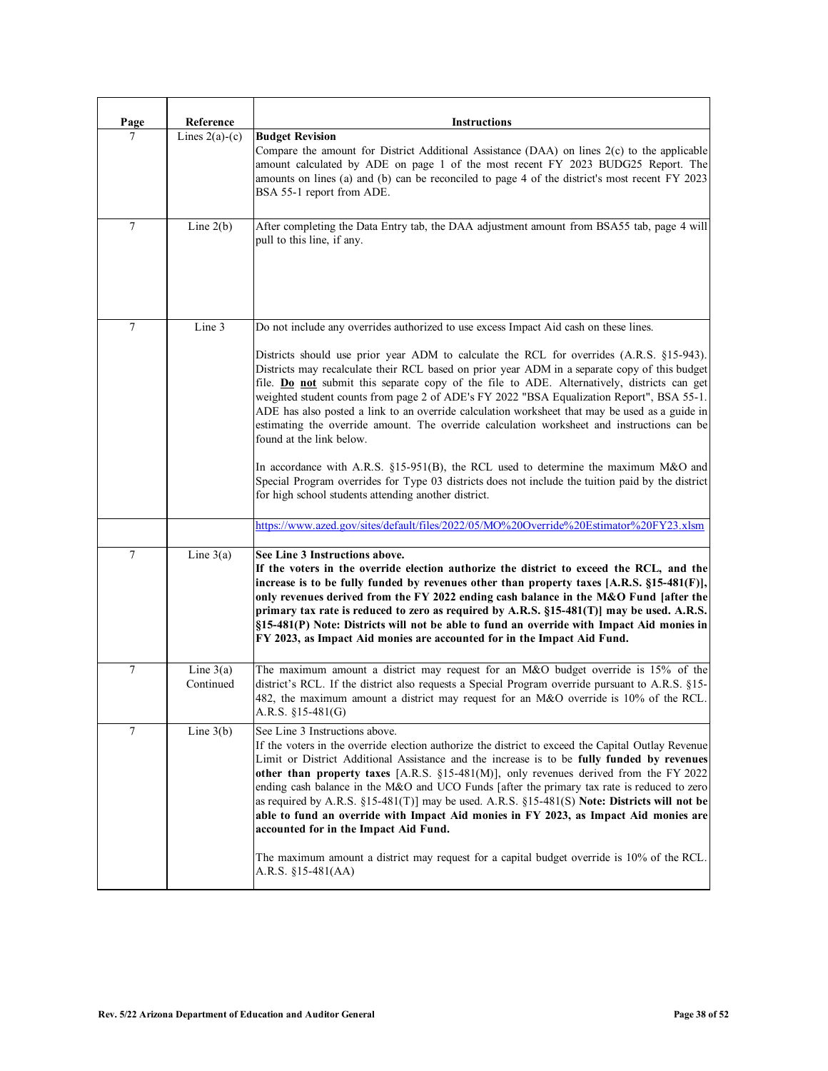| Page   | Reference                | <b>Instructions</b>                                                                                                                                                                                                                                                                                                                                                                                                                                                                                                                                                                                                                                                                                                                                                                                                                                                                                                                                                |
|--------|--------------------------|--------------------------------------------------------------------------------------------------------------------------------------------------------------------------------------------------------------------------------------------------------------------------------------------------------------------------------------------------------------------------------------------------------------------------------------------------------------------------------------------------------------------------------------------------------------------------------------------------------------------------------------------------------------------------------------------------------------------------------------------------------------------------------------------------------------------------------------------------------------------------------------------------------------------------------------------------------------------|
| 7      | Lines $2(a)-(c)$         | <b>Budget Revision</b><br>Compare the amount for District Additional Assistance $(DAA)$ on lines $2(c)$ to the applicable<br>amount calculated by ADE on page 1 of the most recent FY 2023 BUDG25 Report. The<br>amounts on lines (a) and (b) can be reconciled to page 4 of the district's most recent FY 2023<br>BSA 55-1 report from ADE.                                                                                                                                                                                                                                                                                                                                                                                                                                                                                                                                                                                                                       |
| $\tau$ | Line $2(b)$              | After completing the Data Entry tab, the DAA adjustment amount from BSA55 tab, page 4 will<br>pull to this line, if any.                                                                                                                                                                                                                                                                                                                                                                                                                                                                                                                                                                                                                                                                                                                                                                                                                                           |
| $\tau$ | Line 3                   | Do not include any overrides authorized to use excess Impact Aid cash on these lines.<br>Districts should use prior year ADM to calculate the RCL for overrides (A.R.S. §15-943).<br>Districts may recalculate their RCL based on prior year ADM in a separate copy of this budget<br>file. Do not submit this separate copy of the file to ADE. Alternatively, districts can get<br>weighted student counts from page 2 of ADE's FY 2022 "BSA Equalization Report", BSA 55-1.<br>ADE has also posted a link to an override calculation worksheet that may be used as a guide in<br>estimating the override amount. The override calculation worksheet and instructions can be<br>found at the link below.<br>In accordance with A.R.S. $\S15-951(B)$ , the RCL used to determine the maximum M&O and<br>Special Program overrides for Type 03 districts does not include the tuition paid by the district<br>for high school students attending another district. |
|        |                          | https://www.azed.gov/sites/default/files/2022/05/MO%20Override%20Estimator%20FY23.xlsm                                                                                                                                                                                                                                                                                                                                                                                                                                                                                                                                                                                                                                                                                                                                                                                                                                                                             |
| 7      | Line $3(a)$              | See Line 3 Instructions above.<br>If the voters in the override election authorize the district to exceed the RCL, and the<br>increase is to be fully funded by revenues other than property taxes $[A.R.S. §15-481(F)],$<br>only revenues derived from the FY 2022 ending cash balance in the M&O Fund [after the<br>primary tax rate is reduced to zero as required by $A.R.S. §15-481(T)]$ may be used. $A.R.S.$<br>§15-481(P) Note: Districts will not be able to fund an override with Impact Aid monies in<br>FY 2023, as Impact Aid monies are accounted for in the Impact Aid Fund.                                                                                                                                                                                                                                                                                                                                                                        |
| 7      | Line $3(a)$<br>Continued | The maximum amount a district may request for an M&O budget override is 15% of the<br>district's RCL. If the district also requests a Special Program override pursuant to A.R.S. §15-<br>482, the maximum amount a district may request for an M&O override is 10% of the RCL.<br>A.R.S. $$15-481(G)$                                                                                                                                                                                                                                                                                                                                                                                                                                                                                                                                                                                                                                                             |
| 7      | Line $3(b)$              | See Line 3 Instructions above.<br>If the voters in the override election authorize the district to exceed the Capital Outlay Revenue<br>Limit or District Additional Assistance and the increase is to be fully funded by revenues<br>other than property taxes $[A.R.S. §15-481(M)],$ only revenues derived from the FY 2022<br>ending cash balance in the M&O and UCO Funds [after the primary tax rate is reduced to zero<br>as required by A.R.S. $\S15-481(T)$ may be used. A.R.S. $\S15-481(S)$ Note: Districts will not be<br>able to fund an override with Impact Aid monies in FY 2023, as Impact Aid monies are<br>accounted for in the Impact Aid Fund.<br>The maximum amount a district may request for a capital budget override is 10% of the RCL.<br>A.R.S. $$15-481(AA)$                                                                                                                                                                           |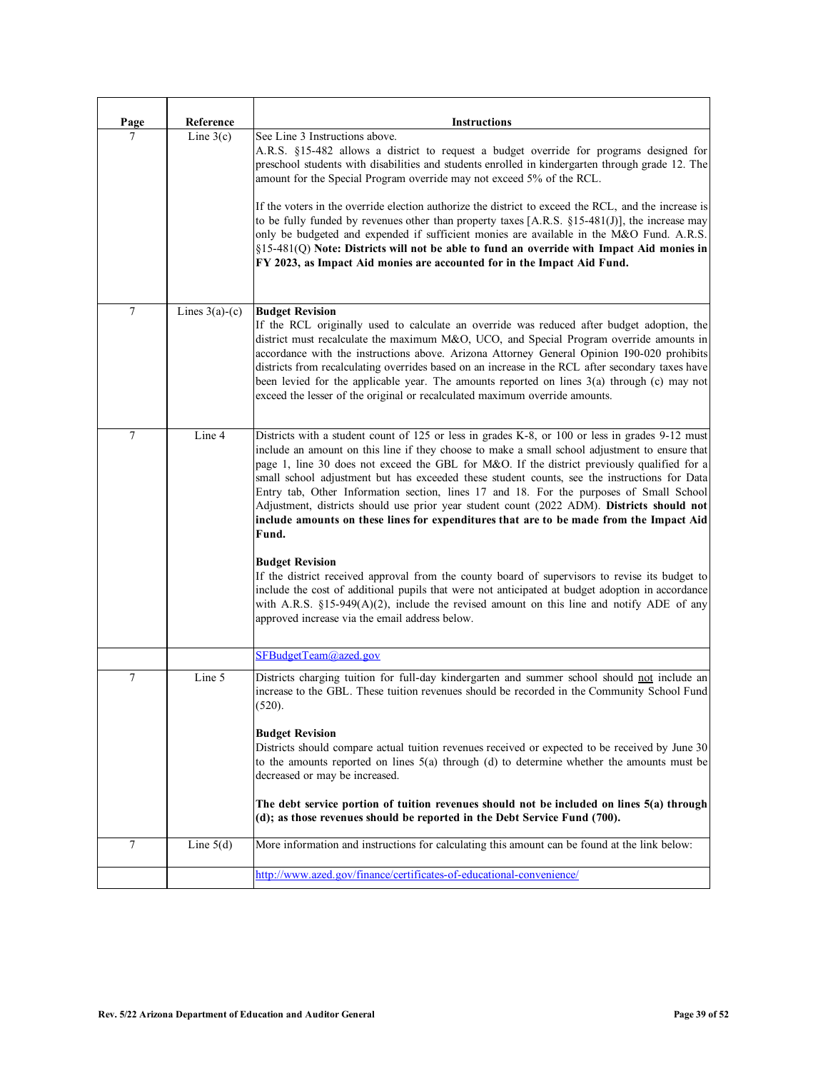| Page   | Reference        | <b>Instructions</b>                                                                                                                                                                                                                                                                                                                                                                                                                                                                                                                                                                                                                                                                                                                                                                                                                                                                                                                                                                                                                                                             |
|--------|------------------|---------------------------------------------------------------------------------------------------------------------------------------------------------------------------------------------------------------------------------------------------------------------------------------------------------------------------------------------------------------------------------------------------------------------------------------------------------------------------------------------------------------------------------------------------------------------------------------------------------------------------------------------------------------------------------------------------------------------------------------------------------------------------------------------------------------------------------------------------------------------------------------------------------------------------------------------------------------------------------------------------------------------------------------------------------------------------------|
| 7      | Line $3(c)$      | See Line 3 Instructions above.<br>A.R.S. §15-482 allows a district to request a budget override for programs designed for<br>preschool students with disabilities and students enrolled in kindergarten through grade 12. The<br>amount for the Special Program override may not exceed 5% of the RCL.<br>If the voters in the override election authorize the district to exceed the RCL, and the increase is<br>to be fully funded by revenues other than property taxes $[A.R.S. §15-481(J)],$ the increase may<br>only be budgeted and expended if sufficient monies are available in the M&O Fund. A.R.S.<br>$\S15-481(Q)$ Note: Districts will not be able to fund an override with Impact Aid monies in<br>FY 2023, as Impact Aid monies are accounted for in the Impact Aid Fund.                                                                                                                                                                                                                                                                                       |
| $\tau$ | Lines $3(a)-(c)$ | <b>Budget Revision</b><br>If the RCL originally used to calculate an override was reduced after budget adoption, the<br>district must recalculate the maximum M&O, UCO, and Special Program override amounts in<br>accordance with the instructions above. Arizona Attorney General Opinion 190-020 prohibits<br>districts from recalculating overrides based on an increase in the RCL after secondary taxes have<br>been levied for the applicable year. The amounts reported on lines 3(a) through (c) may not<br>exceed the lesser of the original or recalculated maximum override amounts.                                                                                                                                                                                                                                                                                                                                                                                                                                                                                |
| 7      | Line 4           | Districts with a student count of 125 or less in grades K-8, or 100 or less in grades 9-12 must<br>include an amount on this line if they choose to make a small school adjustment to ensure that<br>page 1, line 30 does not exceed the GBL for M&O. If the district previously qualified for a<br>small school adjustment but has exceeded these student counts, see the instructions for Data<br>Entry tab, Other Information section, lines 17 and 18. For the purposes of Small School<br>Adjustment, districts should use prior year student count (2022 ADM). Districts should not<br>include amounts on these lines for expenditures that are to be made from the Impact Aid<br>Fund.<br><b>Budget Revision</b><br>If the district received approval from the county board of supervisors to revise its budget to<br>include the cost of additional pupils that were not anticipated at budget adoption in accordance<br>with A.R.S. $\S15-949(A)(2)$ , include the revised amount on this line and notify ADE of any<br>approved increase via the email address below. |
|        |                  | SFBudgetTeam@azed.gov                                                                                                                                                                                                                                                                                                                                                                                                                                                                                                                                                                                                                                                                                                                                                                                                                                                                                                                                                                                                                                                           |
| 7      | Line 5           | Districts charging tuition for full-day kindergarten and summer school should not include an<br>increase to the GBL. These tuition revenues should be recorded in the Community School Fund<br>(520).<br><b>Budget Revision</b><br>Districts should compare actual tuition revenues received or expected to be received by June 30<br>to the amounts reported on lines $5(a)$ through $(d)$ to determine whether the amounts must be<br>decreased or may be increased.<br>The debt service portion of tuition revenues should not be included on lines 5(a) through<br>(d); as those revenues should be reported in the Debt Service Fund (700).                                                                                                                                                                                                                                                                                                                                                                                                                                |
| 7      | Line $5(d)$      | More information and instructions for calculating this amount can be found at the link below:                                                                                                                                                                                                                                                                                                                                                                                                                                                                                                                                                                                                                                                                                                                                                                                                                                                                                                                                                                                   |
|        |                  | http://www.azed.gov/finance/certificates-of-educational-convenience/                                                                                                                                                                                                                                                                                                                                                                                                                                                                                                                                                                                                                                                                                                                                                                                                                                                                                                                                                                                                            |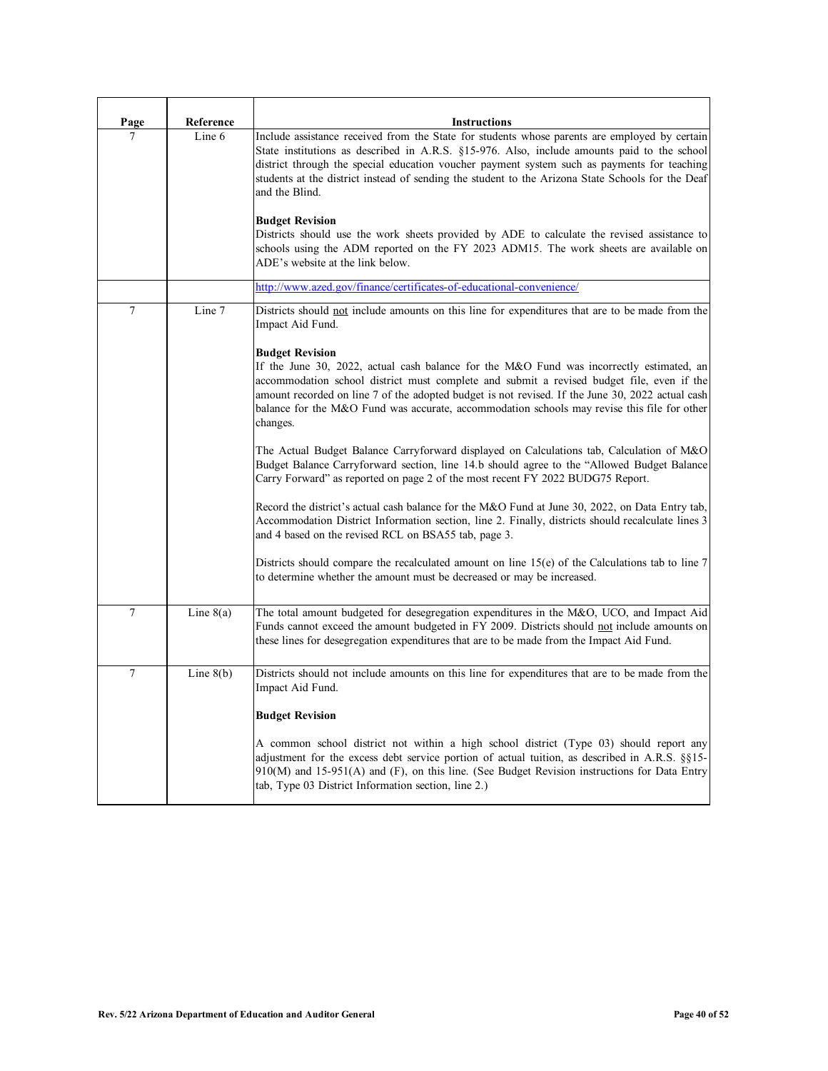| Page           | Reference   | <b>Instructions</b>                                                                                                                                                                                                                                                                                                                                                                                                                          |
|----------------|-------------|----------------------------------------------------------------------------------------------------------------------------------------------------------------------------------------------------------------------------------------------------------------------------------------------------------------------------------------------------------------------------------------------------------------------------------------------|
| 7              | Line 6      | Include assistance received from the State for students whose parents are employed by certain<br>State institutions as described in A.R.S. §15-976. Also, include amounts paid to the school<br>district through the special education voucher payment system such as payments for teaching<br>students at the district instead of sending the student to the Arizona State Schools for the Deaf<br>and the Blind.<br><b>Budget Revision</b> |
|                |             | Districts should use the work sheets provided by ADE to calculate the revised assistance to<br>schools using the ADM reported on the FY 2023 ADM15. The work sheets are available on<br>ADE's website at the link below.                                                                                                                                                                                                                     |
|                |             | http://www.azed.gov/finance/certificates-of-educational-convenience/                                                                                                                                                                                                                                                                                                                                                                         |
| 7              | Line 7      | Districts should not include amounts on this line for expenditures that are to be made from the<br>Impact Aid Fund.                                                                                                                                                                                                                                                                                                                          |
|                |             | <b>Budget Revision</b><br>If the June 30, 2022, actual cash balance for the M&O Fund was incorrectly estimated, an<br>accommodation school district must complete and submit a revised budget file, even if the<br>amount recorded on line 7 of the adopted budget is not revised. If the June 30, 2022 actual cash<br>balance for the M&O Fund was accurate, accommodation schools may revise this file for other<br>changes.               |
|                |             | The Actual Budget Balance Carryforward displayed on Calculations tab, Calculation of M&O<br>Budget Balance Carryforward section, line 14.b should agree to the "Allowed Budget Balance<br>Carry Forward" as reported on page 2 of the most recent FY 2022 BUDG75 Report.                                                                                                                                                                     |
|                |             | Record the district's actual cash balance for the M&O Fund at June 30, 2022, on Data Entry tab,<br>Accommodation District Information section, line 2. Finally, districts should recalculate lines 3<br>and 4 based on the revised RCL on BSA55 tab, page 3.                                                                                                                                                                                 |
|                |             | Districts should compare the recalculated amount on line $15(e)$ of the Calculations tab to line 7<br>to determine whether the amount must be decreased or may be increased.                                                                                                                                                                                                                                                                 |
| $\overline{7}$ | Line $8(a)$ | The total amount budgeted for desegregation expenditures in the M&O, UCO, and Impact Aid<br>Funds cannot exceed the amount budgeted in FY 2009. Districts should not include amounts on<br>these lines for desegregation expenditures that are to be made from the Impact Aid Fund.                                                                                                                                                          |
| 7              | Line $8(b)$ | Districts should not include amounts on this line for expenditures that are to be made from the<br>Impact Aid Fund.                                                                                                                                                                                                                                                                                                                          |
|                |             | <b>Budget Revision</b>                                                                                                                                                                                                                                                                                                                                                                                                                       |
|                |             | A common school district not within a high school district (Type 03) should report any<br>adjustment for the excess debt service portion of actual tuition, as described in A.R.S. §§15-<br>$910(M)$ and $15-951(A)$ and (F), on this line. (See Budget Revision instructions for Data Entry<br>tab, Type 03 District Information section, line 2.)                                                                                          |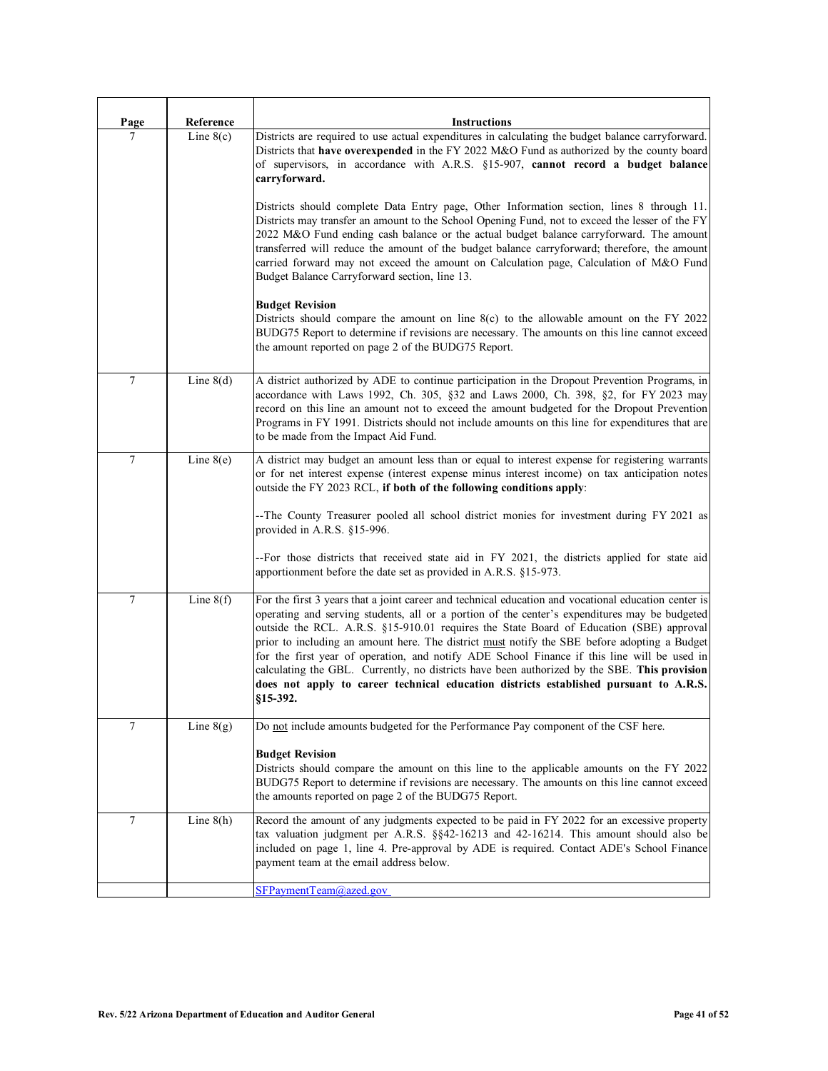| Page   | Reference   | <b>Instructions</b>                                                                                                                                                                                                                                                                                                                                                                                                                                                                                                                                                                                                                                                                                                                                                                                                                                                                                                                                                                                                                                                                                                        |
|--------|-------------|----------------------------------------------------------------------------------------------------------------------------------------------------------------------------------------------------------------------------------------------------------------------------------------------------------------------------------------------------------------------------------------------------------------------------------------------------------------------------------------------------------------------------------------------------------------------------------------------------------------------------------------------------------------------------------------------------------------------------------------------------------------------------------------------------------------------------------------------------------------------------------------------------------------------------------------------------------------------------------------------------------------------------------------------------------------------------------------------------------------------------|
| 7      | Line $8(c)$ | Districts are required to use actual expenditures in calculating the budget balance carryforward.<br>Districts that have overexpended in the FY 2022 M&O Fund as authorized by the county board<br>of supervisors, in accordance with A.R.S. §15-907, cannot record a budget balance<br>carryforward.<br>Districts should complete Data Entry page, Other Information section, lines 8 through 11.<br>Districts may transfer an amount to the School Opening Fund, not to exceed the lesser of the FY<br>2022 M&O Fund ending cash balance or the actual budget balance carryforward. The amount<br>transferred will reduce the amount of the budget balance carryforward; therefore, the amount<br>carried forward may not exceed the amount on Calculation page, Calculation of M&O Fund<br>Budget Balance Carryforward section, line 13.<br><b>Budget Revision</b><br>Districts should compare the amount on line $8(c)$ to the allowable amount on the FY 2022<br>BUDG75 Report to determine if revisions are necessary. The amounts on this line cannot exceed<br>the amount reported on page 2 of the BUDG75 Report. |
| $\tau$ | Line $8(d)$ | A district authorized by ADE to continue participation in the Dropout Prevention Programs, in<br>accordance with Laws 1992, Ch. 305, §32 and Laws 2000, Ch. 398, §2, for FY 2023 may<br>record on this line an amount not to exceed the amount budgeted for the Dropout Prevention<br>Programs in FY 1991. Districts should not include amounts on this line for expenditures that are<br>to be made from the Impact Aid Fund.                                                                                                                                                                                                                                                                                                                                                                                                                                                                                                                                                                                                                                                                                             |
| $\tau$ | Line $8(e)$ | A district may budget an amount less than or equal to interest expense for registering warrants<br>or for net interest expense (interest expense minus interest income) on tax anticipation notes<br>outside the FY 2023 RCL, if both of the following conditions apply:<br>--The County Treasurer pooled all school district monies for investment during FY 2021 as<br>provided in A.R.S. §15-996.<br>--For those districts that received state aid in FY 2021, the districts applied for state aid<br>apportionment before the date set as provided in A.R.S. §15-973.                                                                                                                                                                                                                                                                                                                                                                                                                                                                                                                                                  |
| $\tau$ | Line $8(f)$ | For the first 3 years that a joint career and technical education and vocational education center is<br>operating and serving students, all or a portion of the center's expenditures may be budgeted<br>outside the RCL. A.R.S. §15-910.01 requires the State Board of Education (SBE) approval<br>prior to including an amount here. The district must notify the SBE before adopting a Budget<br>for the first year of operation, and notify ADE School Finance if this line will be used in<br>calculating the GBL. Currently, no districts have been authorized by the SBE. This provision<br>does not apply to career technical education districts established pursuant to A.R.S.<br>$§15-392.$                                                                                                                                                                                                                                                                                                                                                                                                                     |
| 7      | Line $8(g)$ | Do not include amounts budgeted for the Performance Pay component of the CSF here.<br><b>Budget Revision</b><br>Districts should compare the amount on this line to the applicable amounts on the FY 2022<br>BUDG75 Report to determine if revisions are necessary. The amounts on this line cannot exceed<br>the amounts reported on page 2 of the BUDG75 Report.                                                                                                                                                                                                                                                                                                                                                                                                                                                                                                                                                                                                                                                                                                                                                         |
| 7      | Line $8(h)$ | Record the amount of any judgments expected to be paid in FY 2022 for an excessive property<br>tax valuation judgment per A.R.S. $\S$ 842-16213 and 42-16214. This amount should also be<br>included on page 1, line 4. Pre-approval by ADE is required. Contact ADE's School Finance<br>payment team at the email address below.<br>SFPaymentTeam@azed.gov                                                                                                                                                                                                                                                                                                                                                                                                                                                                                                                                                                                                                                                                                                                                                                |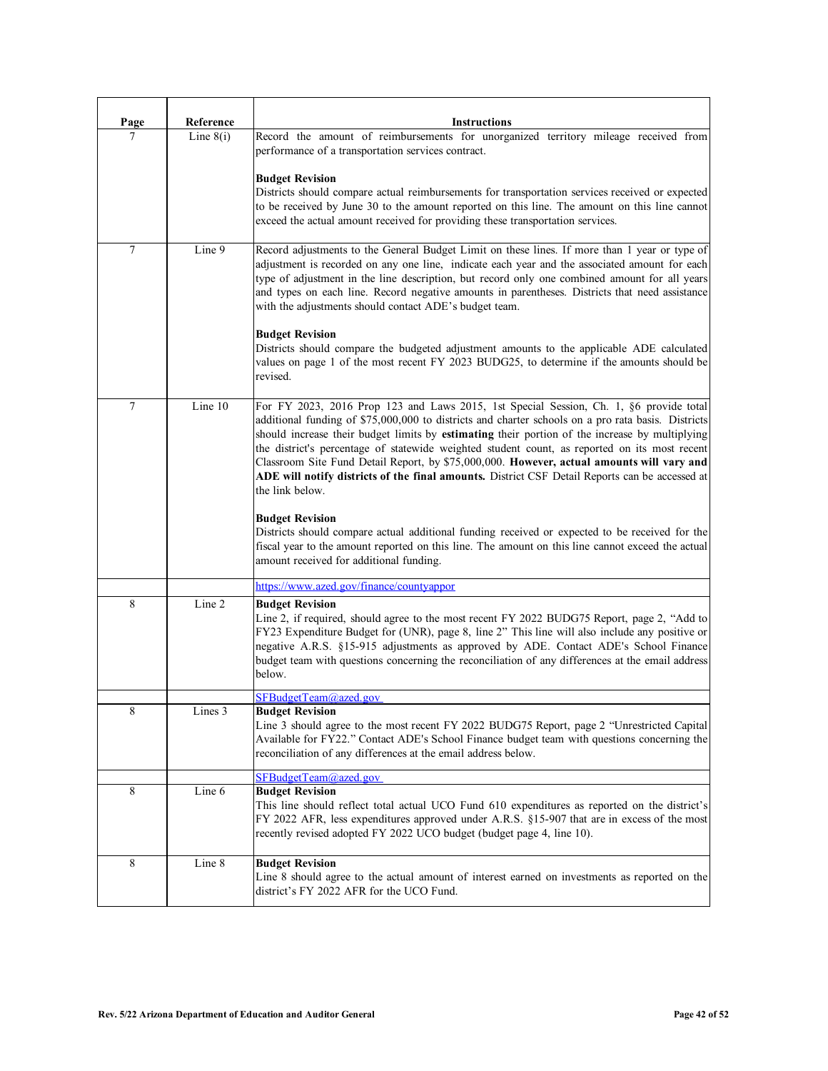| Page | Reference   | <b>Instructions</b>                                                                                                                                                                                                                                                                                                                                                                                                                                                                                                                                                                                               |
|------|-------------|-------------------------------------------------------------------------------------------------------------------------------------------------------------------------------------------------------------------------------------------------------------------------------------------------------------------------------------------------------------------------------------------------------------------------------------------------------------------------------------------------------------------------------------------------------------------------------------------------------------------|
| 7    | Line $8(i)$ | Record the amount of reimbursements for unorganized territory mileage received from<br>performance of a transportation services contract.                                                                                                                                                                                                                                                                                                                                                                                                                                                                         |
|      |             | <b>Budget Revision</b><br>Districts should compare actual reimbursements for transportation services received or expected<br>to be received by June 30 to the amount reported on this line. The amount on this line cannot<br>exceed the actual amount received for providing these transportation services.                                                                                                                                                                                                                                                                                                      |
| 7    | Line 9      | Record adjustments to the General Budget Limit on these lines. If more than 1 year or type of<br>adjustment is recorded on any one line, indicate each year and the associated amount for each<br>type of adjustment in the line description, but record only one combined amount for all years<br>and types on each line. Record negative amounts in parentheses. Districts that need assistance<br>with the adjustments should contact ADE's budget team.                                                                                                                                                       |
|      |             | <b>Budget Revision</b><br>Districts should compare the budgeted adjustment amounts to the applicable ADE calculated<br>values on page 1 of the most recent FY 2023 BUDG25, to determine if the amounts should be<br>revised.                                                                                                                                                                                                                                                                                                                                                                                      |
| 7    | Line 10     | For FY 2023, 2016 Prop 123 and Laws 2015, 1st Special Session, Ch. 1, §6 provide total<br>additional funding of \$75,000,000 to districts and charter schools on a pro rata basis. Districts<br>should increase their budget limits by estimating their portion of the increase by multiplying<br>the district's percentage of statewide weighted student count, as reported on its most recent<br>Classroom Site Fund Detail Report, by \$75,000,000. However, actual amounts will vary and<br>ADE will notify districts of the final amounts. District CSF Detail Reports can be accessed at<br>the link below. |
|      |             | <b>Budget Revision</b><br>Districts should compare actual additional funding received or expected to be received for the<br>fiscal year to the amount reported on this line. The amount on this line cannot exceed the actual<br>amount received for additional funding.                                                                                                                                                                                                                                                                                                                                          |
|      |             | https://www.azed.gov/finance/countyappor                                                                                                                                                                                                                                                                                                                                                                                                                                                                                                                                                                          |
| 8    | Line 2      | <b>Budget Revision</b><br>Line 2, if required, should agree to the most recent FY 2022 BUDG75 Report, page 2, "Add to<br>FY23 Expenditure Budget for (UNR), page 8, line 2" This line will also include any positive or<br>negative A.R.S. §15-915 adjustments as approved by ADE. Contact ADE's School Finance<br>budget team with questions concerning the reconciliation of any differences at the email address<br>below.                                                                                                                                                                                     |
|      |             | SFBudgetTeam@azed.gov                                                                                                                                                                                                                                                                                                                                                                                                                                                                                                                                                                                             |
| 8    | Lines 3     | <b>Budget Revision</b><br>Line 3 should agree to the most recent FY 2022 BUDG75 Report, page 2 "Unrestricted Capital<br>Available for FY22." Contact ADE's School Finance budget team with questions concerning the<br>reconciliation of any differences at the email address below.                                                                                                                                                                                                                                                                                                                              |
|      |             | SFBudgetTeam@azed.gov                                                                                                                                                                                                                                                                                                                                                                                                                                                                                                                                                                                             |
| 8    | Line 6      | <b>Budget Revision</b><br>This line should reflect total actual UCO Fund 610 expenditures as reported on the district's<br>FY 2022 AFR, less expenditures approved under A.R.S. §15-907 that are in excess of the most<br>recently revised adopted FY 2022 UCO budget (budget page 4, line 10).                                                                                                                                                                                                                                                                                                                   |
| 8    | Line 8      | <b>Budget Revision</b><br>Line 8 should agree to the actual amount of interest earned on investments as reported on the<br>district's FY 2022 AFR for the UCO Fund.                                                                                                                                                                                                                                                                                                                                                                                                                                               |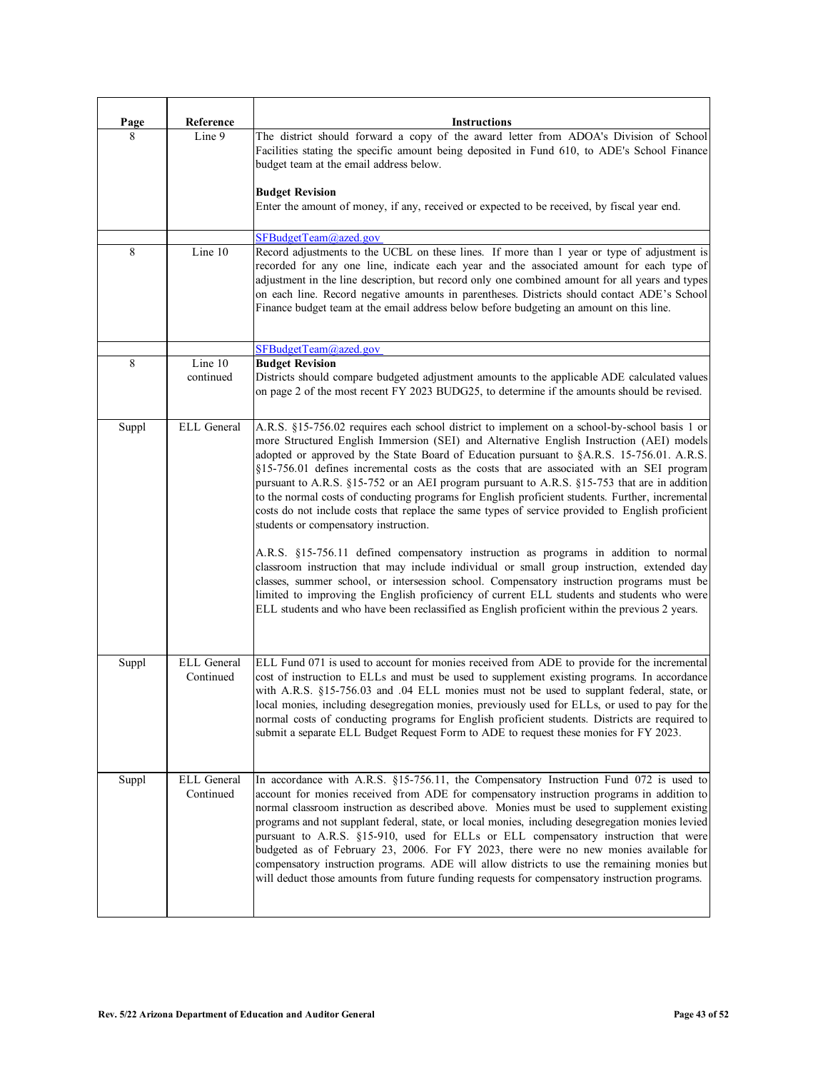| <b>Page</b> | Reference                | <b>Instructions</b>                                                                                                                                                                                                                                                                                                                                                                                                                                                                                                                                                                                                                                                                                                                                                                                                                                                                                                                                                                                                                                                                                                                                                                                                     |
|-------------|--------------------------|-------------------------------------------------------------------------------------------------------------------------------------------------------------------------------------------------------------------------------------------------------------------------------------------------------------------------------------------------------------------------------------------------------------------------------------------------------------------------------------------------------------------------------------------------------------------------------------------------------------------------------------------------------------------------------------------------------------------------------------------------------------------------------------------------------------------------------------------------------------------------------------------------------------------------------------------------------------------------------------------------------------------------------------------------------------------------------------------------------------------------------------------------------------------------------------------------------------------------|
| 8           | Line 9                   | The district should forward a copy of the award letter from ADOA's Division of School<br>Facilities stating the specific amount being deposited in Fund 610, to ADE's School Finance<br>budget team at the email address below.                                                                                                                                                                                                                                                                                                                                                                                                                                                                                                                                                                                                                                                                                                                                                                                                                                                                                                                                                                                         |
|             |                          | <b>Budget Revision</b><br>Enter the amount of money, if any, received or expected to be received, by fiscal year end.                                                                                                                                                                                                                                                                                                                                                                                                                                                                                                                                                                                                                                                                                                                                                                                                                                                                                                                                                                                                                                                                                                   |
|             |                          | SFBudgetTeam@azed.gov                                                                                                                                                                                                                                                                                                                                                                                                                                                                                                                                                                                                                                                                                                                                                                                                                                                                                                                                                                                                                                                                                                                                                                                                   |
| 8           | Line 10                  | Record adjustments to the UCBL on these lines. If more than 1 year or type of adjustment is<br>recorded for any one line, indicate each year and the associated amount for each type of<br>adjustment in the line description, but record only one combined amount for all years and types<br>on each line. Record negative amounts in parentheses. Districts should contact ADE's School<br>Finance budget team at the email address below before budgeting an amount on this line.                                                                                                                                                                                                                                                                                                                                                                                                                                                                                                                                                                                                                                                                                                                                    |
|             |                          | SFBudgetTeam@azed.gov                                                                                                                                                                                                                                                                                                                                                                                                                                                                                                                                                                                                                                                                                                                                                                                                                                                                                                                                                                                                                                                                                                                                                                                                   |
| 8           | Line 10<br>continued     | <b>Budget Revision</b><br>Districts should compare budgeted adjustment amounts to the applicable ADE calculated values<br>on page 2 of the most recent FY 2023 BUDG25, to determine if the amounts should be revised.                                                                                                                                                                                                                                                                                                                                                                                                                                                                                                                                                                                                                                                                                                                                                                                                                                                                                                                                                                                                   |
| Suppl       | ELL General              | A.R.S. §15-756.02 requires each school district to implement on a school-by-school basis 1 or<br>more Structured English Immersion (SEI) and Alternative English Instruction (AEI) models<br>adopted or approved by the State Board of Education pursuant to §A.R.S. 15-756.01. A.R.S.<br>§15-756.01 defines incremental costs as the costs that are associated with an SEI program<br>pursuant to A.R.S. §15-752 or an AEI program pursuant to A.R.S. §15-753 that are in addition<br>to the normal costs of conducting programs for English proficient students. Further, incremental<br>costs do not include costs that replace the same types of service provided to English proficient<br>students or compensatory instruction.<br>A.R.S. §15-756.11 defined compensatory instruction as programs in addition to normal<br>classroom instruction that may include individual or small group instruction, extended day<br>classes, summer school, or intersession school. Compensatory instruction programs must be<br>limited to improving the English proficiency of current ELL students and students who were<br>ELL students and who have been reclassified as English proficient within the previous 2 years. |
| Suppl       | ELL General<br>Continued | ELL Fund 071 is used to account for monies received from ADE to provide for the incremental<br>cost of instruction to ELLs and must be used to supplement existing programs. In accordance<br>with A.R.S. §15-756.03 and .04 ELL monies must not be used to supplant federal, state, or<br>local monies, including desegregation monies, previously used for ELLs, or used to pay for the<br>normal costs of conducting programs for English proficient students. Districts are required to<br>submit a separate ELL Budget Request Form to ADE to request these monies for FY 2023.                                                                                                                                                                                                                                                                                                                                                                                                                                                                                                                                                                                                                                    |
| Suppl       | ELL General<br>Continued | In accordance with A.R.S. §15-756.11, the Compensatory Instruction Fund 072 is used to<br>account for monies received from ADE for compensatory instruction programs in addition to<br>normal classroom instruction as described above. Monies must be used to supplement existing<br>programs and not supplant federal, state, or local monies, including desegregation monies levied<br>pursuant to A.R.S. §15-910, used for ELLs or ELL compensatory instruction that were<br>budgeted as of February 23, 2006. For FY 2023, there were no new monies available for<br>compensatory instruction programs. ADE will allow districts to use the remaining monies but<br>will deduct those amounts from future funding requests for compensatory instruction programs.                                                                                                                                                                                                                                                                                                                                                                                                                                                  |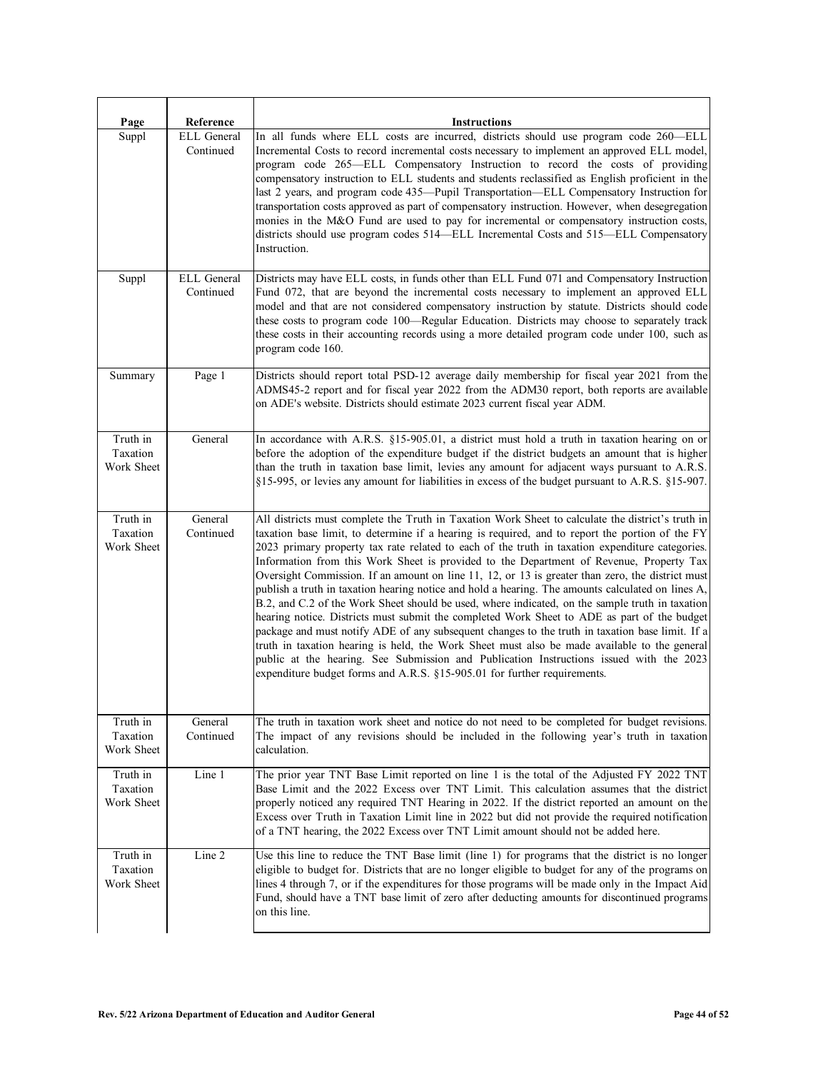| Page                               | Reference                       | <b>Instructions</b>                                                                                                                                                                                                                                                                                                                                                                                                                                                                                                                                                                                                                                                                                                                                                                                                                                                                                                                                                                                                                                                                                                                                                                       |
|------------------------------------|---------------------------------|-------------------------------------------------------------------------------------------------------------------------------------------------------------------------------------------------------------------------------------------------------------------------------------------------------------------------------------------------------------------------------------------------------------------------------------------------------------------------------------------------------------------------------------------------------------------------------------------------------------------------------------------------------------------------------------------------------------------------------------------------------------------------------------------------------------------------------------------------------------------------------------------------------------------------------------------------------------------------------------------------------------------------------------------------------------------------------------------------------------------------------------------------------------------------------------------|
| Suppl                              | <b>ELL</b> General<br>Continued | In all funds where ELL costs are incurred, districts should use program code 260-ELL<br>Incremental Costs to record incremental costs necessary to implement an approved ELL model,<br>program code 265—ELL Compensatory Instruction to record the costs of providing<br>compensatory instruction to ELL students and students reclassified as English proficient in the<br>last 2 years, and program code 435—Pupil Transportation—ELL Compensatory Instruction for<br>transportation costs approved as part of compensatory instruction. However, when desegregation<br>monies in the M&O Fund are used to pay for incremental or compensatory instruction costs,<br>districts should use program codes 514—ELL Incremental Costs and 515—ELL Compensatory<br>Instruction.                                                                                                                                                                                                                                                                                                                                                                                                              |
| Suppl                              | ELL General<br>Continued        | Districts may have ELL costs, in funds other than ELL Fund 071 and Compensatory Instruction<br>Fund 072, that are beyond the incremental costs necessary to implement an approved ELL<br>model and that are not considered compensatory instruction by statute. Districts should code<br>these costs to program code 100—Regular Education. Districts may choose to separately track<br>these costs in their accounting records using a more detailed program code under 100, such as<br>program code 160.                                                                                                                                                                                                                                                                                                                                                                                                                                                                                                                                                                                                                                                                                |
| Summary                            | Page 1                          | Districts should report total PSD-12 average daily membership for fiscal year 2021 from the<br>ADMS45-2 report and for fiscal year 2022 from the ADM30 report, both reports are available<br>on ADE's website. Districts should estimate 2023 current fiscal year ADM.                                                                                                                                                                                                                                                                                                                                                                                                                                                                                                                                                                                                                                                                                                                                                                                                                                                                                                                    |
| Truth in<br>Taxation<br>Work Sheet | General                         | In accordance with A.R.S. §15-905.01, a district must hold a truth in taxation hearing on or<br>before the adoption of the expenditure budget if the district budgets an amount that is higher<br>than the truth in taxation base limit, levies any amount for adjacent ways pursuant to A.R.S.<br>§15-995, or levies any amount for liabilities in excess of the budget pursuant to A.R.S. §15-907.                                                                                                                                                                                                                                                                                                                                                                                                                                                                                                                                                                                                                                                                                                                                                                                      |
| Truth in<br>Taxation<br>Work Sheet | General<br>Continued            | All districts must complete the Truth in Taxation Work Sheet to calculate the district's truth in<br>taxation base limit, to determine if a hearing is required, and to report the portion of the FY<br>2023 primary property tax rate related to each of the truth in taxation expenditure categories.<br>Information from this Work Sheet is provided to the Department of Revenue, Property Tax<br>Oversight Commission. If an amount on line 11, 12, or 13 is greater than zero, the district must<br>publish a truth in taxation hearing notice and hold a hearing. The amounts calculated on lines A,<br>B.2, and C.2 of the Work Sheet should be used, where indicated, on the sample truth in taxation<br>hearing notice. Districts must submit the completed Work Sheet to ADE as part of the budget<br>package and must notify ADE of any subsequent changes to the truth in taxation base limit. If a<br>truth in taxation hearing is held, the Work Sheet must also be made available to the general<br>public at the hearing. See Submission and Publication Instructions issued with the 2023<br>expenditure budget forms and A.R.S. $§15-905.01$ for further requirements. |
| Truth in<br>Taxation<br>Work Sheet | General<br>Continued            | The truth in taxation work sheet and notice do not need to be completed for budget revisions.<br>The impact of any revisions should be included in the following year's truth in taxation<br>calculation.                                                                                                                                                                                                                                                                                                                                                                                                                                                                                                                                                                                                                                                                                                                                                                                                                                                                                                                                                                                 |
| Truth in<br>Taxation<br>Work Sheet | Line 1                          | The prior year TNT Base Limit reported on line 1 is the total of the Adjusted FY 2022 TNT<br>Base Limit and the 2022 Excess over TNT Limit. This calculation assumes that the district<br>properly noticed any required TNT Hearing in 2022. If the district reported an amount on the<br>Excess over Truth in Taxation Limit line in 2022 but did not provide the required notification<br>of a TNT hearing, the 2022 Excess over TNT Limit amount should not be added here.                                                                                                                                                                                                                                                                                                                                                                                                                                                                                                                                                                                                                                                                                                             |
| Truth in<br>Taxation<br>Work Sheet | Line 2                          | Use this line to reduce the TNT Base limit (line 1) for programs that the district is no longer<br>eligible to budget for. Districts that are no longer eligible to budget for any of the programs on<br>lines 4 through 7, or if the expenditures for those programs will be made only in the Impact Aid<br>Fund, should have a TNT base limit of zero after deducting amounts for discontinued programs<br>on this line.                                                                                                                                                                                                                                                                                                                                                                                                                                                                                                                                                                                                                                                                                                                                                                |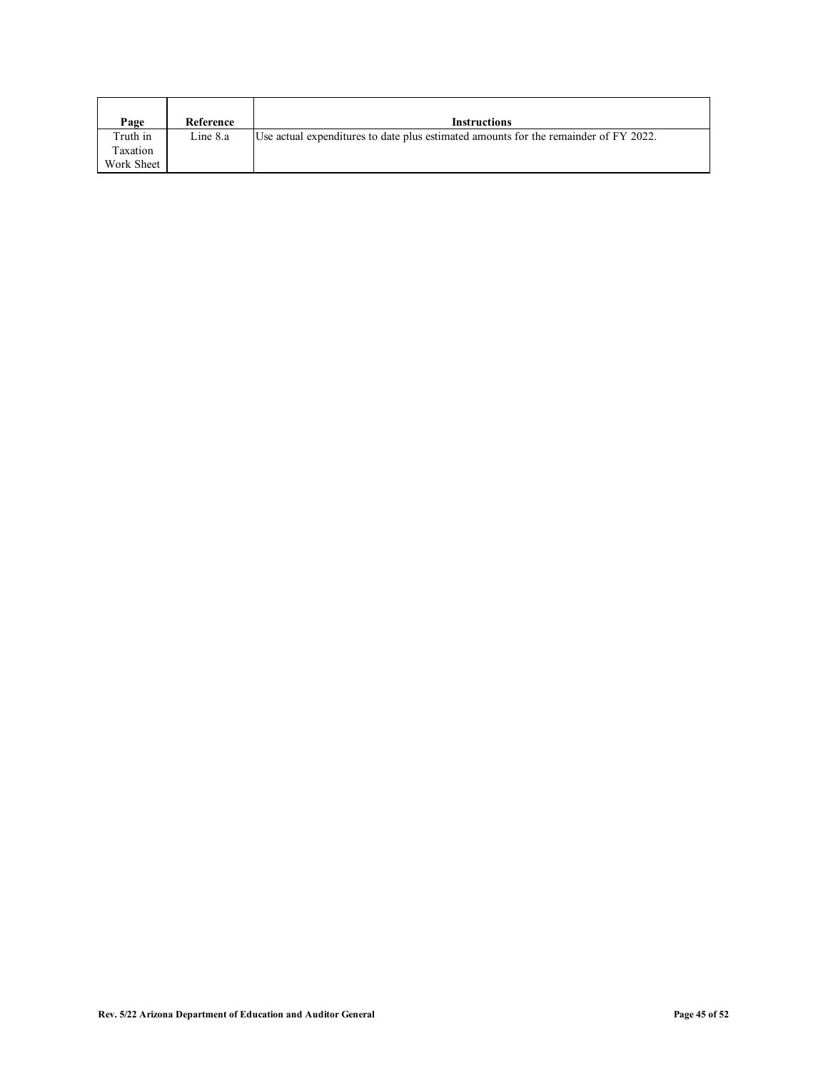| Page       | Reference | <b>Instructions</b>                                                                  |
|------------|-----------|--------------------------------------------------------------------------------------|
| Truth in   | Line 8.a  | Use actual expenditures to date plus estimated amounts for the remainder of FY 2022. |
| Taxation   |           |                                                                                      |
| Work Sheet |           |                                                                                      |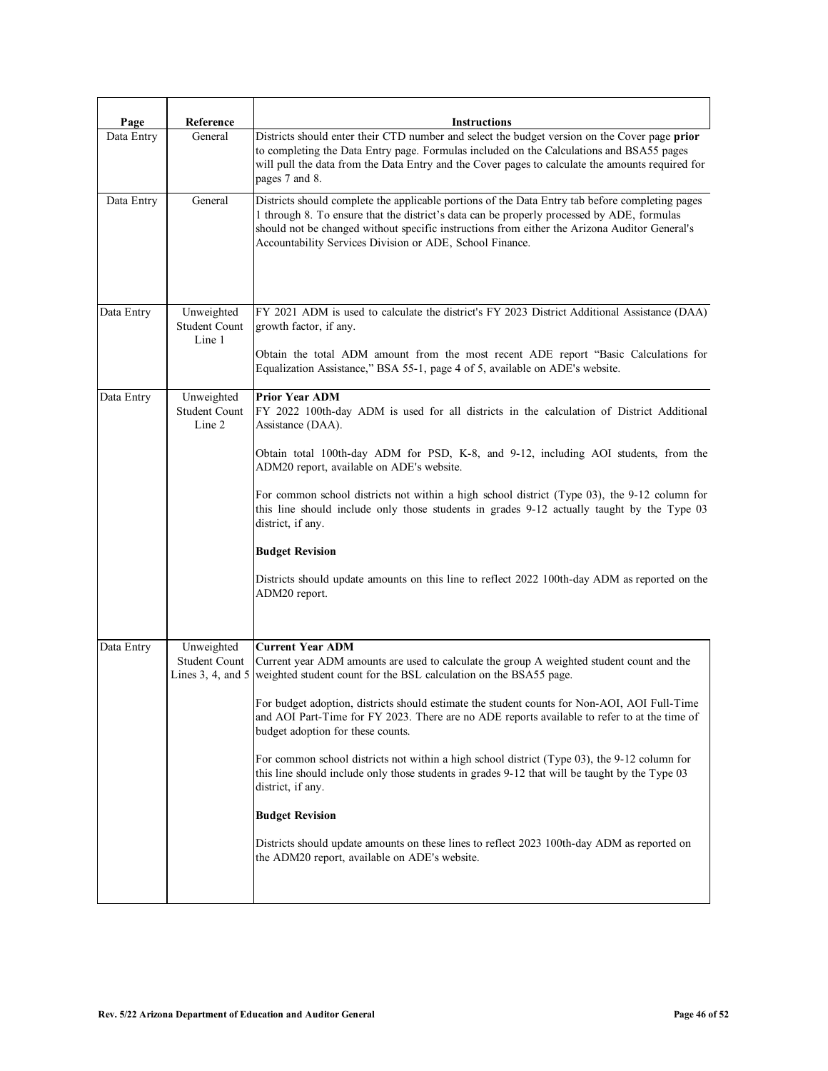| Page       | Reference                                             | <b>Instructions</b>                                                                                                                                                                                                                                                                                                                                                                                                                                                                                                                                                                                                                                                                                                                                                                                                             |
|------------|-------------------------------------------------------|---------------------------------------------------------------------------------------------------------------------------------------------------------------------------------------------------------------------------------------------------------------------------------------------------------------------------------------------------------------------------------------------------------------------------------------------------------------------------------------------------------------------------------------------------------------------------------------------------------------------------------------------------------------------------------------------------------------------------------------------------------------------------------------------------------------------------------|
| Data Entry | General                                               | Districts should enter their CTD number and select the budget version on the Cover page prior<br>to completing the Data Entry page. Formulas included on the Calculations and BSA55 pages<br>will pull the data from the Data Entry and the Cover pages to calculate the amounts required for<br>pages 7 and 8.                                                                                                                                                                                                                                                                                                                                                                                                                                                                                                                 |
| Data Entry | General                                               | Districts should complete the applicable portions of the Data Entry tab before completing pages<br>1 through 8. To ensure that the district's data can be properly processed by ADE, formulas<br>should not be changed without specific instructions from either the Arizona Auditor General's<br>Accountability Services Division or ADE, School Finance.                                                                                                                                                                                                                                                                                                                                                                                                                                                                      |
| Data Entry | Unweighted<br>Student Count<br>Line 1                 | FY 2021 ADM is used to calculate the district's FY 2023 District Additional Assistance (DAA)<br>growth factor, if any.<br>Obtain the total ADM amount from the most recent ADE report "Basic Calculations for<br>Equalization Assistance," BSA 55-1, page 4 of 5, available on ADE's website.                                                                                                                                                                                                                                                                                                                                                                                                                                                                                                                                   |
| Data Entry | Unweighted<br>Student Count<br>Line 2                 | <b>Prior Year ADM</b><br>FY 2022 100th-day ADM is used for all districts in the calculation of District Additional<br>Assistance (DAA).<br>Obtain total 100th-day ADM for PSD, K-8, and 9-12, including AOI students, from the<br>ADM20 report, available on ADE's website.<br>For common school districts not within a high school district (Type 03), the 9-12 column for<br>this line should include only those students in grades 9-12 actually taught by the Type 03<br>district, if any.<br><b>Budget Revision</b><br>Districts should update amounts on this line to reflect 2022 100th-day ADM as reported on the<br>ADM20 report.                                                                                                                                                                                      |
| Data Entry | Unweighted<br>Student Count<br>Lines $3, 4$ , and $5$ | <b>Current Year ADM</b><br>Current year ADM amounts are used to calculate the group A weighted student count and the<br>weighted student count for the BSL calculation on the BSA55 page.<br>For budget adoption, districts should estimate the student counts for Non-AOI, AOI Full-Time<br>and AOI Part-Time for FY 2023. There are no ADE reports available to refer to at the time of<br>budget adoption for these counts.<br>For common school districts not within a high school district (Type 03), the 9-12 column for<br>this line should include only those students in grades 9-12 that will be taught by the Type 03<br>district, if any.<br><b>Budget Revision</b><br>Districts should update amounts on these lines to reflect 2023 100th-day ADM as reported on<br>the ADM20 report, available on ADE's website. |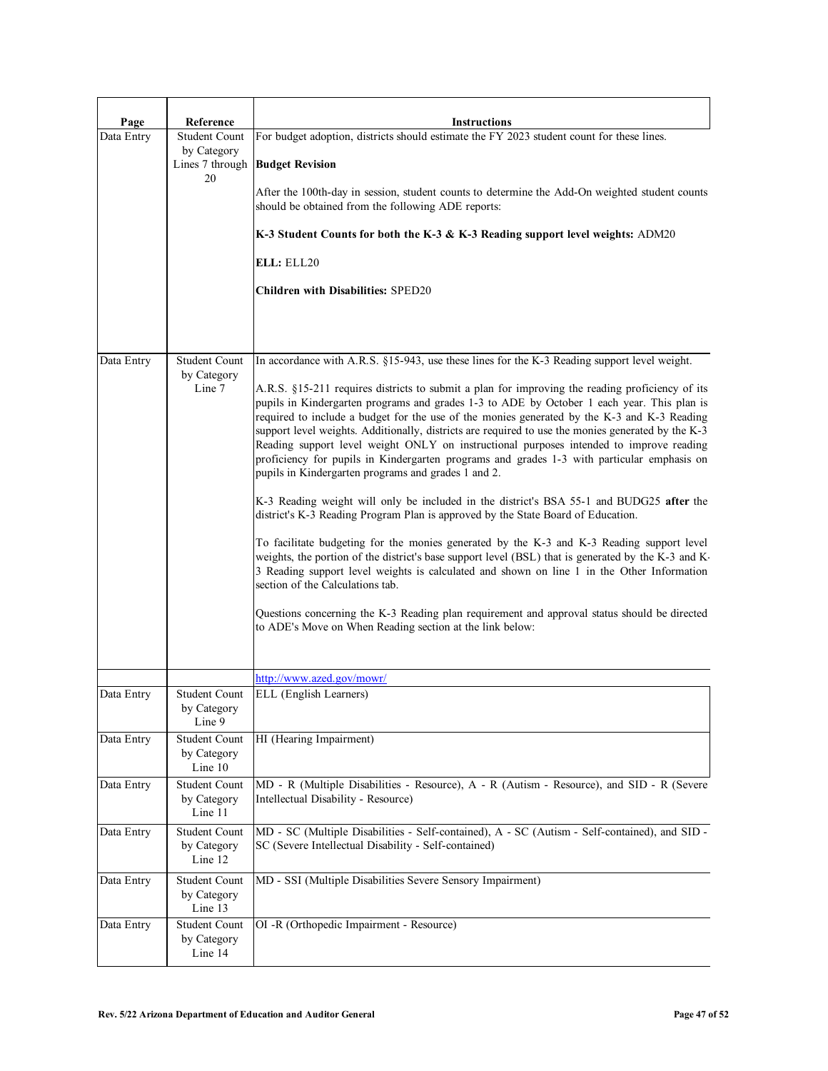| Page       | Reference                               | <b>Instructions</b>                                                                                                                                                                                                                                                                                                                                                                                                                                                                                                                                                                                                                                                                                                                                                                                                                                                                                                                                                                                                                                                                                                                                                                                                                                                                                                                                                                                                                  |
|------------|-----------------------------------------|--------------------------------------------------------------------------------------------------------------------------------------------------------------------------------------------------------------------------------------------------------------------------------------------------------------------------------------------------------------------------------------------------------------------------------------------------------------------------------------------------------------------------------------------------------------------------------------------------------------------------------------------------------------------------------------------------------------------------------------------------------------------------------------------------------------------------------------------------------------------------------------------------------------------------------------------------------------------------------------------------------------------------------------------------------------------------------------------------------------------------------------------------------------------------------------------------------------------------------------------------------------------------------------------------------------------------------------------------------------------------------------------------------------------------------------|
| Data Entry | Student Count<br>by Category            | For budget adoption, districts should estimate the FY 2023 student count for these lines.<br>Lines 7 through   Budget Revision                                                                                                                                                                                                                                                                                                                                                                                                                                                                                                                                                                                                                                                                                                                                                                                                                                                                                                                                                                                                                                                                                                                                                                                                                                                                                                       |
|            | 20                                      | After the 100th-day in session, student counts to determine the Add-On weighted student counts<br>should be obtained from the following ADE reports:                                                                                                                                                                                                                                                                                                                                                                                                                                                                                                                                                                                                                                                                                                                                                                                                                                                                                                                                                                                                                                                                                                                                                                                                                                                                                 |
|            |                                         | K-3 Student Counts for both the K-3 & K-3 Reading support level weights: ADM20                                                                                                                                                                                                                                                                                                                                                                                                                                                                                                                                                                                                                                                                                                                                                                                                                                                                                                                                                                                                                                                                                                                                                                                                                                                                                                                                                       |
|            |                                         | ELL: ELL20                                                                                                                                                                                                                                                                                                                                                                                                                                                                                                                                                                                                                                                                                                                                                                                                                                                                                                                                                                                                                                                                                                                                                                                                                                                                                                                                                                                                                           |
|            |                                         | <b>Children with Disabilities: SPED20</b>                                                                                                                                                                                                                                                                                                                                                                                                                                                                                                                                                                                                                                                                                                                                                                                                                                                                                                                                                                                                                                                                                                                                                                                                                                                                                                                                                                                            |
| Data Entry | Student Count<br>by Category<br>Line 7  | In accordance with A.R.S. §15-943, use these lines for the K-3 Reading support level weight.<br>A.R.S. §15-211 requires districts to submit a plan for improving the reading proficiency of its<br>pupils in Kindergarten programs and grades 1-3 to ADE by October 1 each year. This plan is<br>required to include a budget for the use of the monies generated by the K-3 and K-3 Reading<br>support level weights. Additionally, districts are required to use the monies generated by the K-3<br>Reading support level weight ONLY on instructional purposes intended to improve reading<br>proficiency for pupils in Kindergarten programs and grades 1-3 with particular emphasis on<br>pupils in Kindergarten programs and grades 1 and 2.<br>K-3 Reading weight will only be included in the district's BSA 55-1 and BUDG25 after the<br>district's K-3 Reading Program Plan is approved by the State Board of Education.<br>To facilitate budgeting for the monies generated by the K-3 and K-3 Reading support level<br>weights, the portion of the district's base support level (BSL) that is generated by the K-3 and K-<br>3 Reading support level weights is calculated and shown on line 1 in the Other Information<br>section of the Calculations tab.<br>Questions concerning the K-3 Reading plan requirement and approval status should be directed<br>to ADE's Move on When Reading section at the link below: |
|            |                                         | http://www.azed.gov/mowr/                                                                                                                                                                                                                                                                                                                                                                                                                                                                                                                                                                                                                                                                                                                                                                                                                                                                                                                                                                                                                                                                                                                                                                                                                                                                                                                                                                                                            |
| Data Entry | Student Count<br>by Category<br>Line 9  | ELL (English Learners)                                                                                                                                                                                                                                                                                                                                                                                                                                                                                                                                                                                                                                                                                                                                                                                                                                                                                                                                                                                                                                                                                                                                                                                                                                                                                                                                                                                                               |
| Data Entry | Student Count<br>by Category<br>Line 10 | HI (Hearing Impairment)                                                                                                                                                                                                                                                                                                                                                                                                                                                                                                                                                                                                                                                                                                                                                                                                                                                                                                                                                                                                                                                                                                                                                                                                                                                                                                                                                                                                              |
| Data Entry | Student Count<br>by Category<br>Line 11 | MD - R (Multiple Disabilities - Resource), A - R (Autism - Resource), and SID - R (Severe<br>Intellectual Disability - Resource)                                                                                                                                                                                                                                                                                                                                                                                                                                                                                                                                                                                                                                                                                                                                                                                                                                                                                                                                                                                                                                                                                                                                                                                                                                                                                                     |
| Data Entry | Student Count<br>by Category<br>Line 12 | MD - SC (Multiple Disabilities - Self-contained), A - SC (Autism - Self-contained), and SID -<br>SC (Severe Intellectual Disability - Self-contained)                                                                                                                                                                                                                                                                                                                                                                                                                                                                                                                                                                                                                                                                                                                                                                                                                                                                                                                                                                                                                                                                                                                                                                                                                                                                                |
| Data Entry | Student Count<br>by Category<br>Line 13 | MD - SSI (Multiple Disabilities Severe Sensory Impairment)                                                                                                                                                                                                                                                                                                                                                                                                                                                                                                                                                                                                                                                                                                                                                                                                                                                                                                                                                                                                                                                                                                                                                                                                                                                                                                                                                                           |
| Data Entry | Student Count<br>by Category<br>Line 14 | OI -R (Orthopedic Impairment - Resource)                                                                                                                                                                                                                                                                                                                                                                                                                                                                                                                                                                                                                                                                                                                                                                                                                                                                                                                                                                                                                                                                                                                                                                                                                                                                                                                                                                                             |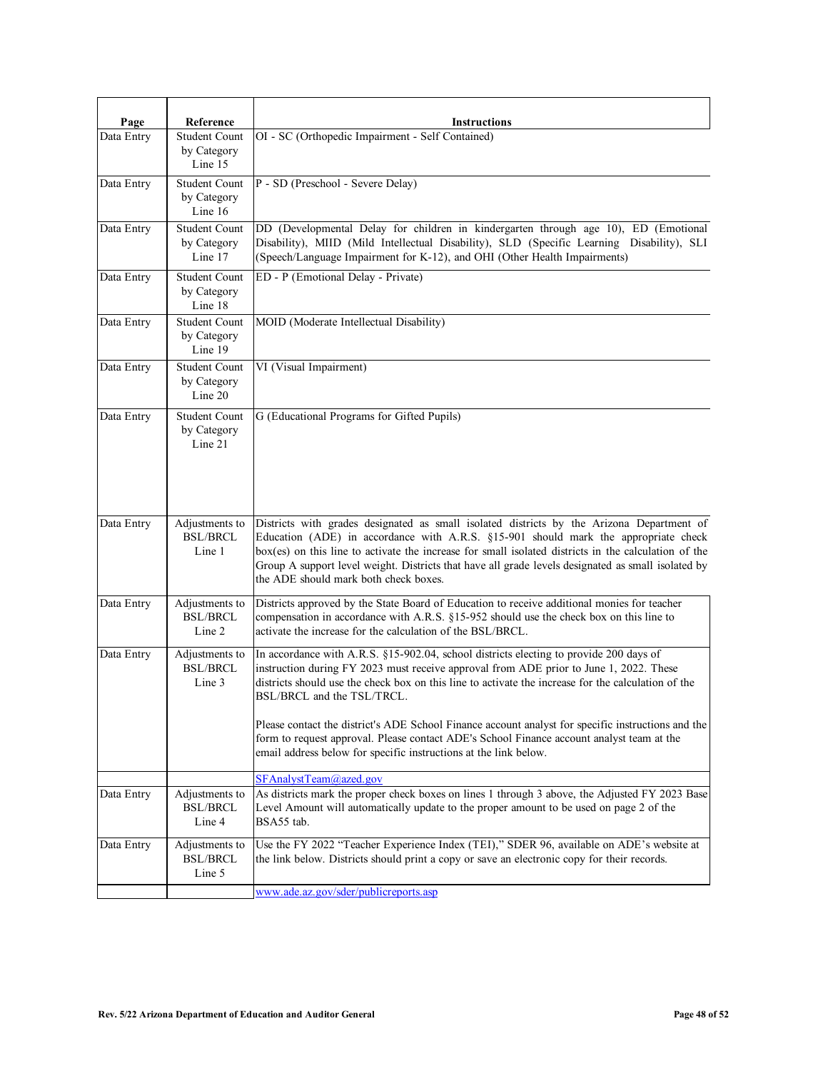| Page       | Reference                                      | <b>Instructions</b>                                                                                                                                                                                                                                                                                                                                                                                                                     |
|------------|------------------------------------------------|-----------------------------------------------------------------------------------------------------------------------------------------------------------------------------------------------------------------------------------------------------------------------------------------------------------------------------------------------------------------------------------------------------------------------------------------|
| Data Entry | Student Count<br>by Category<br>Line 15        | OI - SC (Orthopedic Impairment - Self Contained)                                                                                                                                                                                                                                                                                                                                                                                        |
| Data Entry | <b>Student Count</b><br>by Category<br>Line 16 | P - SD (Preschool - Severe Delay)                                                                                                                                                                                                                                                                                                                                                                                                       |
| Data Entry | <b>Student Count</b><br>by Category<br>Line 17 | DD (Developmental Delay for children in kindergarten through age 10), ED (Emotional<br>Disability), MIID (Mild Intellectual Disability), SLD (Specific Learning Disability), SLI<br>(Speech/Language Impairment for K-12), and OHI (Other Health Impairments)                                                                                                                                                                           |
| Data Entry | Student Count<br>by Category<br>Line 18        | ED - P (Emotional Delay - Private)                                                                                                                                                                                                                                                                                                                                                                                                      |
| Data Entry | <b>Student Count</b><br>by Category<br>Line 19 | MOID (Moderate Intellectual Disability)                                                                                                                                                                                                                                                                                                                                                                                                 |
| Data Entry | Student Count<br>by Category<br>Line 20        | VI (Visual Impairment)                                                                                                                                                                                                                                                                                                                                                                                                                  |
| Data Entry | Student Count<br>by Category<br>Line 21        | G (Educational Programs for Gifted Pupils)                                                                                                                                                                                                                                                                                                                                                                                              |
| Data Entry | Adjustments to<br><b>BSL/BRCL</b><br>Line 1    | Districts with grades designated as small isolated districts by the Arizona Department of<br>Education (ADE) in accordance with A.R.S. §15-901 should mark the appropriate check<br>box(es) on this line to activate the increase for small isolated districts in the calculation of the<br>Group A support level weight. Districts that have all grade levels designated as small isolated by<br>the ADE should mark both check boxes. |
| Data Entry | Adjustments to<br><b>BSL/BRCL</b><br>Line 2    | Districts approved by the State Board of Education to receive additional monies for teacher<br>compensation in accordance with A.R.S. §15-952 should use the check box on this line to<br>activate the increase for the calculation of the BSL/BRCL.                                                                                                                                                                                    |
| Data Entry | Adjustments to<br><b>BSL/BRCL</b><br>Line 3    | In accordance with A.R.S. §15-902.04, school districts electing to provide 200 days of<br>instruction during FY 2023 must receive approval from ADE prior to June 1, 2022. These<br>districts should use the check box on this line to activate the increase for the calculation of the<br>BSL/BRCL and the TSL/TRCL.                                                                                                                   |
|            |                                                | Please contact the district's ADE School Finance account analyst for specific instructions and the<br>form to request approval. Please contact ADE's School Finance account analyst team at the<br>email address below for specific instructions at the link below.                                                                                                                                                                     |
|            |                                                | SFAnalystTeam@azed.gov                                                                                                                                                                                                                                                                                                                                                                                                                  |
| Data Entry | Adjustments to<br><b>BSL/BRCL</b><br>Line 4    | As districts mark the proper check boxes on lines 1 through 3 above, the Adjusted FY 2023 Base<br>Level Amount will automatically update to the proper amount to be used on page 2 of the<br>BSA55 tab.                                                                                                                                                                                                                                 |
| Data Entry | Adjustments to<br><b>BSL/BRCL</b><br>Line 5    | Use the FY 2022 "Teacher Experience Index (TEI)," SDER 96, available on ADE's website at<br>the link below. Districts should print a copy or save an electronic copy for their records.                                                                                                                                                                                                                                                 |
|            |                                                | www.ade.az.gov/sder/publicreports.asp                                                                                                                                                                                                                                                                                                                                                                                                   |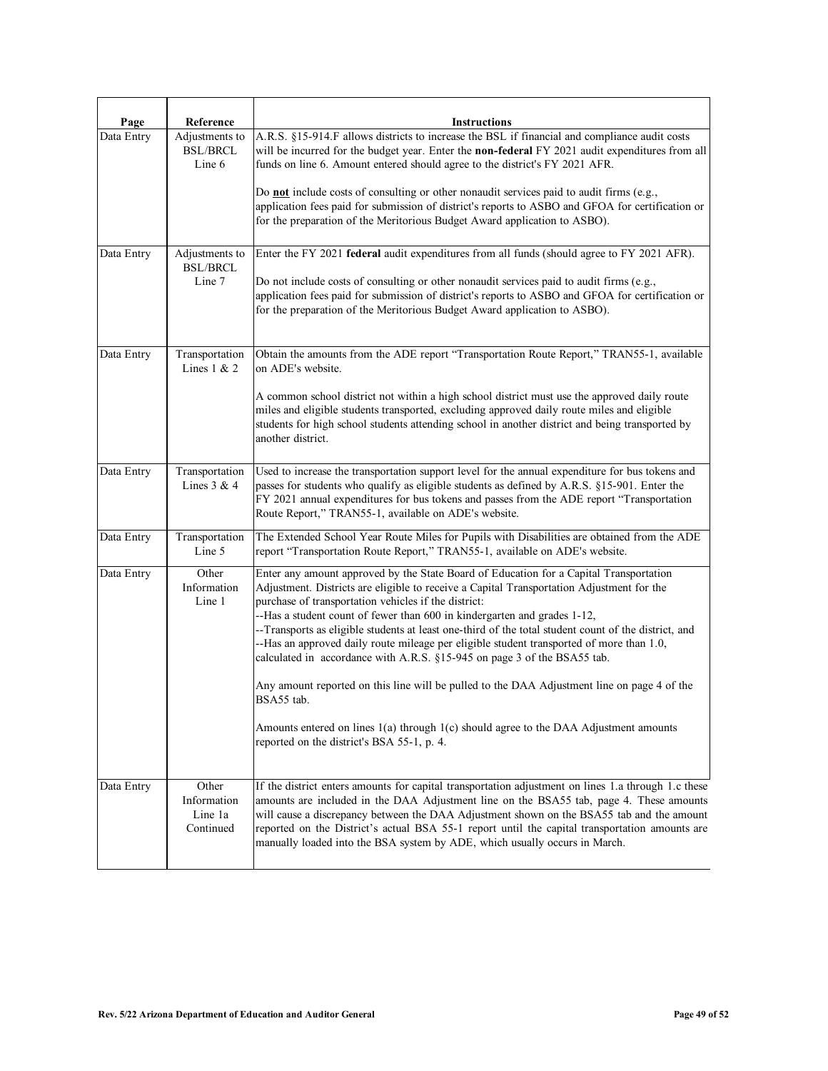| Page       | Reference                                    | <b>Instructions</b>                                                                                                                                                                                                                                                                                                                                                                                                                                                                                                                                                                                                                                                                                                  |
|------------|----------------------------------------------|----------------------------------------------------------------------------------------------------------------------------------------------------------------------------------------------------------------------------------------------------------------------------------------------------------------------------------------------------------------------------------------------------------------------------------------------------------------------------------------------------------------------------------------------------------------------------------------------------------------------------------------------------------------------------------------------------------------------|
| Data Entry | Adjustments to<br><b>BSL/BRCL</b><br>Line 6  | A.R.S. §15-914.F allows districts to increase the BSL if financial and compliance audit costs<br>will be incurred for the budget year. Enter the non-federal FY 2021 audit expenditures from all<br>funds on line 6. Amount entered should agree to the district's FY 2021 AFR.                                                                                                                                                                                                                                                                                                                                                                                                                                      |
|            |                                              | Do <b>not</b> include costs of consulting or other nonaudit services paid to audit firms $(e.g.,)$<br>application fees paid for submission of district's reports to ASBO and GFOA for certification or<br>for the preparation of the Meritorious Budget Award application to ASBO).                                                                                                                                                                                                                                                                                                                                                                                                                                  |
| Data Entry | Adjustments to<br><b>BSL/BRCL</b>            | Enter the FY 2021 federal audit expenditures from all funds (should agree to FY 2021 AFR).                                                                                                                                                                                                                                                                                                                                                                                                                                                                                                                                                                                                                           |
|            | Line 7                                       | Do not include costs of consulting or other nonaudit services paid to audit firms (e.g.,<br>application fees paid for submission of district's reports to ASBO and GFOA for certification or<br>for the preparation of the Meritorious Budget Award application to ASBO).                                                                                                                                                                                                                                                                                                                                                                                                                                            |
| Data Entry | Transportation<br>Lines $1 & 2$              | Obtain the amounts from the ADE report "Transportation Route Report," TRAN55-1, available<br>on ADE's website.                                                                                                                                                                                                                                                                                                                                                                                                                                                                                                                                                                                                       |
|            |                                              | A common school district not within a high school district must use the approved daily route<br>miles and eligible students transported, excluding approved daily route miles and eligible<br>students for high school students attending school in another district and being transported by<br>another district.                                                                                                                                                                                                                                                                                                                                                                                                   |
| Data Entry | Transportation<br>Lines $3 & 4$              | Used to increase the transportation support level for the annual expenditure for bus tokens and<br>passes for students who qualify as eligible students as defined by A.R.S. §15-901. Enter the<br>FY 2021 annual expenditures for bus tokens and passes from the ADE report "Transportation"<br>Route Report," TRAN55-1, available on ADE's website.                                                                                                                                                                                                                                                                                                                                                                |
| Data Entry | Transportation<br>Line 5                     | The Extended School Year Route Miles for Pupils with Disabilities are obtained from the ADE<br>report "Transportation Route Report," TRAN55-1, available on ADE's website.                                                                                                                                                                                                                                                                                                                                                                                                                                                                                                                                           |
| Data Entry | Other<br>Information<br>Line 1               | Enter any amount approved by the State Board of Education for a Capital Transportation<br>Adjustment. Districts are eligible to receive a Capital Transportation Adjustment for the<br>purchase of transportation vehicles if the district:<br>--Has a student count of fewer than 600 in kindergarten and grades 1-12,<br>--Transports as eligible students at least one-third of the total student count of the district, and<br>--Has an approved daily route mileage per eligible student transported of more than 1.0,<br>calculated in accordance with A.R.S. §15-945 on page 3 of the BSA55 tab.<br>Any amount reported on this line will be pulled to the DAA Adjustment line on page 4 of the<br>BSA55 tab. |
|            |                                              | Amounts entered on lines $1(a)$ through $1(c)$ should agree to the DAA Adjustment amounts<br>reported on the district's BSA 55-1, p. 4.                                                                                                                                                                                                                                                                                                                                                                                                                                                                                                                                                                              |
| Data Entry | Other<br>Information<br>Line 1a<br>Continued | If the district enters amounts for capital transportation adjustment on lines 1.a through 1.c these<br>amounts are included in the DAA Adjustment line on the BSA55 tab, page 4. These amounts<br>will cause a discrepancy between the DAA Adjustment shown on the BSA55 tab and the amount<br>reported on the District's actual BSA 55-1 report until the capital transportation amounts are<br>manually loaded into the BSA system by ADE, which usually occurs in March.                                                                                                                                                                                                                                          |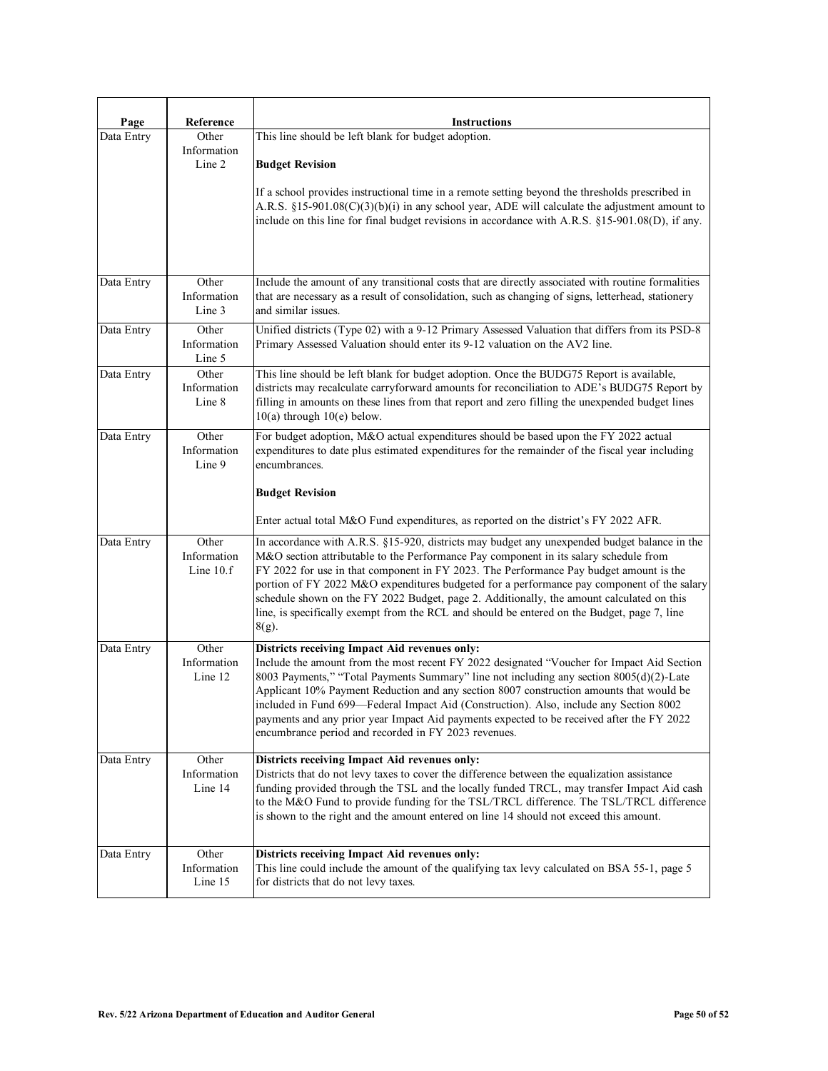| Page       | Reference                         | <b>Instructions</b>                                                                                                                                                                                                                                                                                                                                                                                                                                                                                                                                                                   |
|------------|-----------------------------------|---------------------------------------------------------------------------------------------------------------------------------------------------------------------------------------------------------------------------------------------------------------------------------------------------------------------------------------------------------------------------------------------------------------------------------------------------------------------------------------------------------------------------------------------------------------------------------------|
| Data Entry | Other<br>Information<br>Line 2    | This line should be left blank for budget adoption.<br><b>Budget Revision</b><br>If a school provides instructional time in a remote setting beyond the thresholds prescribed in<br>A.R.S. §15-901.08(C)(3)(b)(i) in any school year, ADE will calculate the adjustment amount to<br>include on this line for final budget revisions in accordance with A.R.S. §15-901.08(D), if any.                                                                                                                                                                                                 |
| Data Entry | Other<br>Information<br>Line 3    | Include the amount of any transitional costs that are directly associated with routine formalities<br>that are necessary as a result of consolidation, such as changing of signs, letterhead, stationery<br>and similar issues.                                                                                                                                                                                                                                                                                                                                                       |
| Data Entry | Other<br>Information<br>Line 5    | Unified districts (Type 02) with a 9-12 Primary Assessed Valuation that differs from its PSD-8<br>Primary Assessed Valuation should enter its 9-12 valuation on the AV2 line.                                                                                                                                                                                                                                                                                                                                                                                                         |
| Data Entry | Other<br>Information<br>Line 8    | This line should be left blank for budget adoption. Once the BUDG75 Report is available,<br>districts may recalculate carryforward amounts for reconciliation to ADE's BUDG75 Report by<br>filling in amounts on these lines from that report and zero filling the unexpended budget lines<br>$10(a)$ through $10(e)$ below.                                                                                                                                                                                                                                                          |
| Data Entry | Other<br>Information<br>Line 9    | For budget adoption, M&O actual expenditures should be based upon the FY 2022 actual<br>expenditures to date plus estimated expenditures for the remainder of the fiscal year including<br>encumbrances.<br><b>Budget Revision</b><br>Enter actual total M&O Fund expenditures, as reported on the district's FY 2022 AFR.                                                                                                                                                                                                                                                            |
| Data Entry | Other<br>Information<br>Line 10.f | In accordance with A.R.S. §15-920, districts may budget any unexpended budget balance in the<br>M&O section attributable to the Performance Pay component in its salary schedule from<br>FY 2022 for use in that component in FY 2023. The Performance Pay budget amount is the<br>portion of FY 2022 M&O expenditures budgeted for a performance pay component of the salary<br>schedule shown on the FY 2022 Budget, page 2. Additionally, the amount calculated on this<br>line, is specifically exempt from the RCL and should be entered on the Budget, page 7, line<br>$8(g)$ . |
| Data Entry | Other<br>Information<br>Line 12   | Districts receiving Impact Aid revenues only:<br>Include the amount from the most recent FY 2022 designated "Voucher for Impact Aid Section<br>8003 Payments," "Total Payments Summary" line not including any section 8005(d)(2)-Late<br>Applicant 10% Payment Reduction and any section 8007 construction amounts that would be<br>included in Fund 699-Federal Impact Aid (Construction). Also, include any Section 8002<br>payments and any prior year Impact Aid payments expected to be received after the FY 2022<br>encumbrance period and recorded in FY 2023 revenues.      |
| Data Entry | Other<br>Information<br>Line 14   | Districts receiving Impact Aid revenues only:<br>Districts that do not levy taxes to cover the difference between the equalization assistance<br>funding provided through the TSL and the locally funded TRCL, may transfer Impact Aid cash<br>to the M&O Fund to provide funding for the TSL/TRCL difference. The TSL/TRCL difference<br>is shown to the right and the amount entered on line 14 should not exceed this amount.                                                                                                                                                      |
| Data Entry | Other<br>Information<br>Line 15   | Districts receiving Impact Aid revenues only:<br>This line could include the amount of the qualifying tax levy calculated on BSA 55-1, page 5<br>for districts that do not levy taxes.                                                                                                                                                                                                                                                                                                                                                                                                |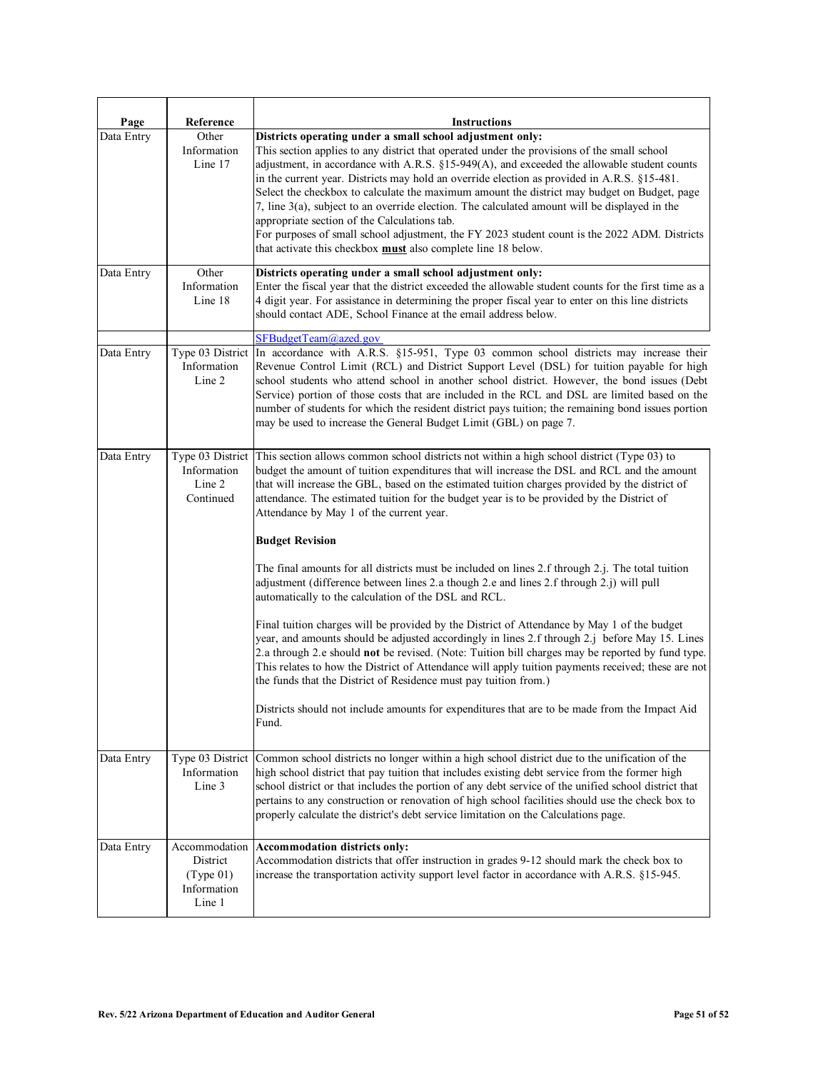| Page       | Reference                                                       | <b>Instructions</b>                                                                                                                                                                                                                                                                                                                                                                                                                                                                                                                                                                                                                                                                                                                                                                                                                                                     |
|------------|-----------------------------------------------------------------|-------------------------------------------------------------------------------------------------------------------------------------------------------------------------------------------------------------------------------------------------------------------------------------------------------------------------------------------------------------------------------------------------------------------------------------------------------------------------------------------------------------------------------------------------------------------------------------------------------------------------------------------------------------------------------------------------------------------------------------------------------------------------------------------------------------------------------------------------------------------------|
| Data Entry | Other<br>Information<br>Line 17                                 | Districts operating under a small school adjustment only:<br>This section applies to any district that operated under the provisions of the small school<br>adjustment, in accordance with A.R.S. §15-949(A), and exceeded the allowable student counts<br>in the current year. Districts may hold an override election as provided in A.R.S. §15-481.<br>Select the checkbox to calculate the maximum amount the district may budget on Budget, page<br>7, line 3(a), subject to an override election. The calculated amount will be displayed in the<br>appropriate section of the Calculations tab.<br>For purposes of small school adjustment, the FY 2023 student count is the 2022 ADM. Districts<br>that activate this checkbox must also complete line 18 below.                                                                                                |
| Data Entry | Other<br>Information<br>Line 18                                 | Districts operating under a small school adjustment only:<br>Enter the fiscal year that the district exceeded the allowable student counts for the first time as a<br>4 digit year. For assistance in determining the proper fiscal year to enter on this line districts<br>should contact ADE, School Finance at the email address below.                                                                                                                                                                                                                                                                                                                                                                                                                                                                                                                              |
| Data Entry | Type 03 District<br>Information<br>Line 2                       | SFBudgetTeam@azed.gov<br>In accordance with A.R.S. §15-951, Type 03 common school districts may increase their<br>Revenue Control Limit (RCL) and District Support Level (DSL) for tuition payable for high<br>school students who attend school in another school district. However, the bond issues (Debt<br>Service) portion of those costs that are included in the RCL and DSL are limited based on the<br>number of students for which the resident district pays tuition; the remaining bond issues portion<br>may be used to increase the General Budget Limit (GBL) on page 7.                                                                                                                                                                                                                                                                                 |
| Data Entry | Type 03 District<br>Information<br>Line 2<br>Continued          | This section allows common school districts not within a high school district (Type 03) to<br>budget the amount of tuition expenditures that will increase the DSL and RCL and the amount<br>that will increase the GBL, based on the estimated tuition charges provided by the district of<br>attendance. The estimated tuition for the budget year is to be provided by the District of<br>Attendance by May 1 of the current year.                                                                                                                                                                                                                                                                                                                                                                                                                                   |
|            |                                                                 | <b>Budget Revision</b><br>The final amounts for all districts must be included on lines 2.f through 2.j. The total tuition<br>adjustment (difference between lines 2.a though 2.e and lines 2.f through 2.j) will pull<br>automatically to the calculation of the DSL and RCL.<br>Final tuition charges will be provided by the District of Attendance by May 1 of the budget<br>year, and amounts should be adjusted accordingly in lines 2.f through 2.j before May 15. Lines<br>2.a through 2.e should not be revised. (Note: Tuition bill charges may be reported by fund type.<br>This relates to how the District of Attendance will apply tuition payments received; these are not<br>the funds that the District of Residence must pay tuition from.)<br>Districts should not include amounts for expenditures that are to be made from the Impact Aid<br>Fund. |
| Data Entry | Information<br>Line 3                                           | Type 03 District Common school districts no longer within a high school district due to the unification of the<br>high school district that pay tuition that includes existing debt service from the former high<br>school district or that includes the portion of any debt service of the unified school district that<br>pertains to any construction or renovation of high school facilities should use the check box to<br>properly calculate the district's debt service limitation on the Calculations page.                                                                                                                                                                                                                                                                                                                                                     |
| Data Entry | Accommodation<br>District<br>(Type 01)<br>Information<br>Line 1 | Accommodation districts only:<br>Accommodation districts that offer instruction in grades 9-12 should mark the check box to<br>increase the transportation activity support level factor in accordance with A.R.S. §15-945.                                                                                                                                                                                                                                                                                                                                                                                                                                                                                                                                                                                                                                             |